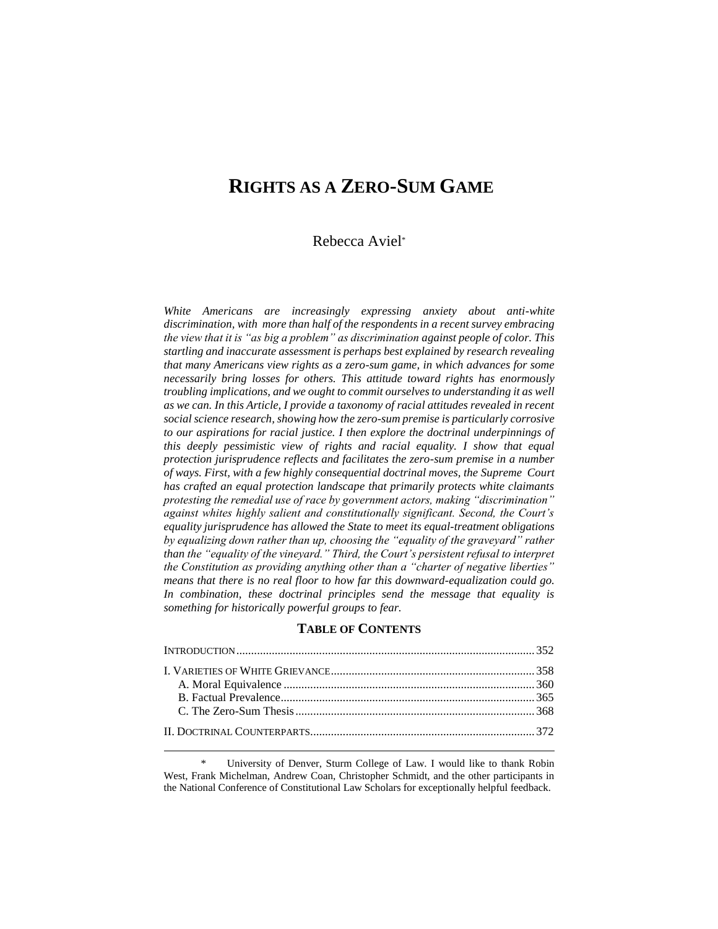# **RIGHTS AS A ZERO-SUM GAME**

## Rebecca Aviel\*

*White Americans are increasingly expressing anxiety about anti-white discrimination, with more than half of the respondents in a recent survey embracing the view that it is "as big a problem" as discrimination against people of color. This startling and inaccurate assessment is perhaps best explained by research revealing that many Americans view rights as a zero-sum game, in which advances for some necessarily bring losses for others. This attitude toward rights has enormously troubling implications, and we ought to commit ourselves to understanding it as well as we can. In this Article, I provide a taxonomy of racial attitudes revealed in recent social science research, showing how the zero-sum premise is particularly corrosive to our aspirations for racial justice. I then explore the doctrinal underpinnings of this deeply pessimistic view of rights and racial equality. I show that equal protection jurisprudence reflects and facilitates the zero-sum premise in a number of ways. First, with a few highly consequential doctrinal moves, the Supreme Court has crafted an equal protection landscape that primarily protects white claimants protesting the remedial use of race by government actors, making "discrimination" against whites highly salient and constitutionally significant. Second, the Court's equality jurisprudence has allowed the State to meet its equal-treatment obligations by equalizing down rather than up, choosing the "equality of the graveyard" rather than the "equality of the vineyard." Third, the Court's persistent refusal to interpret the Constitution as providing anything other than a "charter of negative liberties" means that there is no real floor to how far this downward-equalization could go. In combination, these doctrinal principles send the message that equality is something for historically powerful groups to fear.*

#### **TABLE OF CONTENTS**

\* University of Denver, Sturm College of Law. I would like to thank Robin West, Frank Michelman, Andrew Coan, Christopher Schmidt, and the other participants in the National Conference of Constitutional Law Scholars for exceptionally helpful feedback.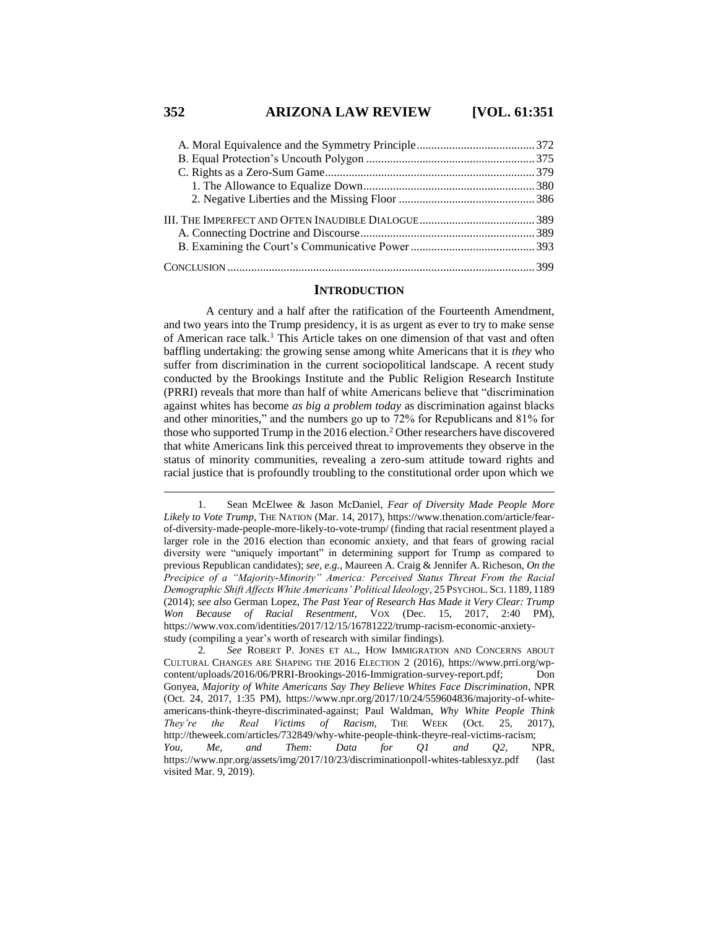## **352 ARIZONA LAW REVIEW [VOL. 61:351**

#### **INTRODUCTION**

A century and a half after the ratification of the Fourteenth Amendment, and two years into the Trump presidency, it is as urgent as ever to try to make sense of American race talk.<sup>1</sup> This Article takes on one dimension of that vast and often baffling undertaking: the growing sense among white Americans that it is *they* who suffer from discrimination in the current sociopolitical landscape. A recent study conducted by the Brookings Institute and the Public Religion Research Institute (PRRI) reveals that more than half of white Americans believe that "discrimination against whites has become *as big a problem today* as discrimination against blacks and other minorities," and the numbers go up to 72% for Republicans and 81% for those who supported Trump in the 2016 election.<sup>2</sup> Other researchers have discovered that white Americans link this perceived threat to improvements they observe in the status of minority communities, revealing a zero-sum attitude toward rights and racial justice that is profoundly troubling to the constitutional order upon which we

<sup>1.</sup> Sean McElwee & Jason McDaniel, *Fear of Diversity Made People More Likely to Vote Trump*, THE NATION (Mar. 14, 2017), https://www.thenation.com/article/fearof-diversity-made-people-more-likely-to-vote-trump/ (finding that racial resentment played a larger role in the 2016 election than economic anxiety, and that fears of growing racial diversity were "uniquely important" in determining support for Trump as compared to previous Republican candidates); *see, e.g.*, Maureen A. Craig & Jennifer A. Richeson, *On the Precipice of a "Majority-Minority" America: Perceived Status Threat From the Racial Demographic Shift Affects White Americans' Political Ideology*, 25 PSYCHOL. SCI. 1189, 1189 (2014); *see also* German Lopez, *The Past Year of Research Has Made it Very Clear: Trump Won Because of Racial Resentment*, VOX (Dec. 15, 2017, 2:40 PM), https://www.vox.com/identities/2017/12/15/16781222/trump-racism-economic-anxietystudy (compiling a year's worth of research with similar findings).

<sup>2</sup>*. See* ROBERT P. JONES ET AL., HOW IMMIGRATION AND CONCERNS ABOUT CULTURAL CHANGES ARE SHAPING THE 2016 ELECTION 2 (2016), https://www.prri.org/wpcontent/uploads/2016/06/PRRI-Brookings-2016-Immigration-survey-report.pdf; Don Gonyea, *Majority of White Americans Say They Believe Whites Face Discrimination*, NPR (Oct. 24, 2017, 1:35 PM), https://www.npr.org/2017/10/24/559604836/majority-of-whiteamericans-think-theyre-discriminated-against; Paul Waldman, *Why White People Think They're the Real Victims of Racism*, THE WEEK (Oct. 25, 2017), http://theweek.com/articles/732849/why-white-people-think-theyre-real-victims-racism; *You, Me, and Them: Data for Q1 and Q2*, NPR, https://www.npr.org/assets/img/2017/10/23/discriminationpoll-whites-tablesxyz.pdf (last visited Mar. 9, 2019).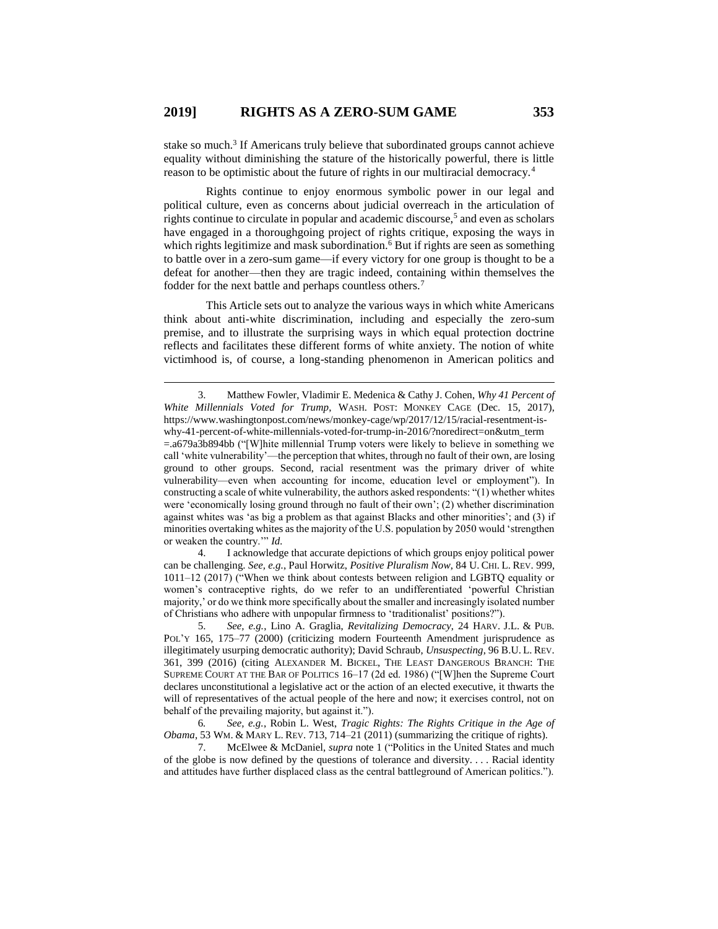$\overline{a}$ 

stake so much.<sup>3</sup> If Americans truly believe that subordinated groups cannot achieve equality without diminishing the stature of the historically powerful, there is little reason to be optimistic about the future of rights in our multiracial democracy.<sup>4</sup>

Rights continue to enjoy enormous symbolic power in our legal and political culture, even as concerns about judicial overreach in the articulation of rights continue to circulate in popular and academic discourse,<sup>5</sup> and even as scholars have engaged in a thoroughgoing project of rights critique, exposing the ways in which rights legitimize and mask subordination.<sup>6</sup> But if rights are seen as something to battle over in a zero-sum game—if every victory for one group is thought to be a defeat for another—then they are tragic indeed, containing within themselves the fodder for the next battle and perhaps countless others.<sup>7</sup>

This Article sets out to analyze the various ways in which white Americans think about anti-white discrimination, including and especially the zero-sum premise, and to illustrate the surprising ways in which equal protection doctrine reflects and facilitates these different forms of white anxiety. The notion of white victimhood is, of course, a long-standing phenomenon in American politics and

4. I acknowledge that accurate depictions of which groups enjoy political power can be challenging. *See, e.g.*, Paul Horwitz, *Positive Pluralism Now*, 84 U. CHI. L. REV. 999, 1011–12 (2017) ("When we think about contests between religion and LGBTQ equality or women's contraceptive rights, do we refer to an undifferentiated 'powerful Christian majority,' or do we think more specifically about the smaller and increasingly isolated number of Christians who adhere with unpopular firmness to 'traditionalist' positions?").

5. *See, e.g.*, Lino A. Graglia, *Revitalizing Democracy*, 24 HARV. J.L. & PUB. POL'Y 165, 175–77 (2000) (criticizing modern Fourteenth Amendment jurisprudence as illegitimately usurping democratic authority); David Schraub, *Unsuspecting*, 96 B.U. L. REV. 361, 399 (2016) (citing ALEXANDER M. BICKEL, THE LEAST DANGEROUS BRANCH: THE SUPREME COURT AT THE BAR OF POLITICS 16–17 (2d ed. 1986) ("[W]hen the Supreme Court declares unconstitutional a legislative act or the action of an elected executive, it thwarts the will of representatives of the actual people of the here and now; it exercises control, not on behalf of the prevailing majority, but against it.").

6*. See, e.g.*, Robin L. West, *Tragic Rights: The Rights Critique in the Age of Obama*, 53 WM. & MARY L. REV. 713, 714–21 (2011) (summarizing the critique of rights).

7. McElwee & McDaniel, *supra* note 1 ("Politics in the United States and much of the globe is now defined by the questions of tolerance and diversity. . . . Racial identity and attitudes have further displaced class as the central battleground of American politics.").

<sup>3.</sup> Matthew Fowler, Vladimir E. Medenica & Cathy J. Cohen, *Why 41 Percent of White Millennials Voted for Trump*, WASH. POST: MONKEY CAGE (Dec. 15, 2017), https://www.washingtonpost.com/news/monkey-cage/wp/2017/12/15/racial-resentment-iswhy-41-percent-of-white-millennials-voted-for-trump-in-2016/?noredirect=on&utm\_term =.a679a3b894bb ("[W]hite millennial Trump voters were likely to believe in something we call 'white vulnerability'—the perception that whites, through no fault of their own, are losing ground to other groups. Second, racial resentment was the primary driver of white vulnerability—even when accounting for income, education level or employment"). In constructing a scale of white vulnerability, the authors asked respondents: "(1) whether whites were 'economically losing ground through no fault of their own'; (2) whether discrimination against whites was 'as big a problem as that against Blacks and other minorities'; and (3) if minorities overtaking whites as the majority of the U.S. population by 2050 would 'strengthen or weaken the country.'" *Id.*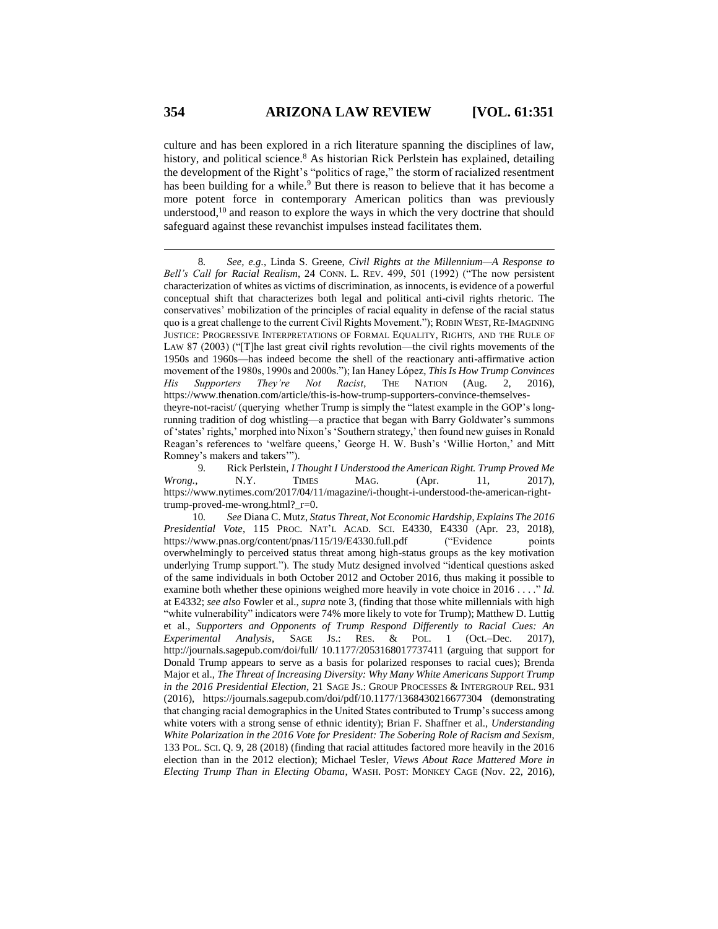culture and has been explored in a rich literature spanning the disciplines of law, history, and political science.<sup>8</sup> As historian Rick Perlstein has explained, detailing the development of the Right's "politics of rage," the storm of racialized resentment has been building for a while.<sup>9</sup> But there is reason to believe that it has become a more potent force in contemporary American politics than was previously understood, $10$  and reason to explore the ways in which the very doctrine that should safeguard against these revanchist impulses instead facilitates them.

<sup>8</sup>*. See, e.g.*, Linda S. Greene, *Civil Rights at the Millennium—A Response to Bell's Call for Racial Realism*, 24 CONN. L. REV. 499, 501 (1992) ("The now persistent characterization of whites as victims of discrimination, as innocents, is evidence of a powerful conceptual shift that characterizes both legal and political anti-civil rights rhetoric. The conservatives' mobilization of the principles of racial equality in defense of the racial status quo is a great challenge to the current Civil Rights Movement."); ROBIN WEST,RE-IMAGINING JUSTICE: PROGRESSIVE INTERPRETATIONS OF FORMAL EQUALITY, RIGHTS, AND THE RULE OF LAW 87 (2003) ("[T]he last great civil rights revolution—the civil rights movements of the 1950s and 1960s—has indeed become the shell of the reactionary anti-affirmative action movement of the 1980s, 1990s and 2000s."); Ian Haney López, *This Is How Trump Convinces His Supporters They're Not Racist*, THE NATION (Aug. 2, 2016), https://www.thenation.com/article/this-is-how-trump-supporters-convince-themselvestheyre-not-racist/ (querying whether Trump is simply the "latest example in the GOP's longrunning tradition of dog whistling—a practice that began with Barry Goldwater's summons of 'states' rights,' morphed into Nixon's 'Southern strategy,' then found new guises in Ronald Reagan's references to 'welfare queens,' George H. W. Bush's 'Willie Horton,' and Mitt Romney's makers and takers'").

<sup>9</sup>*.* Rick Perlstein, *I Thought I Understood the American Right. Trump Proved Me Wrong.*, N.Y. TIMES MAG. (Apr. 11, 2017), https://www.nytimes.com/2017/04/11/magazine/i-thought-i-understood-the-american-righttrump-proved-me-wrong.html?\_r=0.

<sup>10</sup>*. See* Diana C. Mutz, *Status Threat, Not Economic Hardship, Explains The 2016 Presidential Vote*, 115 PROC. NAT'L ACAD. SCI. E4330, E4330 (Apr. 23, 2018), https://www.pnas.org/content/pnas/115/19/E4330.full.pdf ("Evidence points overwhelmingly to perceived status threat among high-status groups as the key motivation underlying Trump support."). The study Mutz designed involved "identical questions asked of the same individuals in both October 2012 and October 2016, thus making it possible to examine both whether these opinions weighed more heavily in vote choice in 2016 . . . ." *Id.*  at E4332; *see also* Fowler et al., *supra* note 3, (finding that those white millennials with high "white vulnerability" indicators were 74% more likely to vote for Trump); Matthew D. Luttig et al., *Supporters and Opponents of Trump Respond Differently to Racial Cues: An Experimental Analysis*, SAGE JS.: RES. & POL. 1 (Oct.–Dec. 2017), http://journals.sagepub.com/doi/full/ 10.1177/2053168017737411 (arguing that support for Donald Trump appears to serve as a basis for polarized responses to racial cues); Brenda Major et al., *The Threat of Increasing Diversity: Why Many White Americans Support Trump in the 2016 Presidential Election*, 21 SAGE JS.: GROUP PROCESSES & INTERGROUP REL. 931 (2016), https://journals.sagepub.com/doi/pdf/10.1177/1368430216677304 (demonstrating that changing racial demographics in the United States contributed to Trump's success among white voters with a strong sense of ethnic identity); Brian F. Shaffner et al., *Understanding White Polarization in the 2016 Vote for President: The Sobering Role of Racism and Sexism*, 133 POL. SCI. Q. 9, 28 (2018) (finding that racial attitudes factored more heavily in the 2016 election than in the 2012 election); Michael Tesler, *Views About Race Mattered More in Electing Trump Than in Electing Obama*, WASH. POST: MONKEY CAGE (Nov. 22, 2016),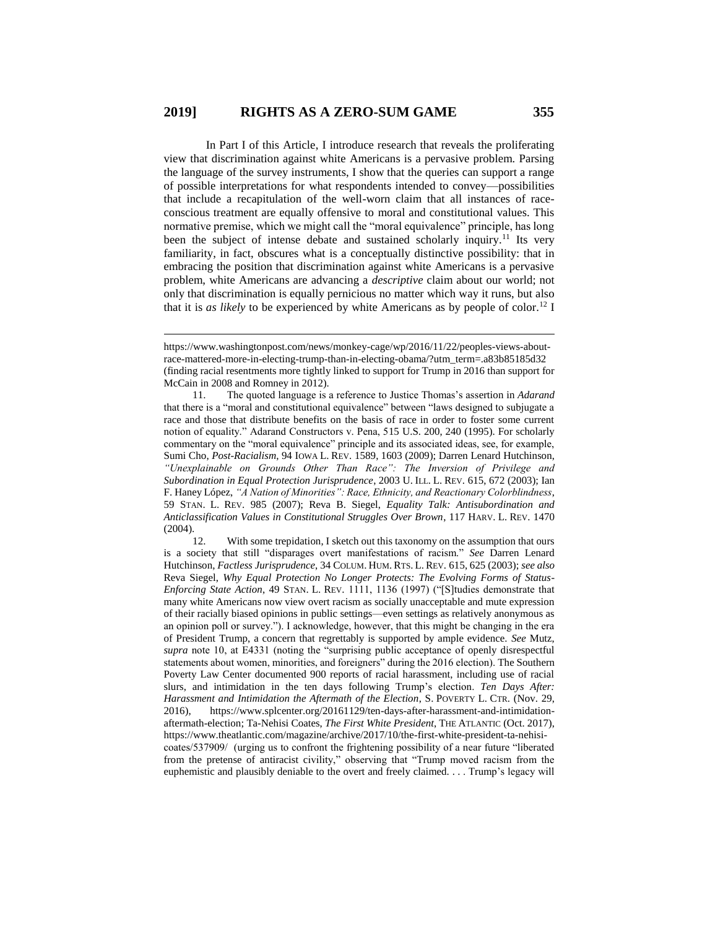$\overline{a}$ 

In Part I of this Article, I introduce research that reveals the proliferating view that discrimination against white Americans is a pervasive problem. Parsing the language of the survey instruments, I show that the queries can support a range of possible interpretations for what respondents intended to convey—possibilities that include a recapitulation of the well-worn claim that all instances of raceconscious treatment are equally offensive to moral and constitutional values. This normative premise, which we might call the "moral equivalence" principle, has long been the subject of intense debate and sustained scholarly inquiry.<sup>11</sup> Its very familiarity, in fact, obscures what is a conceptually distinctive possibility: that in embracing the position that discrimination against white Americans is a pervasive problem, white Americans are advancing a *descriptive* claim about our world; not only that discrimination is equally pernicious no matter which way it runs, but also that it is *as likely* to be experienced by white Americans as by people of color.<sup>12</sup> I

https://www.washingtonpost.com/news/monkey-cage/wp/2016/11/22/peoples-views-aboutrace-mattered-more-in-electing-trump-than-in-electing-obama/?utm\_term=.a83b85185d32 (finding racial resentments more tightly linked to support for Trump in 2016 than support for McCain in 2008 and Romney in 2012).

<sup>11.</sup> The quoted language is a reference to Justice Thomas's assertion in *Adarand* that there is a "moral and constitutional equivalence" between "laws designed to subjugate a race and those that distribute benefits on the basis of race in order to foster some current notion of equality." Adarand Constructors v. Pena, 515 U.S. 200, 240 (1995). For scholarly commentary on the "moral equivalence" principle and its associated ideas, see, for example, Sumi Cho, *Post-Racialism*, 94 IOWA L. REV. 1589, 1603 (2009); Darren Lenard Hutchinson, *"Unexplainable on Grounds Other Than Race": The Inversion of Privilege and Subordination in Equal Protection Jurisprudence*, 2003 U. ILL. L. REV. 615, 672 (2003); Ian F. Haney López, *"A Nation of Minorities": Race, Ethnicity, and Reactionary Colorblindness*, 59 STAN. L. REV. 985 (2007); Reva B. Siegel, *Equality Talk: Antisubordination and Anticlassification Values in Constitutional Struggles Over Brown*, 117 HARV. L. REV. 1470 (2004).

<sup>12.</sup> With some trepidation, I sketch out this taxonomy on the assumption that ours is a society that still "disparages overt manifestations of racism." *See* Darren Lenard Hutchinson, *Factless Jurisprudence*, 34 COLUM. HUM. RTS. L. REV. 615, 625 (2003); *see also* Reva Siegel, *Why Equal Protection No Longer Protects: The Evolving Forms of Status-Enforcing State Action*, 49 STAN. L. REV. 1111, 1136 (1997) ("[S]tudies demonstrate that many white Americans now view overt racism as socially unacceptable and mute expression of their racially biased opinions in public settings—even settings as relatively anonymous as an opinion poll or survey."). I acknowledge, however, that this might be changing in the era of President Trump, a concern that regrettably is supported by ample evidence. *See* Mutz, *supra* note 10, at E4331 (noting the "surprising public acceptance of openly disrespectful statements about women, minorities, and foreigners" during the 2016 election). The Southern Poverty Law Center documented 900 reports of racial harassment, including use of racial slurs, and intimidation in the ten days following Trump's election. *Ten Days After: Harassment and Intimidation the Aftermath of the Election*, S. POVERTY L. CTR. (Nov. 29, 2016), https://www.splcenter.org/20161129/ten-days-after-harassment-and-intimidationaftermath-election; Ta-Nehisi Coates, *The First White President*, THE ATLANTIC (Oct. 2017), https://www.theatlantic.com/magazine/archive/2017/10/the-first-white-president-ta-nehisicoates/537909/ (urging us to confront the frightening possibility of a near future "liberated from the pretense of antiracist civility," observing that "Trump moved racism from the euphemistic and plausibly deniable to the overt and freely claimed. . . . Trump's legacy will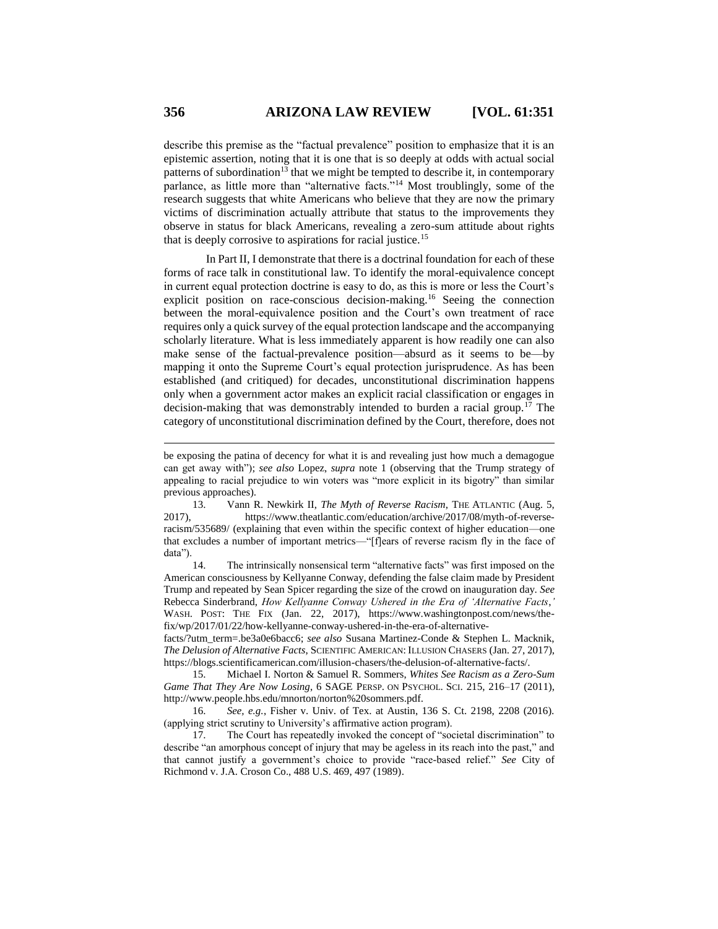describe this premise as the "factual prevalence" position to emphasize that it is an epistemic assertion, noting that it is one that is so deeply at odds with actual social patterns of subordination<sup>13</sup> that we might be tempted to describe it, in contemporary parlance, as little more than "alternative facts."<sup>14</sup> Most troublingly, some of the research suggests that white Americans who believe that they are now the primary victims of discrimination actually attribute that status to the improvements they observe in status for black Americans, revealing a zero-sum attitude about rights that is deeply corrosive to aspirations for racial justice.<sup>15</sup>

In Part II, I demonstrate that there is a doctrinal foundation for each of these forms of race talk in constitutional law. To identify the moral-equivalence concept in current equal protection doctrine is easy to do, as this is more or less the Court's explicit position on race-conscious decision-making.<sup>16</sup> Seeing the connection between the moral-equivalence position and the Court's own treatment of race requires only a quick survey of the equal protection landscape and the accompanying scholarly literature. What is less immediately apparent is how readily one can also make sense of the factual-prevalence position—absurd as it seems to be—by mapping it onto the Supreme Court's equal protection jurisprudence. As has been established (and critiqued) for decades, unconstitutional discrimination happens only when a government actor makes an explicit racial classification or engages in decision-making that was demonstrably intended to burden a racial group.<sup>17</sup> The category of unconstitutional discrimination defined by the Court, therefore, does not

14. The intrinsically nonsensical term "alternative facts" was first imposed on the American consciousness by Kellyanne Conway, defending the false claim made by President Trump and repeated by Sean Spicer regarding the size of the crowd on inauguration day. *See* Rebecca Sinderbrand, *How Kellyanne Conway Ushered in the Era of 'Alternative Facts*,*'* WASH. POST: THE FIX (Jan. 22, 2017), https://www.washingtonpost.com/news/thefix/wp/2017/01/22/how-kellyanne-conway-ushered-in-the-era-of-alternative-

facts/?utm\_term=.be3a0e6bacc6; *see also* Susana Martinez-Conde & Stephen L. Macknik, *The Delusion of Alternative Facts*, SCIENTIFIC AMERICAN: ILLUSION CHASERS (Jan. 27, 2017), https://blogs.scientificamerican.com/illusion-chasers/the-delusion-of-alternative-facts/.

15. Michael I. Norton & Samuel R. Sommers, *Whites See Racism as a Zero-Sum Game That They Are Now Losing*, 6 SAGE PERSP. ON PSYCHOL. SCI. 215, 216–17 (2011), http://www.people.hbs.edu/mnorton/norton%20sommers.pdf.

16. *See, e.g.*, Fisher v. Univ. of Tex. at Austin, 136 S. Ct. 2198, 2208 (2016). (applying strict scrutiny to University's affirmative action program).

17. The Court has repeatedly invoked the concept of "societal discrimination" to describe "an amorphous concept of injury that may be ageless in its reach into the past," and that cannot justify a government's choice to provide "race-based relief." *See* City of Richmond v. J.A. Croson Co., 488 U.S. 469, 497 (1989).

be exposing the patina of decency for what it is and revealing just how much a demagogue can get away with"); *see also* Lopez, *supra* note 1 (observing that the Trump strategy of appealing to racial prejudice to win voters was "more explicit in its bigotry" than similar previous approaches).

<sup>13.</sup> Vann R. Newkirk II, *The Myth of Reverse Racism*, THE ATLANTIC (Aug. 5, 2017), https://www.theatlantic.com/education/archive/2017/08/myth-of-reverseracism/535689/ (explaining that even within the specific context of higher education—one that excludes a number of important metrics—"[f]ears of reverse racism fly in the face of data").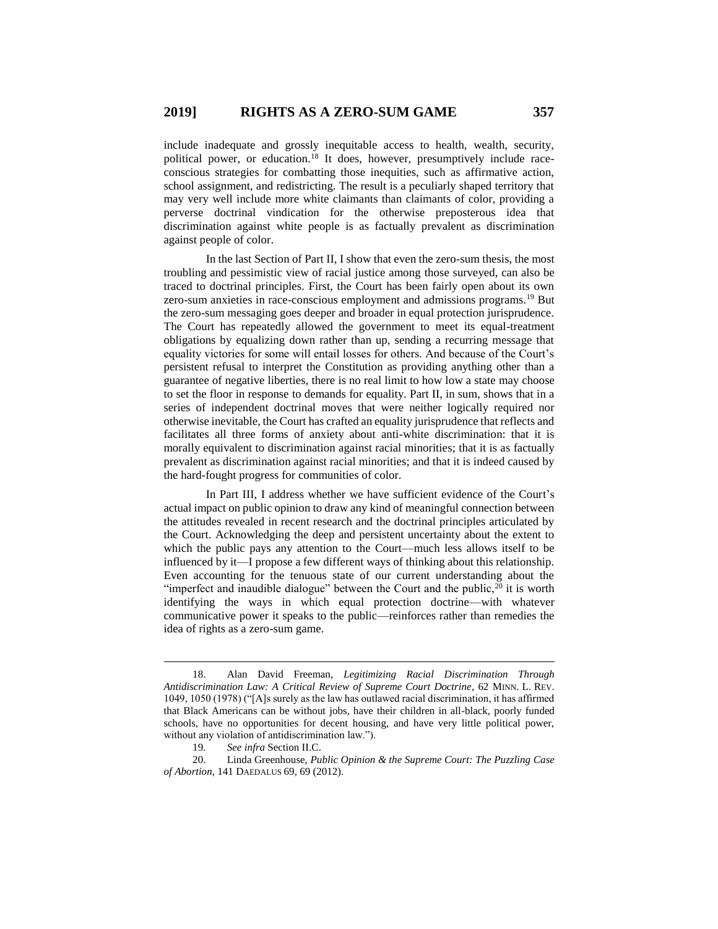include inadequate and grossly inequitable access to health, wealth, security, political power, or education.<sup>18</sup> It does, however, presumptively include raceconscious strategies for combatting those inequities, such as affirmative action, school assignment, and redistricting. The result is a peculiarly shaped territory that may very well include more white claimants than claimants of color, providing a perverse doctrinal vindication for the otherwise preposterous idea that discrimination against white people is as factually prevalent as discrimination against people of color.

In the last Section of Part II, I show that even the zero-sum thesis, the most troubling and pessimistic view of racial justice among those surveyed, can also be traced to doctrinal principles. First, the Court has been fairly open about its own zero-sum anxieties in race-conscious employment and admissions programs.<sup>19</sup> But the zero-sum messaging goes deeper and broader in equal protection jurisprudence. The Court has repeatedly allowed the government to meet its equal-treatment obligations by equalizing down rather than up, sending a recurring message that equality victories for some will entail losses for others. And because of the Court's persistent refusal to interpret the Constitution as providing anything other than a guarantee of negative liberties, there is no real limit to how low a state may choose to set the floor in response to demands for equality. Part II, in sum, shows that in a series of independent doctrinal moves that were neither logically required nor otherwise inevitable, the Court has crafted an equality jurisprudence that reflects and facilitates all three forms of anxiety about anti-white discrimination: that it is morally equivalent to discrimination against racial minorities; that it is as factually prevalent as discrimination against racial minorities; and that it is indeed caused by the hard-fought progress for communities of color.

In Part III, I address whether we have sufficient evidence of the Court's actual impact on public opinion to draw any kind of meaningful connection between the attitudes revealed in recent research and the doctrinal principles articulated by the Court. Acknowledging the deep and persistent uncertainty about the extent to which the public pays any attention to the Court—much less allows itself to be influenced by it—I propose a few different ways of thinking about this relationship. Even accounting for the tenuous state of our current understanding about the "imperfect and inaudible dialogue" between the Court and the public,  $\frac{1}{20}$  it is worth identifying the ways in which equal protection doctrine—with whatever communicative power it speaks to the public—reinforces rather than remedies the idea of rights as a zero-sum game.

<sup>18.</sup> Alan David Freeman, *Legitimizing Racial Discrimination Through Antidiscrimination Law: A Critical Review of Supreme Court Doctrine*, 62 MINN. L. REV. 1049, 1050 (1978) ("[A]s surely as the law has outlawed racial discrimination, it has affirmed that Black Americans can be without jobs, have their children in all-black, poorly funded schools, have no opportunities for decent housing, and have very little political power, without any violation of antidiscrimination law.").

<sup>19.</sup> *See infra* Section II.C.

<sup>20.</sup> Linda Greenhouse, *Public Opinion & the Supreme Court: The Puzzling Case of Abortion*, 141 DAEDALUS 69, 69 (2012).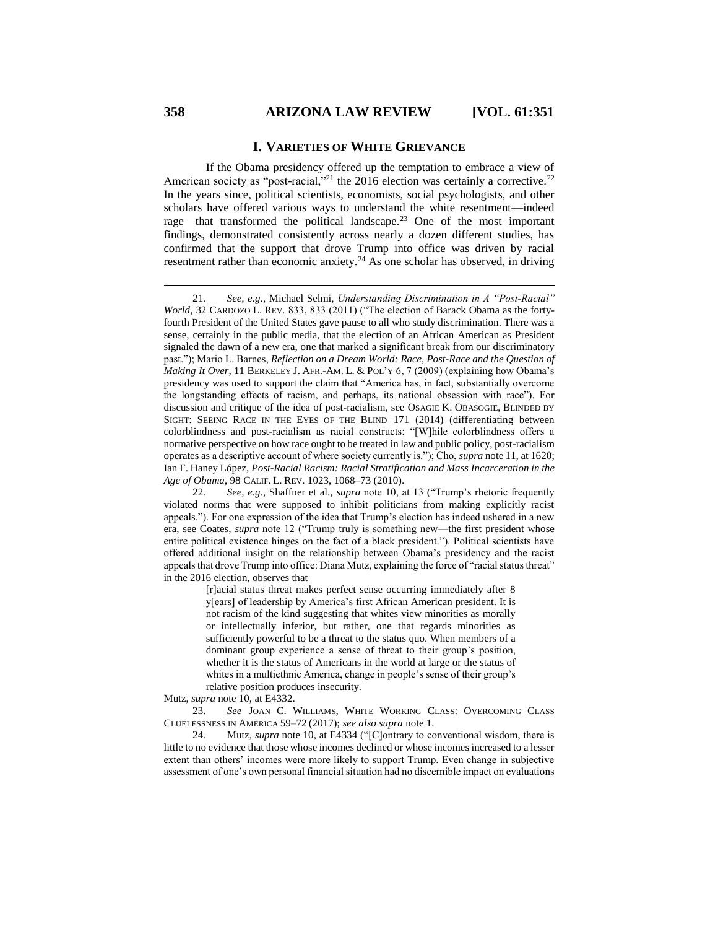#### **I. VARIETIES OF WHITE GRIEVANCE**

If the Obama presidency offered up the temptation to embrace a view of American society as "post-racial,"<sup>21</sup> the 2016 election was certainly a corrective.<sup>22</sup> In the years since, political scientists, economists, social psychologists, and other scholars have offered various ways to understand the white resentment—indeed rage—that transformed the political landscape.<sup>23</sup> One of the most important findings, demonstrated consistently across nearly a dozen different studies, has confirmed that the support that drove Trump into office was driven by racial resentment rather than economic anxiety.<sup>24</sup> As one scholar has observed, in driving

[r]acial status threat makes perfect sense occurring immediately after 8 y[ears] of leadership by America's first African American president. It is not racism of the kind suggesting that whites view minorities as morally or intellectually inferior, but rather, one that regards minorities as sufficiently powerful to be a threat to the status quo. When members of a dominant group experience a sense of threat to their group's position, whether it is the status of Americans in the world at large or the status of whites in a multiethnic America, change in people's sense of their group's relative position produces insecurity.

Mutz, *supra* note 10, at E4332.

23. *See* JOAN C. WILLIAMS, WHITE WORKING CLASS: OVERCOMING CLASS CLUELESSNESS IN AMERICA 59–72 (2017); *see also supra* note 1.

24. Mutz, *supra* note 10, at E4334 ("[C]ontrary to conventional wisdom, there is little to no evidence that those whose incomes declined or whose incomes increased to a lesser extent than others' incomes were more likely to support Trump. Even change in subjective assessment of one's own personal financial situation had no discernible impact on evaluations

<sup>21</sup>*. See, e.g.*, Michael Selmi, *Understanding Discrimination in A "Post-Racial" World*, 32 CARDOZO L. REV. 833, 833 (2011) ("The election of Barack Obama as the fortyfourth President of the United States gave pause to all who study discrimination. There was a sense, certainly in the public media, that the election of an African American as President signaled the dawn of a new era, one that marked a significant break from our discriminatory past."); Mario L. Barnes, *Reflection on a Dream World: Race, Post-Race and the Question of Making It Over*, 11 BERKELEY J. AFR.-AM. L. & POL'Y 6, 7 (2009) (explaining how Obama's presidency was used to support the claim that "America has, in fact, substantially overcome the longstanding effects of racism, and perhaps, its national obsession with race"). For discussion and critique of the idea of post-racialism, see OSAGIE K. OBASOGIE, BLINDED BY SIGHT: SEEING RACE IN THE EYES OF THE BLIND 171 (2014) (differentiating between colorblindness and post-racialism as racial constructs: "[W]hile colorblindness offers a normative perspective on how race ought to be treated in law and public policy, post-racialism operates as a descriptive account of where society currently is."); Cho, *supra* note 11, at 1620; Ian F. Haney López, *Post-Racial Racism: Racial Stratification and Mass Incarceration in the Age of Obama*, 98 CALIF. L. REV. 1023, 1068–73 (2010).

<sup>22.</sup> *See, e.g.*, Shaffner et al., *supra* note 10, at 13 ("Trump's rhetoric frequently violated norms that were supposed to inhibit politicians from making explicitly racist appeals."). For one expression of the idea that Trump's election has indeed ushered in a new era, see Coates, *supra* note 12 ("Trump truly is something new—the first president whose entire political existence hinges on the fact of a black president."). Political scientists have offered additional insight on the relationship between Obama's presidency and the racist appeals that drove Trump into office: Diana Mutz, explaining the force of "racial status threat" in the 2016 election, observes that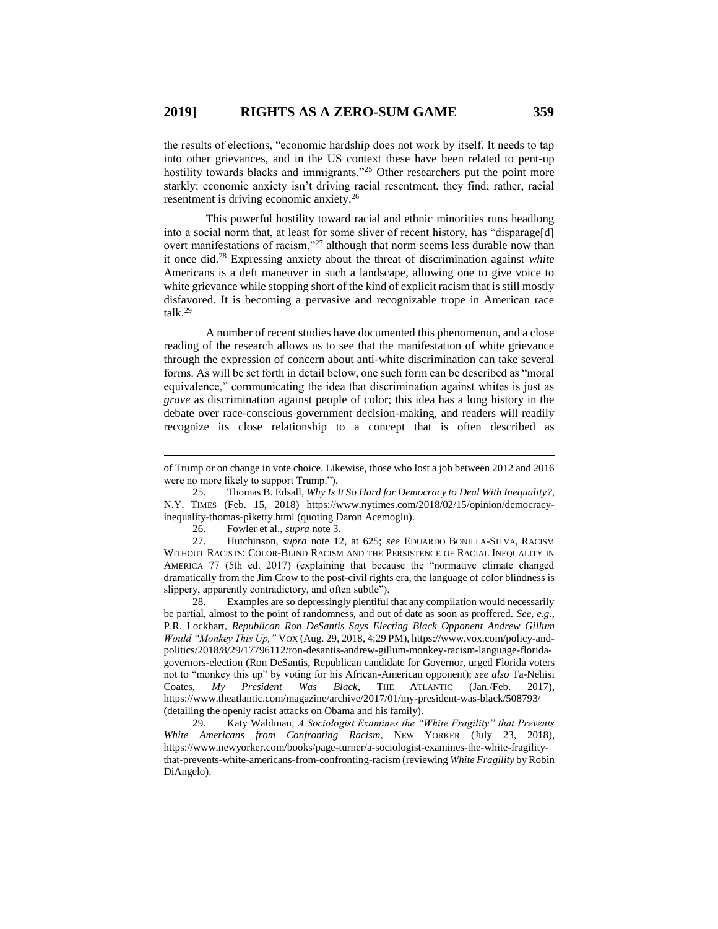the results of elections, "economic hardship does not work by itself. It needs to tap into other grievances, and in the US context these have been related to pent-up hostility towards blacks and immigrants."<sup>25</sup> Other researchers put the point more starkly: economic anxiety isn't driving racial resentment, they find; rather, racial resentment is driving economic anxiety.<sup>26</sup>

This powerful hostility toward racial and ethnic minorities runs headlong into a social norm that, at least for some sliver of recent history, has "disparage[d] overt manifestations of racism,"<sup>27</sup> although that norm seems less durable now than it once did.<sup>28</sup> Expressing anxiety about the threat of discrimination against *white* Americans is a deft maneuver in such a landscape, allowing one to give voice to white grievance while stopping short of the kind of explicit racism that is still mostly disfavored. It is becoming a pervasive and recognizable trope in American race talk.<sup>29</sup>

A number of recent studies have documented this phenomenon, and a close reading of the research allows us to see that the manifestation of white grievance through the expression of concern about anti-white discrimination can take several forms. As will be set forth in detail below, one such form can be described as "moral equivalence," communicating the idea that discrimination against whites is just as *grave* as discrimination against people of color; this idea has a long history in the debate over race-conscious government decision-making, and readers will readily recognize its close relationship to a concept that is often described as

26. Fowler et al., *supra* note 3.

 $\overline{a}$ 

27. Hutchinson, *supra* note 12, at 625; *see* EDUARDO BONILLA-SILVA, RACISM WITHOUT RACISTS: COLOR-BLIND RACISM AND THE PERSISTENCE OF RACIAL INEQUALITY IN AMERICA 77 (5th ed. 2017) (explaining that because the "normative climate changed dramatically from the Jim Crow to the post-civil rights era, the language of color blindness is slippery, apparently contradictory, and often subtle").

28. Examples are so depressingly plentiful that any compilation would necessarily be partial, almost to the point of randomness, and out of date as soon as proffered. *See, e.g.*, P.R. Lockhart, *Republican Ron DeSantis Says Electing Black Opponent Andrew Gillum Would "Monkey This Up,"* VOX (Aug. 29, 2018, 4:29 PM), https://www.vox.com/policy-andpolitics/2018/8/29/17796112/ron-desantis-andrew-gillum-monkey-racism-language-floridagovernors-election (Ron DeSantis, Republican candidate for Governor, urged Florida voters not to "monkey this up" by voting for his African-American opponent); *see also* Ta-Nehisi Coates, *My President Was Black*, THE ATLANTIC (Jan./Feb. 2017), https://www.theatlantic.com/magazine/archive/2017/01/my-president-was-black/508793/ (detailing the openly racist attacks on Obama and his family).

29. Katy Waldman, *A Sociologist Examines the "White Fragility" that Prevents White Americans from Confronting Racism*, NEW YORKER (July 23, 2018), https://www.newyorker.com/books/page-turner/a-sociologist-examines-the-white-fragilitythat-prevents-white-americans-from-confronting-racism (reviewing *White Fragility* by Robin DiAngelo).

of Trump or on change in vote choice. Likewise, those who lost a job between 2012 and 2016 were no more likely to support Trump.").

<sup>25.</sup> Thomas B. Edsall, *Why Is It So Hard for Democracy to Deal With Inequality?*, N.Y. TIMES (Feb. 15, 2018) https://www.nytimes.com/2018/02/15/opinion/democracyinequality-thomas-piketty.html (quoting Daron Acemoglu).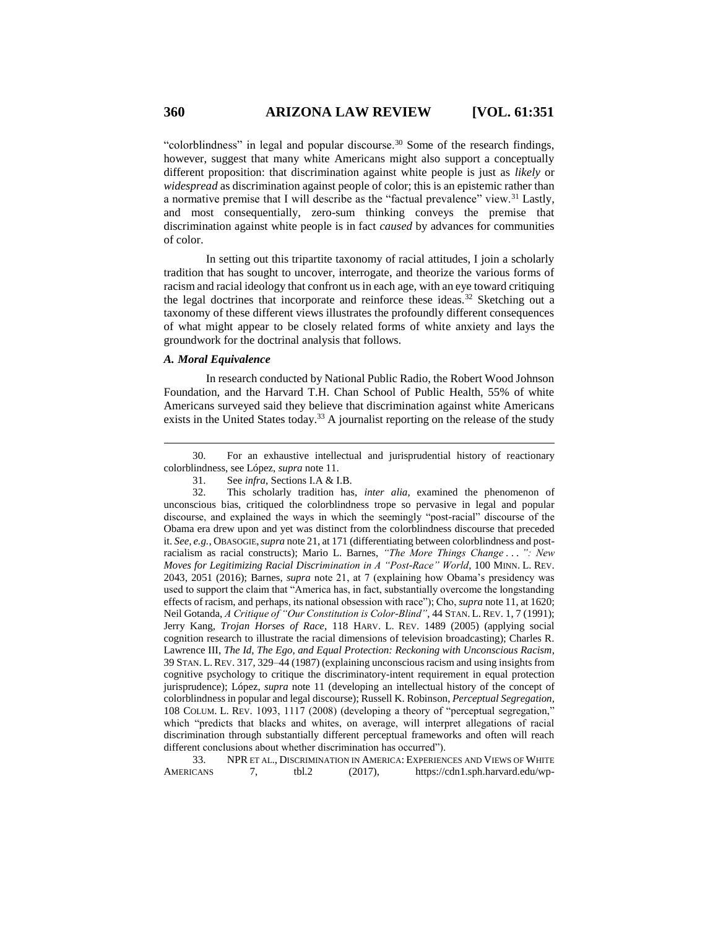"colorblindness" in legal and popular discourse. $30$  Some of the research findings, however, suggest that many white Americans might also support a conceptually different proposition: that discrimination against white people is just as *likely* or *widespread* as discrimination against people of color; this is an epistemic rather than a normative premise that I will describe as the "factual prevalence" view.<sup>31</sup> Lastly, and most consequentially, zero-sum thinking conveys the premise that discrimination against white people is in fact *caused* by advances for communities of color.

In setting out this tripartite taxonomy of racial attitudes, I join a scholarly tradition that has sought to uncover, interrogate, and theorize the various forms of racism and racial ideology that confront us in each age, with an eye toward critiquing the legal doctrines that incorporate and reinforce these ideas.<sup>32</sup> Sketching out a taxonomy of these different views illustrates the profoundly different consequences of what might appear to be closely related forms of white anxiety and lays the groundwork for the doctrinal analysis that follows.

### *A. Moral Equivalence*

 $\overline{a}$ 

In research conducted by National Public Radio, the Robert Wood Johnson Foundation, and the Harvard T.H. Chan School of Public Health, 55% of white Americans surveyed said they believe that discrimination against white Americans exists in the United States today.<sup>33</sup> A journalist reporting on the release of the study

33. NPR ET AL., DISCRIMINATION IN AMERICA: EXPERIENCES AND VIEWS OF WHITE AMERICANS 7, tbl.2 (2017), https://cdn1.sph.harvard.edu/wp-

<sup>30.</sup> For an exhaustive intellectual and jurisprudential history of reactionary colorblindness, see López, *supra* note 11.

<sup>31.</sup> See *infra*, Sections I.A & I.B.

<sup>32.</sup> This scholarly tradition has, *inter alia*, examined the phenomenon of unconscious bias, critiqued the colorblindness trope so pervasive in legal and popular discourse, and explained the ways in which the seemingly "post-racial" discourse of the Obama era drew upon and yet was distinct from the colorblindness discourse that preceded it. *See, e.g.*, OBASOGIE,*supra* note 21, at 171 (differentiating between colorblindness and postracialism as racial constructs); Mario L. Barnes, *"The More Things Change . . . ": New Moves for Legitimizing Racial Discrimination in A "Post-Race" World*, 100 MINN. L. REV. 2043, 2051 (2016); Barnes, *supra* note 21, at 7 (explaining how Obama's presidency was used to support the claim that "America has, in fact, substantially overcome the longstanding effects of racism, and perhaps, its national obsession with race"); Cho, *supra* note 11, at 1620; Neil Gotanda, *A Critique of "Our Constitution is Color-Blind"*, 44 STAN. L. REV. 1, 7 (1991); Jerry Kang, *Trojan Horses of Race*, 118 HARV. L. REV. 1489 (2005) (applying social cognition research to illustrate the racial dimensions of television broadcasting); Charles R. Lawrence III, *The Id, The Ego, and Equal Protection: Reckoning with Unconscious Racism*, 39 STAN. L.REV. 317, 329–44 (1987) (explaining unconscious racism and using insights from cognitive psychology to critique the discriminatory-intent requirement in equal protection jurisprudence); López, *supra* note 11 (developing an intellectual history of the concept of colorblindness in popular and legal discourse); Russell K. Robinson, *Perceptual Segregation*, 108 COLUM. L. REV. 1093, 1117 (2008) (developing a theory of "perceptual segregation," which "predicts that blacks and whites, on average, will interpret allegations of racial discrimination through substantially different perceptual frameworks and often will reach different conclusions about whether discrimination has occurred").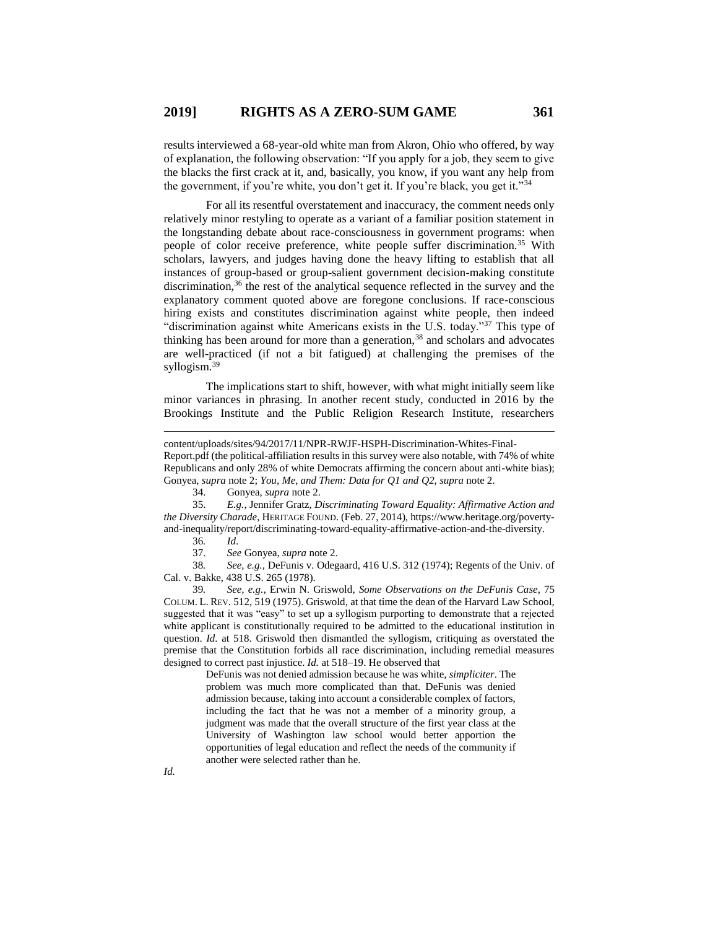results interviewed a 68-year-old white man from Akron, Ohio who offered, by way of explanation, the following observation: "If you apply for a job, they seem to give the blacks the first crack at it, and, basically, you know, if you want any help from the government, if you're white, you don't get it. If you're black, you get it."<sup>34</sup>

For all its resentful overstatement and inaccuracy, the comment needs only relatively minor restyling to operate as a variant of a familiar position statement in the longstanding debate about race-consciousness in government programs: when people of color receive preference, white people suffer discrimination.<sup>35</sup> With scholars, lawyers, and judges having done the heavy lifting to establish that all instances of group-based or group-salient government decision-making constitute discrimination,<sup>36</sup> the rest of the analytical sequence reflected in the survey and the explanatory comment quoted above are foregone conclusions. If race-conscious hiring exists and constitutes discrimination against white people, then indeed "discrimination against white Americans exists in the U.S. today."<sup>37</sup> This type of thinking has been around for more than a generation,<sup>38</sup> and scholars and advocates are well-practiced (if not a bit fatigued) at challenging the premises of the syllogism.<sup>39</sup>

The implications start to shift, however, with what might initially seem like minor variances in phrasing. In another recent study, conducted in 2016 by the Brookings Institute and the Public Religion Research Institute, researchers

Report.pdf (the political-affiliation results in this survey were also notable, with 74% of white Republicans and only 28% of white Democrats affirming the concern about anti-white bias); Gonyea, *supra* note 2; *You, Me, and Them: Data for Q1 and Q2*, *supra* note 2.

34. Gonyea, *supra* note 2.

35. *E.g.*, Jennifer Gratz, *Discriminating Toward Equality: Affirmative Action and the Diversity Charade*, HERITAGE FOUND. (Feb. 27, 2014), https://www.heritage.org/povertyand-inequality/report/discriminating-toward-equality-affirmative-action-and-the-diversity.

36*. Id*.

 $\overline{a}$ 

37. *See* Gonyea, *supra* note 2.

38*. See, e.g.*, DeFunis v. Odegaard, 416 U.S. 312 (1974); Regents of the Univ. of Cal. v. Bakke, 438 U.S. 265 (1978).

39*. See, e.g.*, Erwin N. Griswold, *Some Observations on the DeFunis Case*, 75 COLUM. L. REV. 512, 519 (1975). Griswold, at that time the dean of the Harvard Law School, suggested that it was "easy" to set up a syllogism purporting to demonstrate that a rejected white applicant is constitutionally required to be admitted to the educational institution in question. *Id.* at 518. Griswold then dismantled the syllogism, critiquing as overstated the premise that the Constitution forbids all race discrimination, including remedial measures designed to correct past injustice. *Id.* at 518–19. He observed that

> DeFunis was not denied admission because he was white, *simpliciter*. The problem was much more complicated than that. DeFunis was denied admission because, taking into account a considerable complex of factors, including the fact that he was not a member of a minority group, a judgment was made that the overall structure of the first year class at the University of Washington law school would better apportion the opportunities of legal education and reflect the needs of the community if another were selected rather than he.

content/uploads/sites/94/2017/11/NPR-RWJF-HSPH-Discrimination-Whites-Final-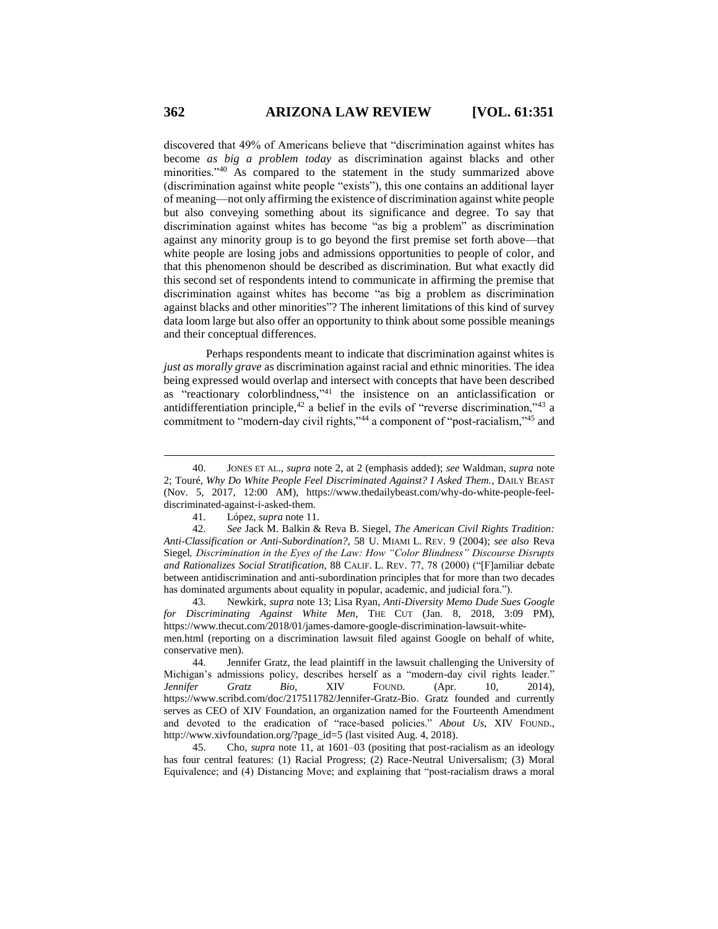discovered that 49% of Americans believe that "discrimination against whites has become *as big a problem today* as discrimination against blacks and other minorities."<sup>40</sup> As compared to the statement in the study summarized above (discrimination against white people "exists"), this one contains an additional layer of meaning—not only affirming the existence of discrimination against white people but also conveying something about its significance and degree. To say that discrimination against whites has become "as big a problem" as discrimination against any minority group is to go beyond the first premise set forth above—that white people are losing jobs and admissions opportunities to people of color, and that this phenomenon should be described as discrimination. But what exactly did this second set of respondents intend to communicate in affirming the premise that discrimination against whites has become "as big a problem as discrimination against blacks and other minorities"? The inherent limitations of this kind of survey data loom large but also offer an opportunity to think about some possible meanings and their conceptual differences.

Perhaps respondents meant to indicate that discrimination against whites is *just as morally grave* as discrimination against racial and ethnic minorities. The idea being expressed would overlap and intersect with concepts that have been described as "reactionary colorblindness," <sup>41</sup> the insistence on an anticlassification or antidifferentiation principle,<sup>42</sup> a belief in the evils of "reverse discrimination,"<sup>43</sup> a commitment to "modern-day civil rights,"<sup>44</sup> a component of "post-racialism,"<sup>45</sup> and

43. Newkirk, *supra* note 13; Lisa Ryan, *Anti-Diversity Memo Dude Sues Google for Discriminating Against White Men*, THE CUT (Jan. 8, 2018, 3:09 PM), https://www.thecut.com/2018/01/james-damore-google-discrimination-lawsuit-whitemen.html (reporting on a discrimination lawsuit filed against Google on behalf of white, conservative men).

44. Jennifer Gratz, the lead plaintiff in the lawsuit challenging the University of Michigan's admissions policy, describes herself as a "modern-day civil rights leader." *Jennifer Gratz Bio*, XIV FOUND. (Apr. 10, 2014), https://www.scribd.com/doc/217511782/Jennifer-Gratz-Bio. Gratz founded and currently serves as CEO of XIV Foundation, an organization named for the Fourteenth Amendment and devoted to the eradication of "race-based policies." *About Us*, XIV FOUND., http://www.xivfoundation.org/?page\_id=5 (last visited Aug. 4, 2018).

45. Cho, *supra* note 11, at 1601–03 (positing that post-racialism as an ideology has four central features: (1) Racial Progress; (2) Race-Neutral Universalism; (3) Moral Equivalence; and (4) Distancing Move; and explaining that "post-racialism draws a moral

<sup>40.</sup> JONES ET AL., *supra* note 2, at 2 (emphasis added); *see* Waldman, *supra* note 2; Touré, *Why Do White People Feel Discriminated Against? I Asked Them.*, DAILY BEAST (Nov. 5, 2017, 12:00 AM), https://www.thedailybeast.com/why-do-white-people-feeldiscriminated-against-i-asked-them.

<sup>41.</sup> López, *supra* note 11.

<sup>42.</sup> *See* Jack M. Balkin & Reva B. Siegel, *The American Civil Rights Tradition: Anti-Classification or Anti-Subordination?*, 58 U. MIAMI L. REV. 9 (2004); *see also* Reva Siegel*, Discrimination in the Eyes of the Law: How "Color Blindness" Discourse Disrupts and Rationalizes Social Stratification*, 88 CALIF. L. REV. 77, 78 (2000) ("[F]amiliar debate between antidiscrimination and anti-subordination principles that for more than two decades has dominated arguments about equality in popular, academic, and judicial fora.").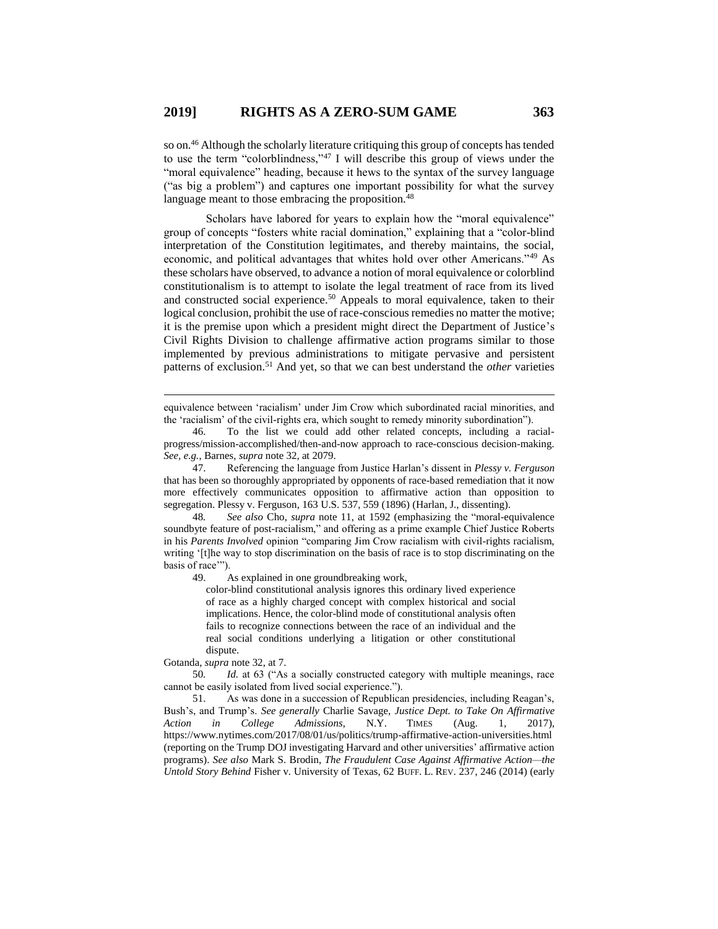so on.<sup>46</sup> Although the scholarly literature critiquing this group of concepts has tended to use the term "colorblindness,"<sup>47</sup> I will describe this group of views under the "moral equivalence" heading, because it hews to the syntax of the survey language ("as big a problem") and captures one important possibility for what the survey language meant to those embracing the proposition.<sup>48</sup>

Scholars have labored for years to explain how the "moral equivalence" group of concepts "fosters white racial domination," explaining that a "color-blind interpretation of the Constitution legitimates, and thereby maintains, the social, economic, and political advantages that whites hold over other Americans."<sup>49</sup> As these scholars have observed, to advance a notion of moral equivalence or colorblind constitutionalism is to attempt to isolate the legal treatment of race from its lived and constructed social experience.<sup>50</sup> Appeals to moral equivalence, taken to their logical conclusion, prohibit the use of race-conscious remedies no matter the motive; it is the premise upon which a president might direct the Department of Justice's Civil Rights Division to challenge affirmative action programs similar to those implemented by previous administrations to mitigate pervasive and persistent patterns of exclusion.<sup>51</sup> And yet, so that we can best understand the *other* varieties

equivalence between 'racialism' under Jim Crow which subordinated racial minorities, and the 'racialism' of the civil-rights era, which sought to remedy minority subordination").

47. Referencing the language from Justice Harlan's dissent in *Plessy v. Ferguson* that has been so thoroughly appropriated by opponents of race-based remediation that it now more effectively communicates opposition to affirmative action than opposition to segregation. Plessy v. Ferguson, 163 U.S. 537, 559 (1896) (Harlan, J., dissenting).

48*. See also* Cho, *supra* note 11, at 1592 (emphasizing the "moral-equivalence soundbyte feature of post-racialism," and offering as a prime example Chief Justice Roberts in his *Parents Involved* opinion "comparing Jim Crow racialism with civil-rights racialism, writing '[t]he way to stop discrimination on the basis of race is to stop discriminating on the basis of race'").

49. As explained in one groundbreaking work,

color-blind constitutional analysis ignores this ordinary lived experience of race as a highly charged concept with complex historical and social implications. Hence, the color-blind mode of constitutional analysis often fails to recognize connections between the race of an individual and the real social conditions underlying a litigation or other constitutional dispute.

Gotanda, *supra* note 32, at 7.

 $\overline{a}$ 

50*. Id.* at 63 ("As a socially constructed category with multiple meanings, race cannot be easily isolated from lived social experience.").

51. As was done in a succession of Republican presidencies, including Reagan's, Bush's, and Trump's. *See generally* Charlie Savage, *Justice Dept. to Take On Affirmative Action in College Admissions*, N.Y. TIMES (Aug. 1, 2017), https://www.nytimes.com/2017/08/01/us/politics/trump-affirmative-action-universities.html (reporting on the Trump DOJ investigating Harvard and other universities' affirmative action programs). *See also* Mark S. Brodin, *The Fraudulent Case Against Affirmative Action—the Untold Story Behind* Fisher v. University of Texas, 62 BUFF. L. REV. 237, 246 (2014) (early

<sup>46.</sup> To the list we could add other related concepts, including a racialprogress/mission-accomplished/then-and-now approach to race-conscious decision-making. *See, e.g.*, Barnes, *supra* note 32, at 2079.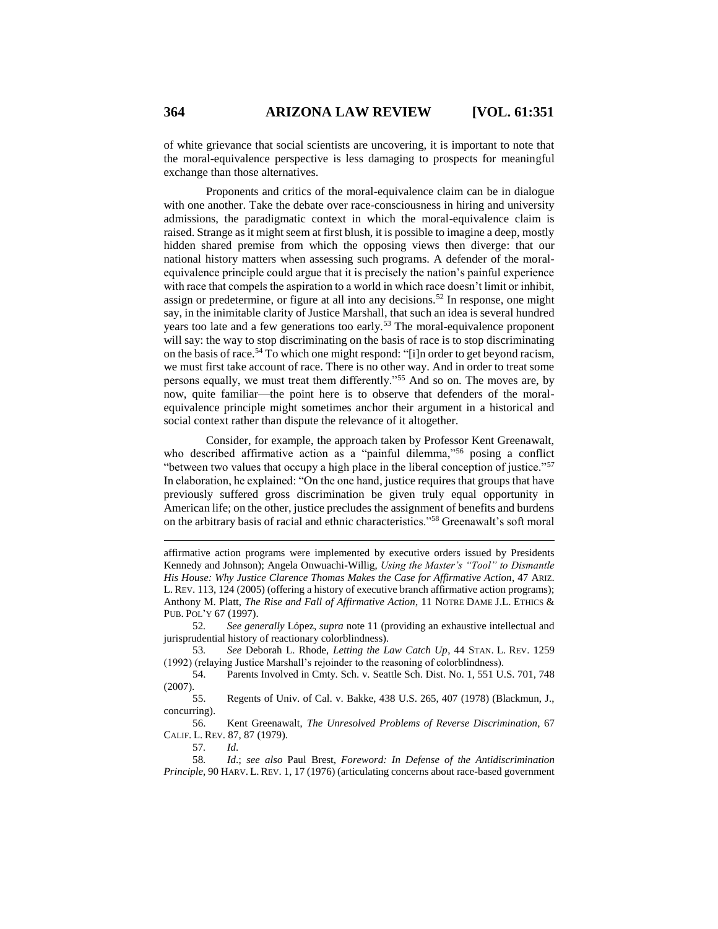of white grievance that social scientists are uncovering, it is important to note that the moral-equivalence perspective is less damaging to prospects for meaningful exchange than those alternatives.

Proponents and critics of the moral-equivalence claim can be in dialogue with one another. Take the debate over race-consciousness in hiring and university admissions, the paradigmatic context in which the moral-equivalence claim is raised. Strange as it might seem at first blush, it is possible to imagine a deep, mostly hidden shared premise from which the opposing views then diverge: that our national history matters when assessing such programs. A defender of the moralequivalence principle could argue that it is precisely the nation's painful experience with race that compels the aspiration to a world in which race doesn't limit or inhibit, assign or predetermine, or figure at all into any decisions.<sup>52</sup> In response, one might say, in the inimitable clarity of Justice Marshall, that such an idea is several hundred years too late and a few generations too early.<sup>53</sup> The moral-equivalence proponent will say: the way to stop discriminating on the basis of race is to stop discriminating on the basis of race.<sup>54</sup> To which one might respond: "[i]n order to get beyond racism, we must first take account of race. There is no other way. And in order to treat some persons equally, we must treat them differently."<sup>55</sup> And so on. The moves are, by now, quite familiar—the point here is to observe that defenders of the moralequivalence principle might sometimes anchor their argument in a historical and social context rather than dispute the relevance of it altogether.

Consider, for example, the approach taken by Professor Kent Greenawalt, who described affirmative action as a "painful dilemma,"<sup>56</sup> posing a conflict "between two values that occupy a high place in the liberal conception of justice."<sup>57</sup> In elaboration, he explained: "On the one hand, justice requires that groups that have previously suffered gross discrimination be given truly equal opportunity in American life; on the other, justice precludes the assignment of benefits and burdens on the arbitrary basis of racial and ethnic characteristics."<sup>58</sup> Greenawalt's soft moral

53*. See* Deborah L. Rhode, *Letting the Law Catch Up*, 44 STAN. L. REV. 1259 (1992) (relaying Justice Marshall's rejoinder to the reasoning of colorblindness).

54. Parents Involved in Cmty. Sch. v. Seattle Sch. Dist. No. 1, 551 U.S. 701, 748 (2007).

55. Regents of Univ. of Cal. v. Bakke, 438 U.S. 265, 407 (1978) (Blackmun, J., concurring).

56. Kent Greenawalt, *The Unresolved Problems of Reverse Discrimination*, 67 CALIF. L. REV. 87, 87 (1979).

57*. Id*.

 $\overline{a}$ 

58*. Id*.; *see also* Paul Brest, *Foreword: In Defense of the Antidiscrimination Principle*, 90 HARV. L. REV. 1, 17 (1976) (articulating concerns about race-based government

affirmative action programs were implemented by executive orders issued by Presidents Kennedy and Johnson); Angela Onwuachi-Willig, *Using the Master's "Tool" to Dismantle His House: Why Justice Clarence Thomas Makes the Case for Affirmative Action*, 47 ARIZ. L. REV. 113, 124 (2005) (offering a history of executive branch affirmative action programs); Anthony M. Platt, *The Rise and Fall of Affirmative Action*, 11 NOTRE DAME J.L. ETHICS & PUB. POL'Y 67 (1997).

<sup>52</sup>*. See generally* López, *supra* note 11 (providing an exhaustive intellectual and jurisprudential history of reactionary colorblindness).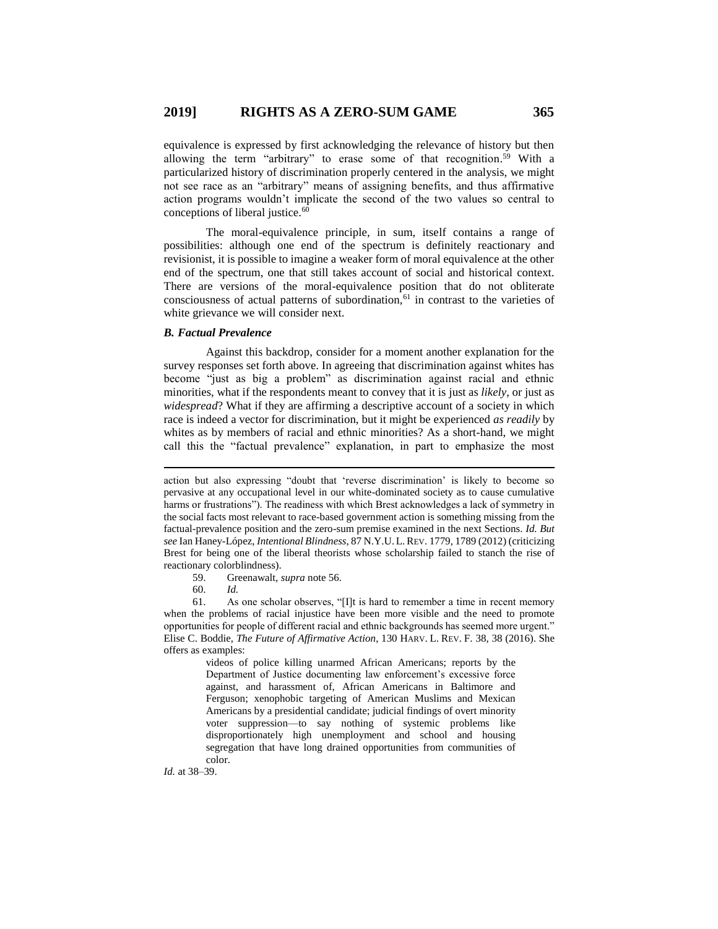equivalence is expressed by first acknowledging the relevance of history but then allowing the term "arbitrary" to erase some of that recognition. <sup>59</sup> With a particularized history of discrimination properly centered in the analysis, we might not see race as an "arbitrary" means of assigning benefits, and thus affirmative action programs wouldn't implicate the second of the two values so central to conceptions of liberal justice.<sup>60</sup>

The moral-equivalence principle, in sum, itself contains a range of possibilities: although one end of the spectrum is definitely reactionary and revisionist, it is possible to imagine a weaker form of moral equivalence at the other end of the spectrum, one that still takes account of social and historical context. There are versions of the moral-equivalence position that do not obliterate consciousness of actual patterns of subordination, $61$  in contrast to the varieties of white grievance we will consider next.

#### *B. Factual Prevalence*

Against this backdrop, consider for a moment another explanation for the survey responses set forth above. In agreeing that discrimination against whites has become "just as big a problem" as discrimination against racial and ethnic minorities, what if the respondents meant to convey that it is just as *likely*, or just as *widespread*? What if they are affirming a descriptive account of a society in which race is indeed a vector for discrimination, but it might be experienced *as readily* by whites as by members of racial and ethnic minorities? As a short-hand, we might call this the "factual prevalence" explanation, in part to emphasize the most

59. Greenawalt, *supra* note 56.

60. *Id.*

 $\overline{a}$ 

61. As one scholar observes, "[I]t is hard to remember a time in recent memory when the problems of racial injustice have been more visible and the need to promote opportunities for people of different racial and ethnic backgrounds has seemed more urgent." Elise C. Boddie, *The Future of Affirmative Action*, 130 HARV. L. REV. F. 38, 38 (2016). She offers as examples:

> videos of police killing unarmed African Americans; reports by the Department of Justice documenting law enforcement's excessive force against, and harassment of, African Americans in Baltimore and Ferguson; xenophobic targeting of American Muslims and Mexican Americans by a presidential candidate; judicial findings of overt minority voter suppression—to say nothing of systemic problems like disproportionately high unemployment and school and housing segregation that have long drained opportunities from communities of color.

*Id.* at 38–39.

action but also expressing "doubt that 'reverse discrimination' is likely to become so pervasive at any occupational level in our white-dominated society as to cause cumulative harms or frustrations"). The readiness with which Brest acknowledges a lack of symmetry in the social facts most relevant to race-based government action is something missing from the factual-prevalence position and the zero-sum premise examined in the next Sections. *Id. But see* Ian Haney-López, *Intentional Blindness*, 87 N.Y.U.L.REV. 1779, 1789 (2012) (criticizing Brest for being one of the liberal theorists whose scholarship failed to stanch the rise of reactionary colorblindness).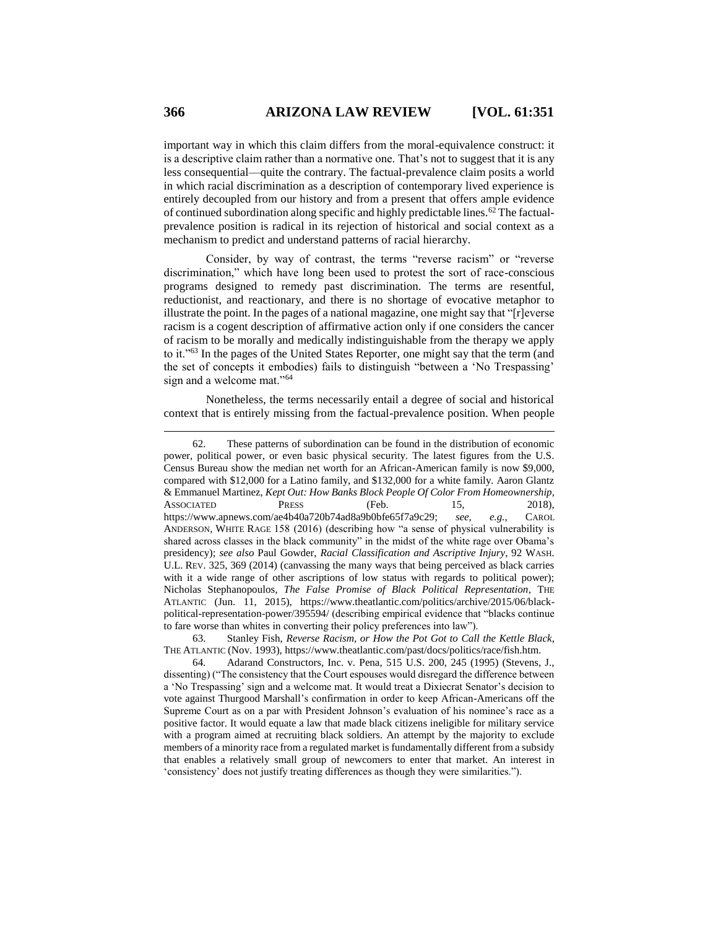important way in which this claim differs from the moral-equivalence construct: it is a descriptive claim rather than a normative one. That's not to suggest that it is any less consequential—quite the contrary. The factual-prevalence claim posits a world in which racial discrimination as a description of contemporary lived experience is entirely decoupled from our history and from a present that offers ample evidence of continued subordination along specific and highly predictable lines.<sup>62</sup> The factualprevalence position is radical in its rejection of historical and social context as a mechanism to predict and understand patterns of racial hierarchy.

Consider, by way of contrast, the terms "reverse racism" or "reverse discrimination," which have long been used to protest the sort of race-conscious programs designed to remedy past discrimination. The terms are resentful, reductionist, and reactionary, and there is no shortage of evocative metaphor to illustrate the point. In the pages of a national magazine, one might say that "[r]everse racism is a cogent description of affirmative action only if one considers the cancer of racism to be morally and medically indistinguishable from the therapy we apply to it."<sup>63</sup> In the pages of the United States Reporter, one might say that the term (and the set of concepts it embodies) fails to distinguish "between a 'No Trespassing' sign and a welcome mat."<sup>64</sup>

Nonetheless, the terms necessarily entail a degree of social and historical context that is entirely missing from the factual-prevalence position. When people

<sup>62.</sup> These patterns of subordination can be found in the distribution of economic power, political power, or even basic physical security. The latest figures from the U.S. Census Bureau show the median net worth for an African-American family is now \$9,000, compared with \$12,000 for a Latino family, and \$132,000 for a white family. Aaron Glantz & Emmanuel Martinez, *Kept Out: How Banks Block People Of Color From Homeownership*, ASSOCIATED PRESS (Feb. 15, 2018), https://www.apnews.com/ae4b40a720b74ad8a9b0bfe65f7a9c29; *see, e.g.*, CAROL ANDERSON, WHITE RAGE 158 (2016) (describing how "a sense of physical vulnerability is shared across classes in the black community" in the midst of the white rage over Obama's presidency); *see also* Paul Gowder, *Racial Classification and Ascriptive Injury*, 92 WASH. U.L. REV. 325, 369 (2014) (canvassing the many ways that being perceived as black carries with it a wide range of other ascriptions of low status with regards to political power); Nicholas Stephanopoulos, *The False Promise of Black Political Representation*, THE ATLANTIC (Jun. 11, 2015), https://www.theatlantic.com/politics/archive/2015/06/blackpolitical-representation-power/395594/ (describing empirical evidence that "blacks continue to fare worse than whites in converting their policy preferences into law").

<sup>63.</sup> Stanley Fish, *Reverse Racism, or How the Pot Got to Call the Kettle Black*, THE ATLANTIC (Nov. 1993), https://www.theatlantic.com/past/docs/politics/race/fish.htm.

<sup>64</sup>*.* Adarand Constructors, Inc. v. Pena, 515 U.S. 200, 245 (1995) (Stevens, J., dissenting) ("The consistency that the Court espouses would disregard the difference between a 'No Trespassing' sign and a welcome mat. It would treat a Dixiecrat Senator's decision to vote against Thurgood Marshall's confirmation in order to keep African-Americans off the Supreme Court as on a par with President Johnson's evaluation of his nominee's race as a positive factor. It would equate a law that made black citizens ineligible for military service with a program aimed at recruiting black soldiers. An attempt by the majority to exclude members of a minority race from a regulated market is fundamentally different from a subsidy that enables a relatively small group of newcomers to enter that market. An interest in 'consistency' does not justify treating differences as though they were similarities.").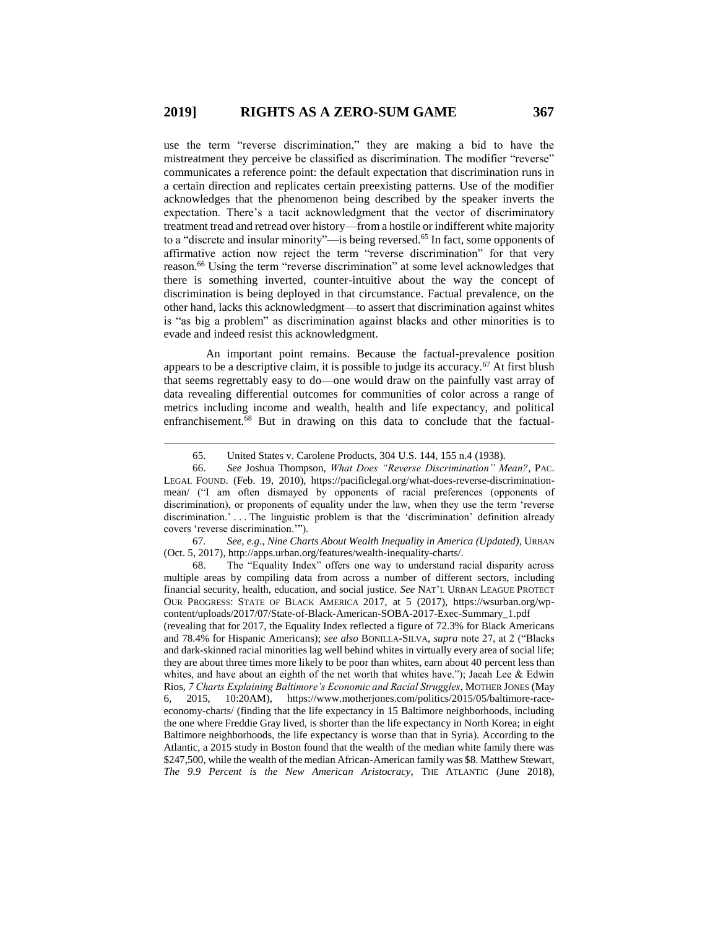use the term "reverse discrimination," they are making a bid to have the mistreatment they perceive be classified as discrimination. The modifier "reverse" communicates a reference point: the default expectation that discrimination runs in a certain direction and replicates certain preexisting patterns. Use of the modifier acknowledges that the phenomenon being described by the speaker inverts the expectation. There's a tacit acknowledgment that the vector of discriminatory treatment tread and retread over history—from a hostile or indifferent white majority to a "discrete and insular minority"—is being reversed.<sup>65</sup> In fact, some opponents of affirmative action now reject the term "reverse discrimination" for that very reason.<sup>66</sup> Using the term "reverse discrimination" at some level acknowledges that there is something inverted, counter-intuitive about the way the concept of discrimination is being deployed in that circumstance. Factual prevalence, on the other hand, lacks this acknowledgment—to assert that discrimination against whites is "as big a problem" as discrimination against blacks and other minorities is to evade and indeed resist this acknowledgment.

An important point remains. Because the factual-prevalence position appears to be a descriptive claim, it is possible to judge its accuracy.<sup>67</sup> At first blush that seems regrettably easy to do—one would draw on the painfully vast array of data revealing differential outcomes for communities of color across a range of metrics including income and wealth, health and life expectancy, and political enfranchisement.<sup>68</sup> But in drawing on this data to conclude that the factual-

 $\overline{a}$ 

67*. See, e.g.*, *Nine Charts About Wealth Inequality in America (Updated)*, URBAN (Oct. 5, 2017), http://apps.urban.org/features/wealth-inequality-charts/.

68. The "Equality Index" offers one way to understand racial disparity across multiple areas by compiling data from across a number of different sectors, including financial security, health, education, and social justice. *See* NAT'L URBAN LEAGUE PROTECT OUR PROGRESS: STATE OF BLACK AMERICA 2017, at 5 (2017), https://wsurban.org/wpcontent/uploads/2017/07/State-of-Black-American-SOBA-2017-Exec-Summary\_1.pdf

(revealing that for 2017, the Equality Index reflected a figure of 72.3% for Black Americans and 78.4% for Hispanic Americans); *see also* BONILLA-SILVA, *supra* note 27, at 2 ("Blacks and dark-skinned racial minorities lag well behind whites in virtually every area of social life; they are about three times more likely to be poor than whites, earn about 40 percent less than whites, and have about an eighth of the net worth that whites have."); Jaeah Lee & Edwin Rios, *7 Charts Explaining Baltimore's Economic and Racial Struggles*, MOTHER JONES (May 6, 2015, 10:20AM), https://www.motherjones.com/politics/2015/05/baltimore-raceeconomy-charts/ (finding that the life expectancy in 15 Baltimore neighborhoods, including the one where Freddie Gray lived, is shorter than the life expectancy in North Korea; in eight Baltimore neighborhoods, the life expectancy is worse than that in Syria). According to the Atlantic, a 2015 study in Boston found that the wealth of the median white family there was \$247,500, while the wealth of the median African-American family was \$8. Matthew Stewart, *The 9.9 Percent is the New American Aristocracy*, THE ATLANTIC (June 2018),

<sup>65.</sup> United States v. Carolene Products, 304 U.S. 144, 155 n.4 (1938).

<sup>66.</sup> *See* Joshua Thompson, *What Does "Reverse Discrimination" Mean?*, PAC. LEGAL FOUND. (Feb. 19, 2010), https://pacificlegal.org/what-does-reverse-discriminationmean/ ("I am often dismayed by opponents of racial preferences (opponents of discrimination), or proponents of equality under the law, when they use the term 'reverse discrimination.' . . . The linguistic problem is that the 'discrimination' definition already covers 'reverse discrimination.'").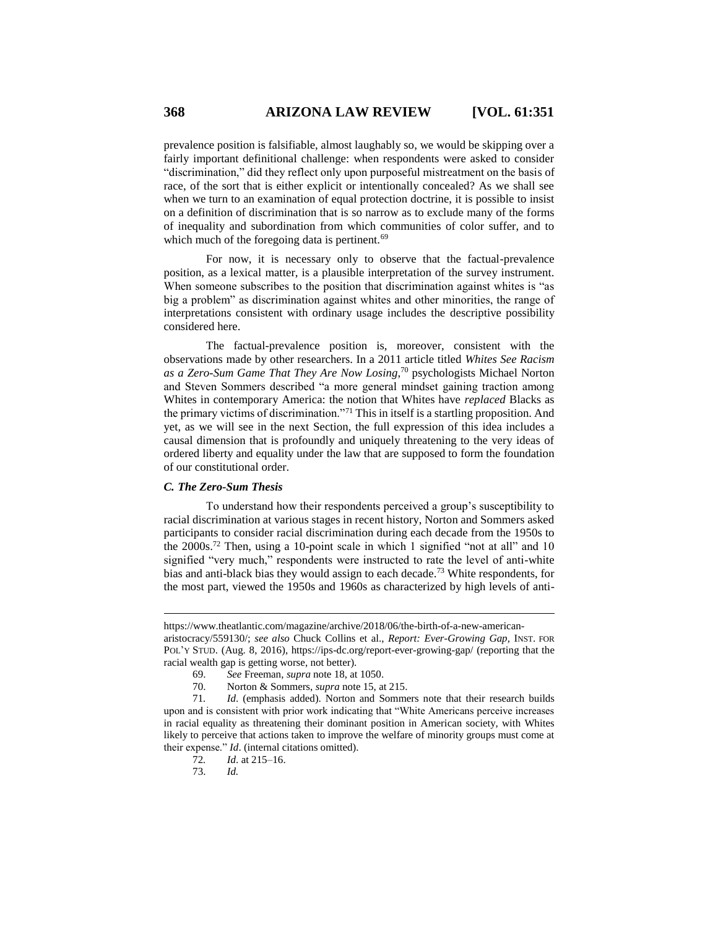prevalence position is falsifiable, almost laughably so, we would be skipping over a fairly important definitional challenge: when respondents were asked to consider "discrimination," did they reflect only upon purposeful mistreatment on the basis of race, of the sort that is either explicit or intentionally concealed? As we shall see when we turn to an examination of equal protection doctrine, it is possible to insist on a definition of discrimination that is so narrow as to exclude many of the forms of inequality and subordination from which communities of color suffer, and to which much of the foregoing data is pertinent.<sup>69</sup>

For now, it is necessary only to observe that the factual-prevalence position, as a lexical matter, is a plausible interpretation of the survey instrument. When someone subscribes to the position that discrimination against whites is "as big a problem" as discrimination against whites and other minorities, the range of interpretations consistent with ordinary usage includes the descriptive possibility considered here.

The factual-prevalence position is, moreover, consistent with the observations made by other researchers. In a 2011 article titled *Whites See Racism as a Zero-Sum Game That They Are Now Losing*, <sup>70</sup> psychologists Michael Norton and Steven Sommers described "a more general mindset gaining traction among Whites in contemporary America: the notion that Whites have *replaced* Blacks as the primary victims of discrimination."<sup>71</sup> This in itself is a startling proposition. And yet, as we will see in the next Section, the full expression of this idea includes a causal dimension that is profoundly and uniquely threatening to the very ideas of ordered liberty and equality under the law that are supposed to form the foundation of our constitutional order.

#### *C. The Zero-Sum Thesis*

To understand how their respondents perceived a group's susceptibility to racial discrimination at various stages in recent history, Norton and Sommers asked participants to consider racial discrimination during each decade from the 1950s to the 2000s.<sup>72</sup> Then, using a 10-point scale in which 1 signified "not at all" and 10 signified "very much," respondents were instructed to rate the level of anti-white bias and anti-black bias they would assign to each decade.<sup>73</sup> White respondents, for the most part, viewed the 1950s and 1960s as characterized by high levels of anti-

https://www.theatlantic.com/magazine/archive/2018/06/the-birth-of-a-new-american-

aristocracy/559130/; *see also* Chuck Collins et al., *Report: Ever-Growing Gap,* INST. FOR POL'Y STUD. (Aug. 8, 2016), https://ips-dc.org/report-ever-growing-gap/ (reporting that the racial wealth gap is getting worse, not better).

<sup>69.</sup> *See* Freeman, *supra* note 18, at 1050.

<sup>70.</sup> Norton & Sommers, *supra* note 15, at 215.

<sup>71</sup>*. Id*. (emphasis added). Norton and Sommers note that their research builds upon and is consistent with prior work indicating that "White Americans perceive increases in racial equality as threatening their dominant position in American society, with Whites likely to perceive that actions taken to improve the welfare of minority groups must come at their expense." *Id*. (internal citations omitted).

<sup>72</sup>*. Id*. at 215–16.

<sup>73.</sup> *Id.*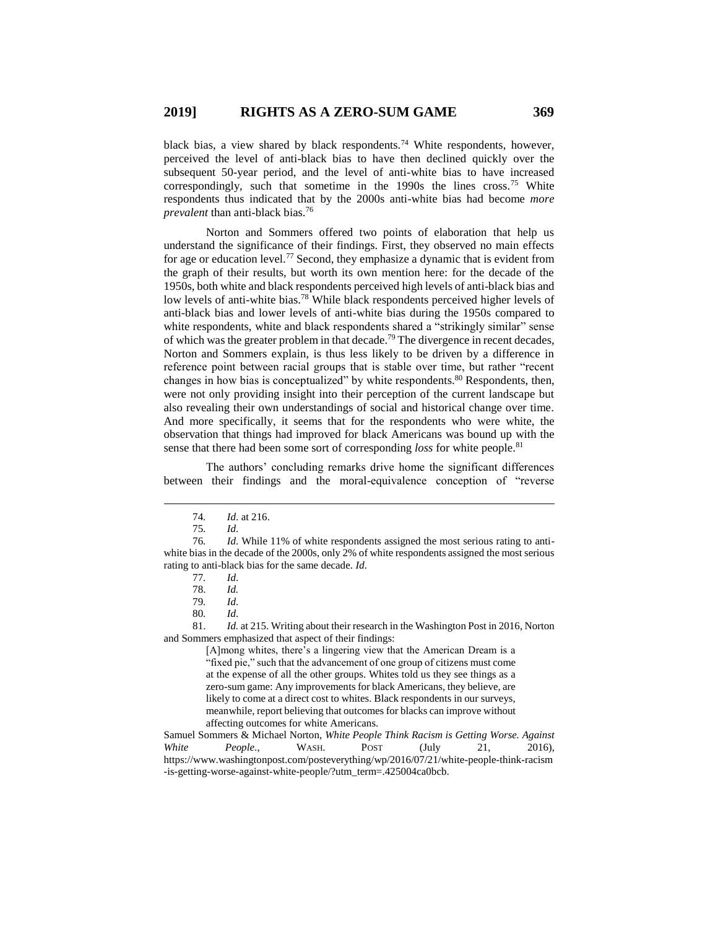black bias, a view shared by black respondents.<sup>74</sup> White respondents, however, perceived the level of anti-black bias to have then declined quickly over the subsequent 50-year period, and the level of anti-white bias to have increased correspondingly, such that sometime in the 1990s the lines cross.<sup>75</sup> White respondents thus indicated that by the 2000s anti-white bias had become *more prevalent* than anti-black bias.<sup>76</sup>

Norton and Sommers offered two points of elaboration that help us understand the significance of their findings. First, they observed no main effects for age or education level.<sup>77</sup> Second, they emphasize a dynamic that is evident from the graph of their results, but worth its own mention here: for the decade of the 1950s, both white and black respondents perceived high levels of anti-black bias and low levels of anti-white bias.<sup>78</sup> While black respondents perceived higher levels of anti-black bias and lower levels of anti-white bias during the 1950s compared to white respondents, white and black respondents shared a "strikingly similar" sense of which was the greater problem in that decade.<sup>79</sup> The divergence in recent decades, Norton and Sommers explain, is thus less likely to be driven by a difference in reference point between racial groups that is stable over time, but rather "recent changes in how bias is conceptualized" by white respondents.<sup>80</sup> Respondents, then, were not only providing insight into their perception of the current landscape but also revealing their own understandings of social and historical change over time. And more specifically, it seems that for the respondents who were white, the observation that things had improved for black Americans was bound up with the sense that there had been some sort of corresponding *loss* for white people.<sup>81</sup>

The authors' concluding remarks drive home the significant differences between their findings and the moral-equivalence conception of "reverse

 $\overline{a}$ 

[A]mong whites, there's a lingering view that the American Dream is a "fixed pie," such that the advancement of one group of citizens must come at the expense of all the other groups. Whites told us they see things as a zero-sum game: Any improvements for black Americans, they believe, are likely to come at a direct cost to whites. Black respondents in our surveys, meanwhile, report believing that outcomes for blacks can improve without affecting outcomes for white Americans.

Samuel Sommers & Michael Norton, *White People Think Racism is Getting Worse. Against White People*., WASH. POST (July 21, 2016), https://www.washingtonpost.com/posteverything/wp/2016/07/21/white-people-think-racism -is-getting-worse-against-white-people/?utm\_term=.425004ca0bcb.

<sup>74</sup>*. Id*. at 216.

<sup>75</sup>*. Id*.

<sup>76</sup>*. Id*. While 11% of white respondents assigned the most serious rating to antiwhite bias in the decade of the 2000s, only 2% of white respondents assigned the most serious rating to anti-black bias for the same decade. *Id*.

<sup>77</sup>*. Id*.

<sup>78.</sup> *Id.*

<sup>79</sup>*. Id*.

<sup>80</sup>*. Id*.

<sup>81.</sup> *Id.* at 215. Writing about their research in the Washington Post in 2016, Norton and Sommers emphasized that aspect of their findings: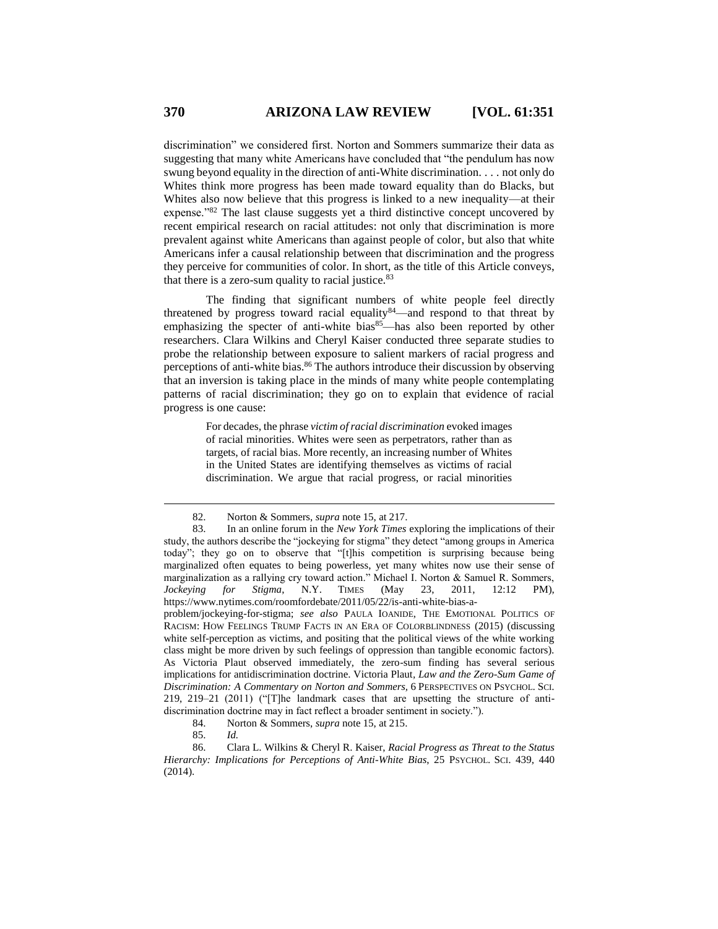discrimination" we considered first. Norton and Sommers summarize their data as suggesting that many white Americans have concluded that "the pendulum has now swung beyond equality in the direction of anti-White discrimination. . . . not only do Whites think more progress has been made toward equality than do Blacks, but Whites also now believe that this progress is linked to a new inequality—at their expense."<sup>82</sup> The last clause suggests yet a third distinctive concept uncovered by recent empirical research on racial attitudes: not only that discrimination is more prevalent against white Americans than against people of color, but also that white Americans infer a causal relationship between that discrimination and the progress they perceive for communities of color. In short, as the title of this Article conveys, that there is a zero-sum quality to racial justice. $83$ 

The finding that significant numbers of white people feel directly threatened by progress toward racial equality  $84$ —and respond to that threat by emphasizing the specter of anti-white bias<sup>85</sup>—has also been reported by other researchers. Clara Wilkins and Cheryl Kaiser conducted three separate studies to probe the relationship between exposure to salient markers of racial progress and perceptions of anti-white bias.<sup>86</sup> The authors introduce their discussion by observing that an inversion is taking place in the minds of many white people contemplating patterns of racial discrimination; they go on to explain that evidence of racial progress is one cause:

> For decades, the phrase *victim of racial discrimination* evoked images of racial minorities. Whites were seen as perpetrators, rather than as targets, of racial bias. More recently, an increasing number of Whites in the United States are identifying themselves as victims of racial discrimination. We argue that racial progress, or racial minorities

problem/jockeying-for-stigma; *see also* PAULA IOANIDE, THE EMOTIONAL POLITICS OF RACISM: HOW FEELINGS TRUMP FACTS IN AN ERA OF COLORBLINDNESS (2015) (discussing white self-perception as victims, and positing that the political views of the white working class might be more driven by such feelings of oppression than tangible economic factors). As Victoria Plaut observed immediately, the zero-sum finding has several serious implications for antidiscrimination doctrine. Victoria Plaut*, Law and the Zero-Sum Game of Discrimination: A Commentary on Norton and Sommers,* 6 PERSPECTIVES ON PSYCHOL. SCI. 219, 219–21 (2011) ("[T]he landmark cases that are upsetting the structure of antidiscrimination doctrine may in fact reflect a broader sentiment in society.").

<sup>82.</sup> Norton & Sommers, *supra* note 15, at 217.

<sup>83.</sup> In an online forum in the *New York Times* exploring the implications of their study, the authors describe the "jockeying for stigma" they detect "among groups in America today"; they go on to observe that "[t]his competition is surprising because being marginalized often equates to being powerless, yet many whites now use their sense of marginalization as a rallying cry toward action." Michael I. Norton & Samuel R. Sommers, *Jockeying for Stigma*, N.Y. TIMES (May 23, 2011, 12:12 PM), https://www.nytimes.com/roomfordebate/2011/05/22/is-anti-white-bias-a-

<sup>84.</sup> Norton & Sommers, *supra* note 15, at 215.

<sup>85.</sup> *Id.*

<sup>86.</sup> Clara L. Wilkins & Cheryl R. Kaiser, *Racial Progress as Threat to the Status Hierarchy: Implications for Perceptions of Anti-White Bias*, 25 PSYCHOL. SCI. 439, 440 (2014).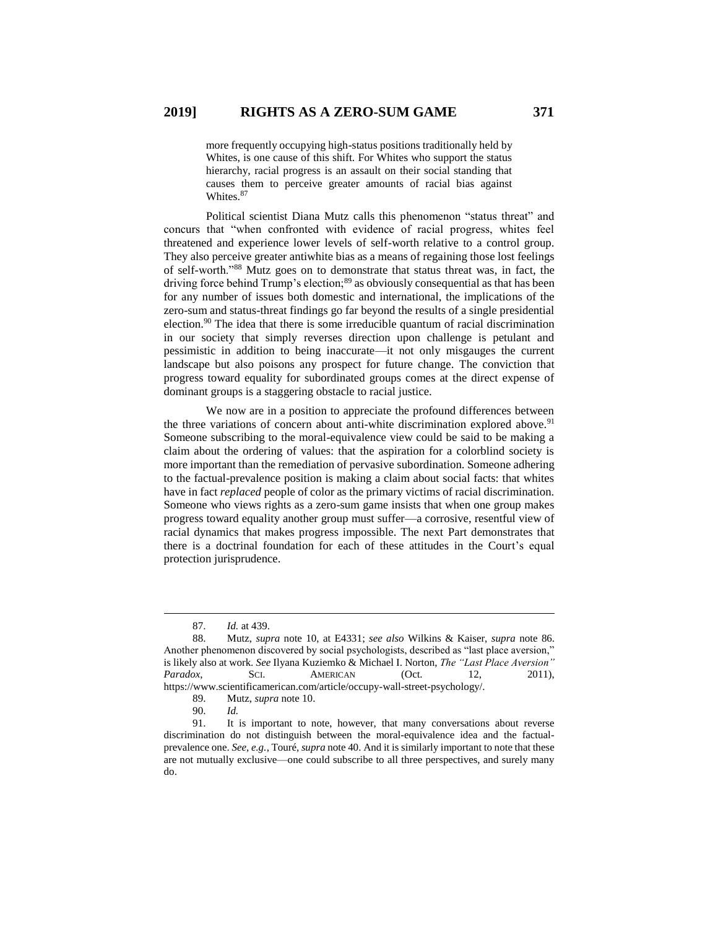more frequently occupying high-status positions traditionally held by Whites, is one cause of this shift. For Whites who support the status hierarchy, racial progress is an assault on their social standing that causes them to perceive greater amounts of racial bias against Whites.<sup>87</sup>

Political scientist Diana Mutz calls this phenomenon "status threat" and concurs that "when confronted with evidence of racial progress, whites feel threatened and experience lower levels of self-worth relative to a control group. They also perceive greater antiwhite bias as a means of regaining those lost feelings of self-worth."<sup>88</sup> Mutz goes on to demonstrate that status threat was, in fact, the driving force behind Trump's election;<sup>89</sup> as obviously consequential as that has been for any number of issues both domestic and international, the implications of the zero-sum and status-threat findings go far beyond the results of a single presidential election.<sup>90</sup> The idea that there is some irreducible quantum of racial discrimination in our society that simply reverses direction upon challenge is petulant and pessimistic in addition to being inaccurate—it not only misgauges the current landscape but also poisons any prospect for future change. The conviction that progress toward equality for subordinated groups comes at the direct expense of dominant groups is a staggering obstacle to racial justice.

We now are in a position to appreciate the profound differences between the three variations of concern about anti-white discrimination explored above.<sup>91</sup> Someone subscribing to the moral-equivalence view could be said to be making a claim about the ordering of values: that the aspiration for a colorblind society is more important than the remediation of pervasive subordination. Someone adhering to the factual-prevalence position is making a claim about social facts: that whites have in fact *replaced* people of color as the primary victims of racial discrimination. Someone who views rights as a zero-sum game insists that when one group makes progress toward equality another group must suffer—a corrosive, resentful view of racial dynamics that makes progress impossible. The next Part demonstrates that there is a doctrinal foundation for each of these attitudes in the Court's equal protection jurisprudence.

<sup>87.</sup> *Id.* at 439.

<sup>88.</sup> Mutz, *supra* note 10, at E4331; *see also* Wilkins & Kaiser, *supra* note 86. Another phenomenon discovered by social psychologists, described as "last place aversion," is likely also at work. *See* Ilyana Kuziemko & Michael I. Norton, *The "Last Place Aversion" Paradox*, SCI. AMERICAN (Oct. 12, 2011), https://www.scientificamerican.com/article/occupy-wall-street-psychology/.

<sup>89.</sup> Mutz, *supra* note 10.

<sup>90.</sup> *Id.*

It is important to note, however, that many conversations about reverse discrimination do not distinguish between the moral-equivalence idea and the factualprevalence one. *See, e.g.*, Touré, *supra* note 40. And it is similarly important to note that these are not mutually exclusive—one could subscribe to all three perspectives, and surely many do.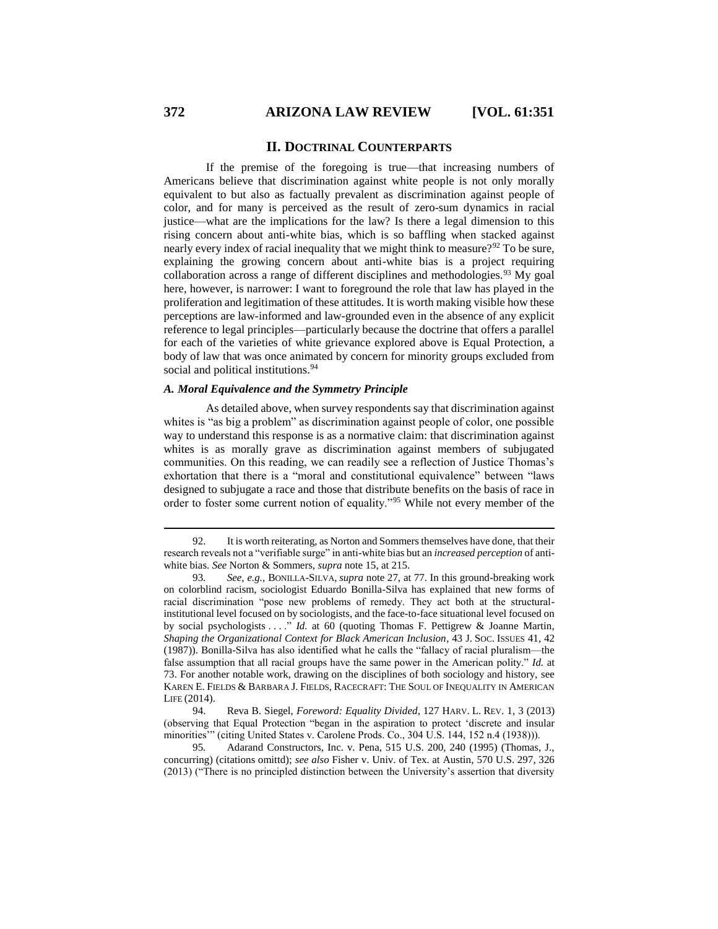#### **II. DOCTRINAL COUNTERPARTS**

If the premise of the foregoing is true—that increasing numbers of Americans believe that discrimination against white people is not only morally equivalent to but also as factually prevalent as discrimination against people of color, and for many is perceived as the result of zero-sum dynamics in racial justice—what are the implications for the law? Is there a legal dimension to this rising concern about anti-white bias, which is so baffling when stacked against nearly every index of racial inequality that we might think to measure?<sup>92</sup> To be sure, explaining the growing concern about anti-white bias is a project requiring collaboration across a range of different disciplines and methodologies.<sup>93</sup> My goal here, however, is narrower: I want to foreground the role that law has played in the proliferation and legitimation of these attitudes. It is worth making visible how these perceptions are law-informed and law-grounded even in the absence of any explicit reference to legal principles—particularly because the doctrine that offers a parallel for each of the varieties of white grievance explored above is Equal Protection, a body of law that was once animated by concern for minority groups excluded from social and political institutions.<sup>94</sup>

## *A. Moral Equivalence and the Symmetry Principle*

As detailed above, when survey respondents say that discrimination against whites is "as big a problem" as discrimination against people of color, one possible way to understand this response is as a normative claim: that discrimination against whites is as morally grave as discrimination against members of subjugated communities. On this reading, we can readily see a reflection of Justice Thomas's exhortation that there is a "moral and constitutional equivalence" between "laws designed to subjugate a race and those that distribute benefits on the basis of race in order to foster some current notion of equality."<sup>95</sup> While not every member of the

<sup>92.</sup> It is worth reiterating, as Norton and Sommers themselves have done, that their research reveals not a "verifiable surge" in anti-white bias but an *increased perception* of antiwhite bias. *See* Norton & Sommers, *supra* note 15, at 215.

<sup>93</sup>*. See, e.g.*, BONILLA-SILVA, *supra* note 27, at 77. In this ground-breaking work on colorblind racism, sociologist Eduardo Bonilla-Silva has explained that new forms of racial discrimination "pose new problems of remedy. They act both at the structuralinstitutional level focused on by sociologists, and the face-to-face situational level focused on by social psychologists . . . ." *Id.* at 60 (quoting Thomas F. Pettigrew & Joanne Martin, *Shaping the Organizational Context for Black American Inclusion*, 43 J. SOC. ISSUES 41, 42 (1987)). Bonilla-Silva has also identified what he calls the "fallacy of racial pluralism—the false assumption that all racial groups have the same power in the American polity." *Id.* at 73. For another notable work, drawing on the disciplines of both sociology and history, see KAREN E. FIELDS & BARBARA J. FIELDS, RACECRAFT: THE SOUL OF INEQUALITY IN AMERICAN LIFE (2014).

<sup>94.</sup> Reva B. Siegel, *Foreword: Equality Divided*, 127 HARV. L. REV. 1, 3 (2013) (observing that Equal Protection "began in the aspiration to protect 'discrete and insular minorities'" (citing United States v. Carolene Prods. Co., 304 U.S. 144, 152 n.4 (1938))).

<sup>95</sup>*.* Adarand Constructors, Inc. v. Pena, 515 U.S. 200, 240 (1995) (Thomas, J., concurring) (citations omittd); *see also* Fisher v. Univ. of Tex. at Austin, 570 U.S. 297, 326 (2013) ("There is no principled distinction between the University's assertion that diversity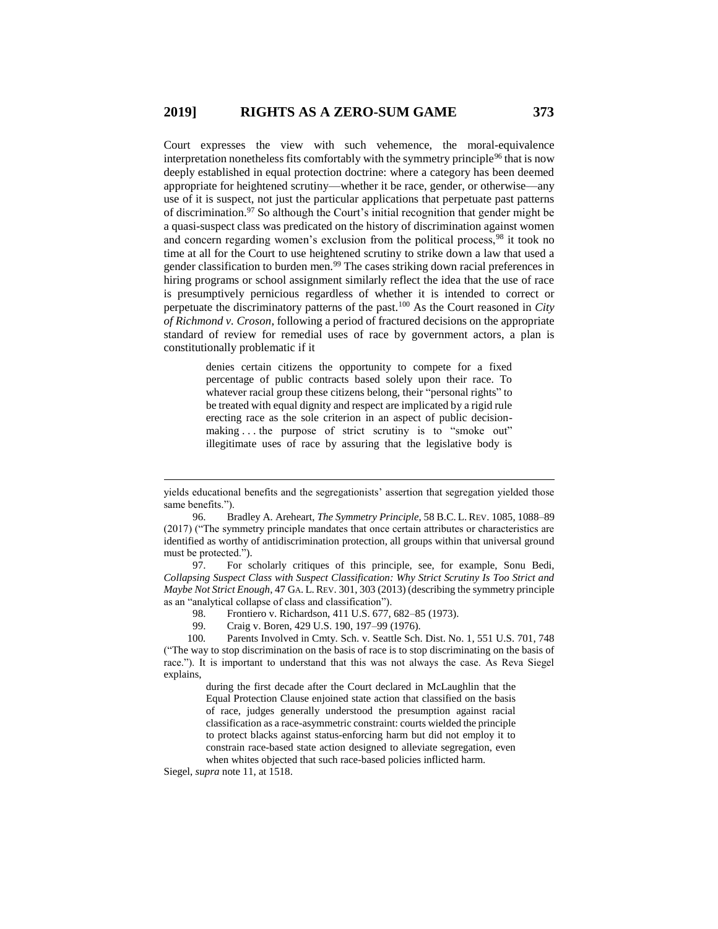Court expresses the view with such vehemence, the moral-equivalence interpretation nonetheless fits comfortably with the symmetry principle<sup>96</sup> that is now deeply established in equal protection doctrine: where a category has been deemed appropriate for heightened scrutiny—whether it be race, gender, or otherwise—any use of it is suspect, not just the particular applications that perpetuate past patterns of discrimination.<sup>97</sup> So although the Court's initial recognition that gender might be a quasi-suspect class was predicated on the history of discrimination against women and concern regarding women's exclusion from the political process, <sup>98</sup> it took no time at all for the Court to use heightened scrutiny to strike down a law that used a gender classification to burden men.<sup>99</sup> The cases striking down racial preferences in hiring programs or school assignment similarly reflect the idea that the use of race is presumptively pernicious regardless of whether it is intended to correct or perpetuate the discriminatory patterns of the past.<sup>100</sup> As the Court reasoned in *City of Richmond v. Croson*, following a period of fractured decisions on the appropriate standard of review for remedial uses of race by government actors, a plan is constitutionally problematic if it

> denies certain citizens the opportunity to compete for a fixed percentage of public contracts based solely upon their race. To whatever racial group these citizens belong, their "personal rights" to be treated with equal dignity and respect are implicated by a rigid rule erecting race as the sole criterion in an aspect of public decisionmaking ... the purpose of strict scrutiny is to "smoke out" illegitimate uses of race by assuring that the legislative body is

97. For scholarly critiques of this principle, see, for example, Sonu Bedi, *Collapsing Suspect Class with Suspect Classification: Why Strict Scrutiny Is Too Strict and Maybe Not Strict Enough*, 47 GA. L.REV. 301, 303 (2013) (describing the symmetry principle as an "analytical collapse of class and classification").

- 98. Frontiero v. Richardson, 411 U.S. 677, 682–85 (1973).
- 99. Craig v. Boren, 429 U.S. 190, 197–99 (1976).

100*.* Parents Involved in Cmty. Sch. v. Seattle Sch. Dist. No. 1, 551 U.S. 701, 748 ("The way to stop discrimination on the basis of race is to stop discriminating on the basis of race."). It is important to understand that this was not always the case. As Reva Siegel explains,

> during the first decade after the Court declared in McLaughlin that the Equal Protection Clause enjoined state action that classified on the basis of race, judges generally understood the presumption against racial classification as a race-asymmetric constraint: courts wielded the principle to protect blacks against status-enforcing harm but did not employ it to constrain race-based state action designed to alleviate segregation, even when whites objected that such race-based policies inflicted harm.

Siegel, *supra* note 11, at 1518.

yields educational benefits and the segregationists' assertion that segregation yielded those same benefits.").

<sup>96.</sup> Bradley A. Areheart, *The Symmetry Principle*, 58 B.C. L. REV. 1085, 1088–89 (2017) ("The symmetry principle mandates that once certain attributes or characteristics are identified as worthy of antidiscrimination protection, all groups within that universal ground must be protected.").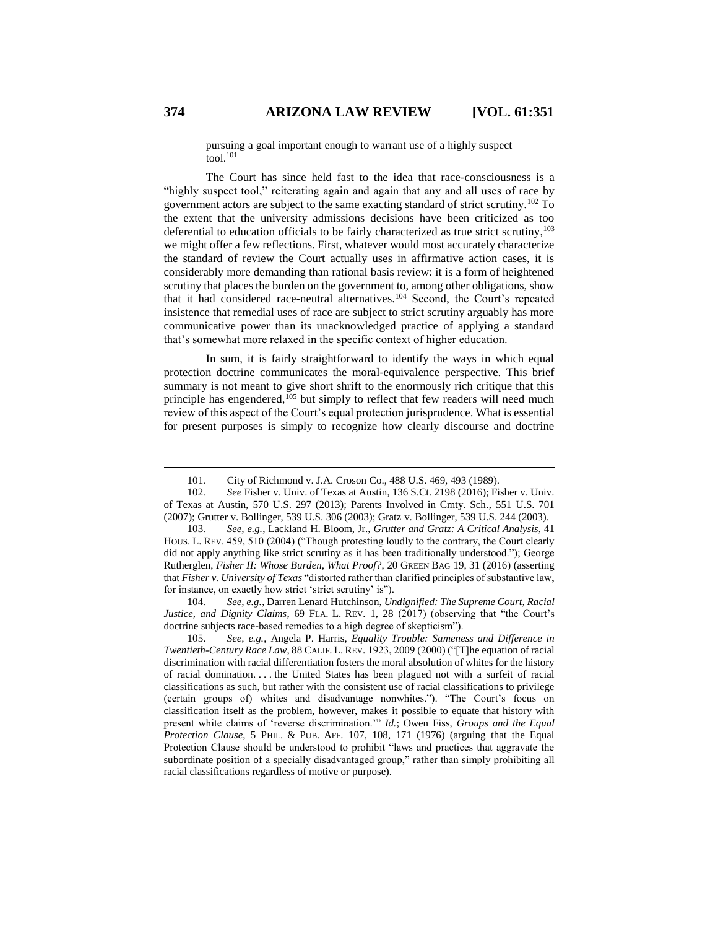pursuing a goal important enough to warrant use of a highly suspect  $\frac{1}{100}$ 

The Court has since held fast to the idea that race-consciousness is a "highly suspect tool," reiterating again and again that any and all uses of race by government actors are subject to the same exacting standard of strict scrutiny.<sup>102</sup> To the extent that the university admissions decisions have been criticized as too deferential to education officials to be fairly characterized as true strict scrutiny, 103 we might offer a few reflections. First, whatever would most accurately characterize the standard of review the Court actually uses in affirmative action cases, it is considerably more demanding than rational basis review: it is a form of heightened scrutiny that places the burden on the government to, among other obligations, show that it had considered race-neutral alternatives.<sup>104</sup> Second, the Court's repeated insistence that remedial uses of race are subject to strict scrutiny arguably has more communicative power than its unacknowledged practice of applying a standard that's somewhat more relaxed in the specific context of higher education.

In sum, it is fairly straightforward to identify the ways in which equal protection doctrine communicates the moral-equivalence perspective. This brief summary is not meant to give short shrift to the enormously rich critique that this principle has engendered,<sup>105</sup> but simply to reflect that few readers will need much review of this aspect of the Court's equal protection jurisprudence. What is essential for present purposes is simply to recognize how clearly discourse and doctrine

104*. See, e.g.*, Darren Lenard Hutchinson, *Undignified: The Supreme Court, Racial Justice, and Dignity Claims*, 69 FLA. L. REV. 1, 28 (2017) (observing that "the Court's doctrine subjects race-based remedies to a high degree of skepticism").

<sup>101</sup>*.* City of Richmond v. J.A. Croson Co., 488 U.S. 469, 493 (1989).

<sup>102</sup>*. See* Fisher v. Univ. of Texas at Austin, 136 S.Ct. 2198 (2016); Fisher v. Univ. of Texas at Austin, 570 U.S. 297 (2013); Parents Involved in Cmty. Sch*.*, 551 U.S. 701 (2007); Grutter v. Bollinger, 539 U.S. 306 (2003); Gratz v. Bollinger, 539 U.S. 244 (2003).

<sup>103</sup>*. See, e.g.*, Lackland H. Bloom, Jr., *Grutter and Gratz: A Critical Analysis*, 41 HOUS. L. REV. 459, 510 (2004) ("Though protesting loudly to the contrary, the Court clearly did not apply anything like strict scrutiny as it has been traditionally understood."); George Rutherglen, *Fisher II: Whose Burden, What Proof?*, 20 GREEN BAG 19, 31 (2016) (asserting that *Fisher v. University of Texas* "distorted rather than clarified principles of substantive law, for instance, on exactly how strict 'strict scrutiny' is").

<sup>105.</sup> *See, e.g.*, Angela P. Harris, *Equality Trouble: Sameness and Difference in Twentieth-Century Race Law*, 88 CALIF. L. REV. 1923, 2009 (2000) ("[T]he equation of racial discrimination with racial differentiation fosters the moral absolution of whites for the history of racial domination. . . . the United States has been plagued not with a surfeit of racial classifications as such, but rather with the consistent use of racial classifications to privilege (certain groups of) whites and disadvantage nonwhites."). "The Court's focus on classification itself as the problem, however, makes it possible to equate that history with present white claims of 'reverse discrimination.'" *Id.*; Owen Fiss, *Groups and the Equal Protection Clause*, 5 PHIL. & PUB. AFF. 107, 108, 171 (1976) (arguing that the Equal Protection Clause should be understood to prohibit "laws and practices that aggravate the subordinate position of a specially disadvantaged group," rather than simply prohibiting all racial classifications regardless of motive or purpose).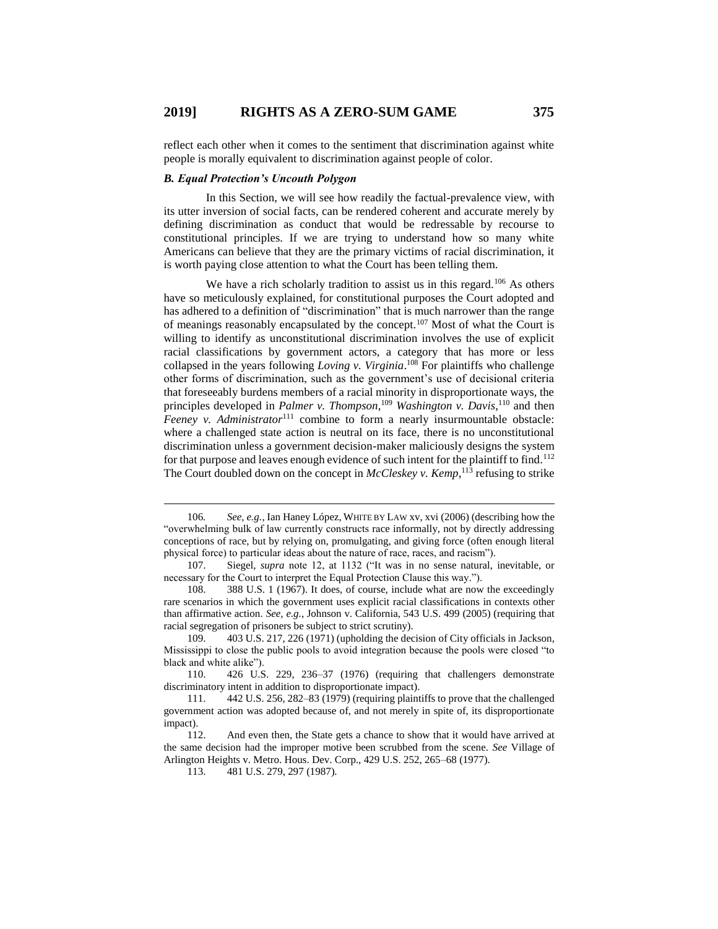reflect each other when it comes to the sentiment that discrimination against white people is morally equivalent to discrimination against people of color.

#### *B. Equal Protection's Uncouth Polygon*

In this Section, we will see how readily the factual-prevalence view, with its utter inversion of social facts, can be rendered coherent and accurate merely by defining discrimination as conduct that would be redressable by recourse to constitutional principles. If we are trying to understand how so many white Americans can believe that they are the primary victims of racial discrimination, it is worth paying close attention to what the Court has been telling them.

We have a rich scholarly tradition to assist us in this regard.<sup>106</sup> As others have so meticulously explained, for constitutional purposes the Court adopted and has adhered to a definition of "discrimination" that is much narrower than the range of meanings reasonably encapsulated by the concept.<sup>107</sup> Most of what the Court is willing to identify as unconstitutional discrimination involves the use of explicit racial classifications by government actors, a category that has more or less collapsed in the years following *Loving v. Virginia*. <sup>108</sup> For plaintiffs who challenge other forms of discrimination, such as the government's use of decisional criteria that foreseeably burdens members of a racial minority in disproportionate ways, the principles developed in *Palmer v. Thompson*,<sup>109</sup> *Washington v. Davis*,<sup>110</sup> and then *Feeney v. Administrator*<sup>111</sup> combine to form a nearly insurmountable obstacle: where a challenged state action is neutral on its face, there is no unconstitutional discrimination unless a government decision-maker maliciously designs the system for that purpose and leaves enough evidence of such intent for the plaintiff to find.<sup>112</sup> The Court doubled down on the concept in *McCleskey v. Kemp*, <sup>113</sup> refusing to strike

<sup>106</sup>*. See, e.g.*, Ian Haney López, WHITE BY LAW xv, xvi (2006) (describing how the "overwhelming bulk of law currently constructs race informally, not by directly addressing conceptions of race, but by relying on, promulgating, and giving force (often enough literal physical force) to particular ideas about the nature of race, races, and racism").

<sup>107.</sup> Siegel, *supra* note 12, at 1132 ("It was in no sense natural, inevitable, or necessary for the Court to interpret the Equal Protection Clause this way.").

<sup>108.</sup> 388 U.S. 1 (1967). It does, of course, include what are now the exceedingly rare scenarios in which the government uses explicit racial classifications in contexts other than affirmative action. *See, e.g.*, Johnson v. California, 543 U.S. 499 (2005) (requiring that racial segregation of prisoners be subject to strict scrutiny).

<sup>109.</sup> 403 U.S. 217, 226 (1971) (upholding the decision of City officials in Jackson, Mississippi to close the public pools to avoid integration because the pools were closed "to black and white alike").

<sup>110.</sup> 426 U.S. 229, 236–37 (1976) (requiring that challengers demonstrate discriminatory intent in addition to disproportionate impact).

<sup>111.</sup> 442 U.S. 256, 282–83 (1979) (requiring plaintiffs to prove that the challenged government action was adopted because of, and not merely in spite of, its disproportionate impact).

<sup>112.</sup> And even then, the State gets a chance to show that it would have arrived at the same decision had the improper motive been scrubbed from the scene. *See* Village of Arlington Heights v. Metro. Hous. Dev. Corp., 429 U.S. 252, 265–68 (1977).

<sup>113.</sup> 481 U.S. 279, 297 (1987).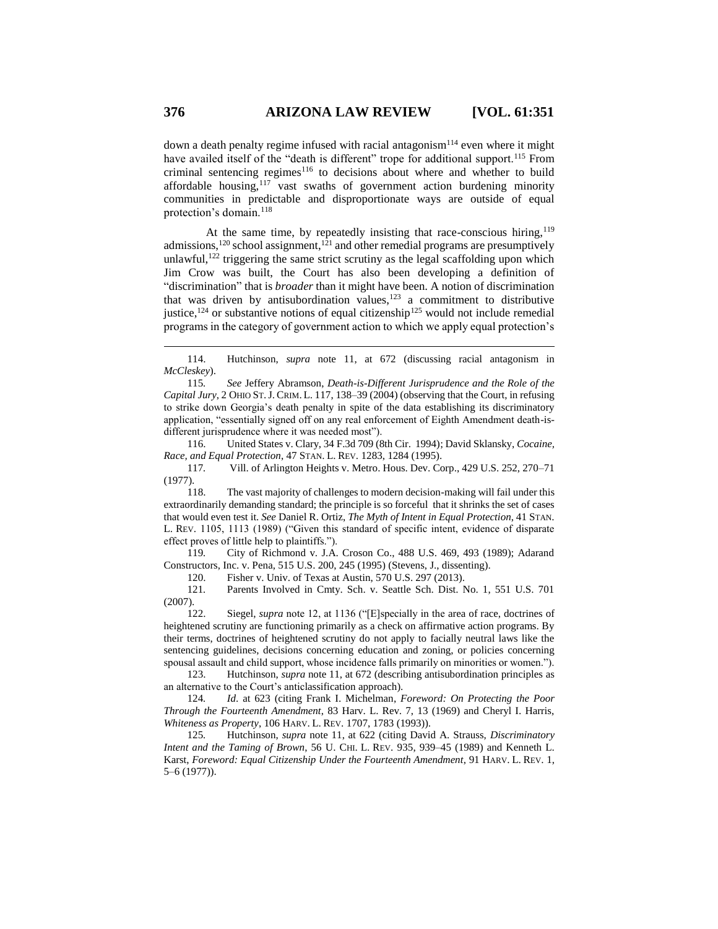down a death penalty regime infused with racial antagonism<sup>114</sup> even where it might have availed itself of the "death is different" trope for additional support.<sup>115</sup> From criminal sentencing regimes $116$  to decisions about where and whether to build affordable housing,<sup>117</sup> vast swaths of government action burdening minority communities in predictable and disproportionate ways are outside of equal protection's domain.<sup>118</sup>

At the same time, by repeatedly insisting that race-conscious hiring,<sup>119</sup> admissions, $120$  school assignment, $121$  and other remedial programs are presumptively unlawful, $122$  triggering the same strict scrutiny as the legal scaffolding upon which Jim Crow was built, the Court has also been developing a definition of "discrimination" that is *broader* than it might have been. A notion of discrimination that was driven by antisubordination values, $123$  a commitment to distributive justice,  $124$  or substantive notions of equal citizenship<sup>125</sup> would not include remedial programs in the category of government action to which we apply equal protection's

115*. See* Jeffery Abramson, *Death-is-Different Jurisprudence and the Role of the Capital Jury*, 2 OHIO ST.J. CRIM. L. 117, 138–39 (2004) (observing that the Court, in refusing to strike down Georgia's death penalty in spite of the data establishing its discriminatory application, "essentially signed off on any real enforcement of Eighth Amendment death-isdifferent jurisprudence where it was needed most").

116. United States v. Clary, 34 F.3d 709 (8th Cir. 1994); David Sklansky, *Cocaine, Race, and Equal Protection*, 47 STAN. L. REV. 1283, 1284 (1995).

117*.* Vill. of Arlington Heights v. Metro. Hous. Dev. Corp., 429 U.S. 252, 270–71 (1977).

118. The vast majority of challenges to modern decision-making will fail under this extraordinarily demanding standard; the principle is so forceful that it shrinks the set of cases that would even test it. *See* Daniel R. Ortiz, *The Myth of Intent in Equal Protection*, 41 STAN. L. REV. 1105, 1113 (1989) ("Given this standard of specific intent, evidence of disparate effect proves of little help to plaintiffs.").

119*.* City of Richmond v. J.A. Croson Co., 488 U.S. 469, 493 (1989); Adarand Constructors, Inc. v. Pena, 515 U.S. 200, 245 (1995) (Stevens, J., dissenting).

120. Fisher v. Univ. of Texas at Austin, 570 U.S. 297 (2013).

121*.* Parents Involved in Cmty. Sch. v. Seattle Sch. Dist. No. 1, 551 U.S. 701 (2007).

122. Siegel, *supra* note 12, at 1136 ("[E]specially in the area of race, doctrines of heightened scrutiny are functioning primarily as a check on affirmative action programs. By their terms, doctrines of heightened scrutiny do not apply to facially neutral laws like the sentencing guidelines, decisions concerning education and zoning, or policies concerning spousal assault and child support, whose incidence falls primarily on minorities or women.").

123. Hutchinson, *supra* note 11, at 672 (describing antisubordination principles as an alternative to the Court's anticlassification approach).

124*. Id*. at 623 (citing Frank I. Michelman, *Foreword: On Protecting the Poor Through the Fourteenth Amendment*, 83 Harv. L. Rev. 7, 13 (1969) and Cheryl I. Harris, *Whiteness as Property*, 106 HARV. L. REV. 1707, 1783 (1993)).

125*.* Hutchinson, *supra* note 11, at 622 (citing David A. Strauss, *Discriminatory Intent and the Taming of Brown*, 56 U. CHI. L. REV. 935, 939–45 (1989) and Kenneth L. Karst, *Foreword: Equal Citizenship Under the Fourteenth Amendment*, 91 HARV. L. REV. 1, 5–6 (1977)).

<sup>114.</sup> Hutchinson, *supra* note 11, at 672 (discussing racial antagonism in *McCleskey*).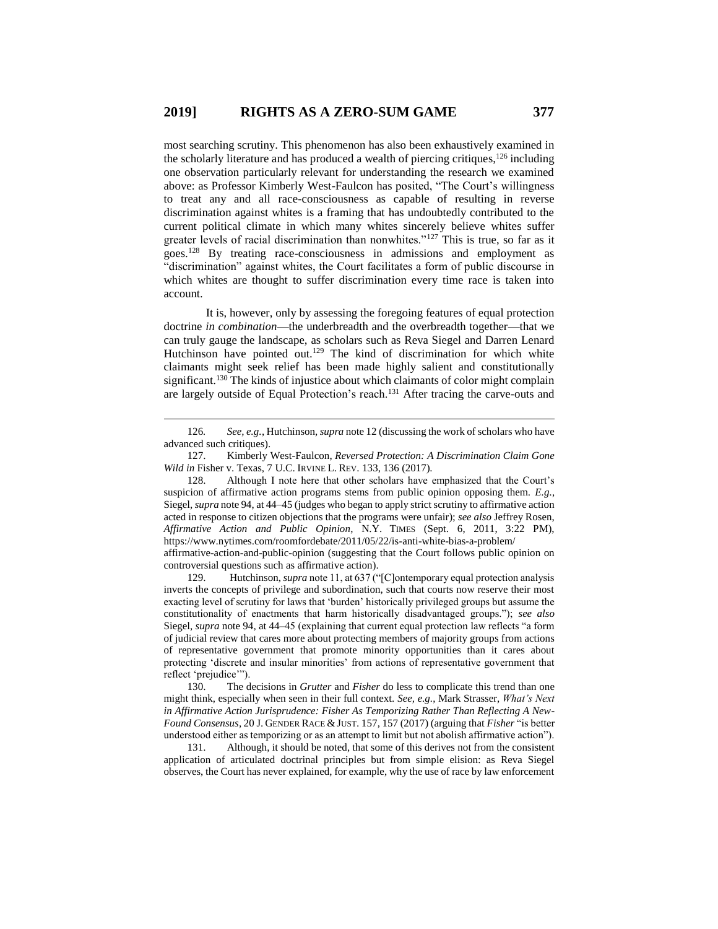most searching scrutiny. This phenomenon has also been exhaustively examined in the scholarly literature and has produced a wealth of piercing critiques,<sup>126</sup> including one observation particularly relevant for understanding the research we examined above: as Professor Kimberly West-Faulcon has posited, "The Court's willingness to treat any and all race-consciousness as capable of resulting in reverse discrimination against whites is a framing that has undoubtedly contributed to the current political climate in which many whites sincerely believe whites suffer greater levels of racial discrimination than nonwhites."<sup>127</sup> This is true, so far as it goes.<sup>128</sup> By treating race-consciousness in admissions and employment as "discrimination" against whites, the Court facilitates a form of public discourse in which whites are thought to suffer discrimination every time race is taken into account.

It is, however, only by assessing the foregoing features of equal protection doctrine *in combination*—the underbreadth and the overbreadth together—that we can truly gauge the landscape, as scholars such as Reva Siegel and Darren Lenard Hutchinson have pointed out.<sup>129</sup> The kind of discrimination for which white claimants might seek relief has been made highly salient and constitutionally significant.<sup>130</sup> The kinds of injustice about which claimants of color might complain are largely outside of Equal Protection's reach.<sup>131</sup> After tracing the carve-outs and

 $\overline{a}$ 

affirmative-action-and-public-opinion (suggesting that the Court follows public opinion on controversial questions such as affirmative action).

129. Hutchinson, *supra* note 11, at 637 ("[C]ontemporary equal protection analysis inverts the concepts of privilege and subordination, such that courts now reserve their most exacting level of scrutiny for laws that 'burden' historically privileged groups but assume the constitutionality of enactments that harm historically disadvantaged groups."); *see also* Siegel, *supra* note 94, at 44–45 (explaining that current equal protection law reflects "a form of judicial review that cares more about protecting members of majority groups from actions of representative government that promote minority opportunities than it cares about protecting 'discrete and insular minorities' from actions of representative government that reflect 'prejudice'").

130. The decisions in *Grutter* and *Fisher* do less to complicate this trend than one might think, especially when seen in their full context. *See, e.g.*, Mark Strasser, *What's Next in Affirmative Action Jurisprudence: Fisher As Temporizing Rather Than Reflecting A New-Found Consensus*, 20 J. GENDER RACE & JUST. 157, 157 (2017) (arguing that *Fisher* "is better understood either as temporizing or as an attempt to limit but not abolish affirmative action").<br>131. Although, it should be noted, that some of this derives not from the consistent

Although, it should be noted, that some of this derives not from the consistent application of articulated doctrinal principles but from simple elision: as Reva Siegel observes, the Court has never explained, for example, why the use of race by law enforcement

<sup>126</sup>*. See, e.g.*, Hutchinson, *supra* note 12 (discussing the work of scholars who have advanced such critiques).

<sup>127.</sup> Kimberly West-Faulcon, *Reversed Protection: A Discrimination Claim Gone Wild in* Fisher v. Texas, 7 U.C. IRVINE L. REV. 133, 136 (2017).

<sup>128.</sup> Although I note here that other scholars have emphasized that the Court's suspicion of affirmative action programs stems from public opinion opposing them. *E.g.*, Siegel, *supra* note 94, at 44–45 (judges who began to apply strict scrutiny to affirmative action acted in response to citizen objections that the programs were unfair); *see also* Jeffrey Rosen, *Affirmative Action and Public Opinion*, N.Y. TIMES (Sept. 6, 2011, 3:22 PM), https://www.nytimes.com/roomfordebate/2011/05/22/is-anti-white-bias-a-problem/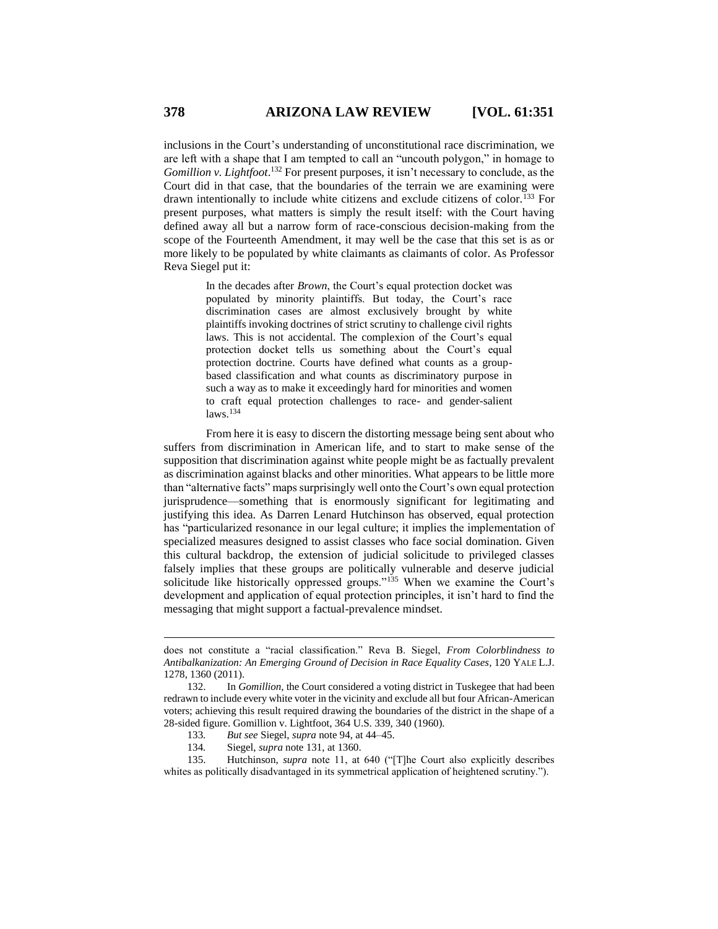inclusions in the Court's understanding of unconstitutional race discrimination, we are left with a shape that I am tempted to call an "uncouth polygon," in homage to *Gomillion v. Lightfoot*. <sup>132</sup> For present purposes, it isn't necessary to conclude, as the Court did in that case, that the boundaries of the terrain we are examining were drawn intentionally to include white citizens and exclude citizens of color.<sup>133</sup> For present purposes, what matters is simply the result itself: with the Court having defined away all but a narrow form of race-conscious decision-making from the scope of the Fourteenth Amendment, it may well be the case that this set is as or more likely to be populated by white claimants as claimants of color. As Professor Reva Siegel put it:

> In the decades after *Brown*, the Court's equal protection docket was populated by minority plaintiffs. But today, the Court's race discrimination cases are almost exclusively brought by white plaintiffs invoking doctrines of strict scrutiny to challenge civil rights laws. This is not accidental. The complexion of the Court's equal protection docket tells us something about the Court's equal protection doctrine. Courts have defined what counts as a groupbased classification and what counts as discriminatory purpose in such a way as to make it exceedingly hard for minorities and women to craft equal protection challenges to race- and gender-salient laws.<sup>134</sup>

From here it is easy to discern the distorting message being sent about who suffers from discrimination in American life, and to start to make sense of the supposition that discrimination against white people might be as factually prevalent as discrimination against blacks and other minorities. What appears to be little more than "alternative facts" maps surprisingly well onto the Court's own equal protection jurisprudence—something that is enormously significant for legitimating and justifying this idea. As Darren Lenard Hutchinson has observed, equal protection has "particularized resonance in our legal culture; it implies the implementation of specialized measures designed to assist classes who face social domination. Given this cultural backdrop, the extension of judicial solicitude to privileged classes falsely implies that these groups are politically vulnerable and deserve judicial solicitude like historically oppressed groups."<sup>135</sup> When we examine the Court's development and application of equal protection principles, it isn't hard to find the messaging that might support a factual-prevalence mindset.

does not constitute a "racial classification." Reva B. Siegel, *From Colorblindness to Antibalkanization: An Emerging Ground of Decision in Race Equality Cases*, 120 YALE L.J. 1278, 1360 (2011).

<sup>132.</sup> In *Gomillion*, the Court considered a voting district in Tuskegee that had been redrawn to include every white voter in the vicinity and exclude all but four African-American voters; achieving this result required drawing the boundaries of the district in the shape of a 28-sided figure. Gomillion v. Lightfoot, 364 U.S. 339, 340 (1960).

<sup>133</sup>*. But see* Siegel, *supra* note 94, at 44–45.

<sup>134</sup>*.* Siegel, *supra* note 131, at 1360.

<sup>135.</sup> Hutchinson, *supra* note 11, at 640 ("[T]he Court also explicitly describes whites as politically disadvantaged in its symmetrical application of heightened scrutiny.").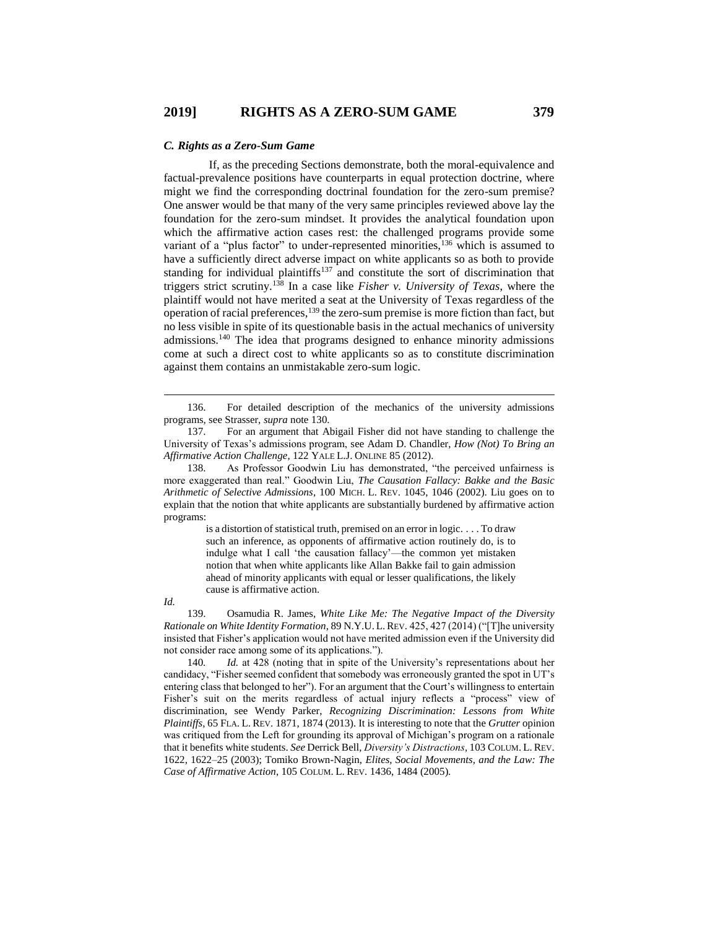#### *C. Rights as a Zero-Sum Game*

If, as the preceding Sections demonstrate, both the moral-equivalence and factual-prevalence positions have counterparts in equal protection doctrine, where might we find the corresponding doctrinal foundation for the zero-sum premise? One answer would be that many of the very same principles reviewed above lay the foundation for the zero-sum mindset. It provides the analytical foundation upon which the affirmative action cases rest: the challenged programs provide some variant of a "plus factor" to under-represented minorities,<sup>136</sup> which is assumed to have a sufficiently direct adverse impact on white applicants so as both to provide standing for individual plaintiffs<sup>137</sup> and constitute the sort of discrimination that triggers strict scrutiny.<sup>138</sup> In a case like *Fisher v. University of Texas*, where the plaintiff would not have merited a seat at the University of Texas regardless of the operation of racial preferences, $139$  the zero-sum premise is more fiction than fact, but no less visible in spite of its questionable basis in the actual mechanics of university admissions.<sup>140</sup> The idea that programs designed to enhance minority admissions come at such a direct cost to white applicants so as to constitute discrimination against them contains an unmistakable zero-sum logic.

is a distortion of statistical truth, premised on an error in logic. . . . To draw such an inference, as opponents of affirmative action routinely do, is to indulge what I call 'the causation fallacy'—the common yet mistaken notion that when white applicants like Allan Bakke fail to gain admission ahead of minority applicants with equal or lesser qualifications, the likely cause is affirmative action.

 $\overline{a}$ 

139. Osamudia R. James, *White Like Me: The Negative Impact of the Diversity Rationale on White Identity Formation*, 89 N.Y.U. L.REV. 425, 427 (2014) ("[T]he university insisted that Fisher's application would not have merited admission even if the University did not consider race among some of its applications.").

140*. Id.* at 428 (noting that in spite of the University's representations about her candidacy, "Fisher seemed confident that somebody was erroneously granted the spot in UT's entering class that belonged to her"). For an argument that the Court's willingness to entertain Fisher's suit on the merits regardless of actual injury reflects a "process" view of discrimination, see Wendy Parker, *Recognizing Discrimination: Lessons from White Plaintiffs*, 65 FLA. L. REV. 1871, 1874 (2013). It is interesting to note that the *Grutter* opinion was critiqued from the Left for grounding its approval of Michigan's program on a rationale that it benefits white students. *See* Derrick Bell, *Diversity's Distractions*, 103 COLUM. L. REV. 1622, 1622–25 (2003); Tomiko Brown-Nagin, *Elites, Social Movements, and the Law: The Case of Affirmative Action*, 105 COLUM. L. REV. 1436, 1484 (2005).

<sup>136.</sup> For detailed description of the mechanics of the university admissions programs, see Strasser, *supra* note 130.

<sup>137.</sup> For an argument that Abigail Fisher did not have standing to challenge the University of Texas's admissions program, see Adam D. Chandler, *How (Not) To Bring an Affirmative Action Challenge*, 122 YALE L.J. ONLINE 85 (2012).

<sup>138.</sup> As Professor Goodwin Liu has demonstrated, "the perceived unfairness is more exaggerated than real." Goodwin Liu, *The Causation Fallacy: Bakke and the Basic Arithmetic of Selective Admissions*, 100 MICH. L. REV. 1045, 1046 (2002). Liu goes on to explain that the notion that white applicants are substantially burdened by affirmative action programs:

*Id.*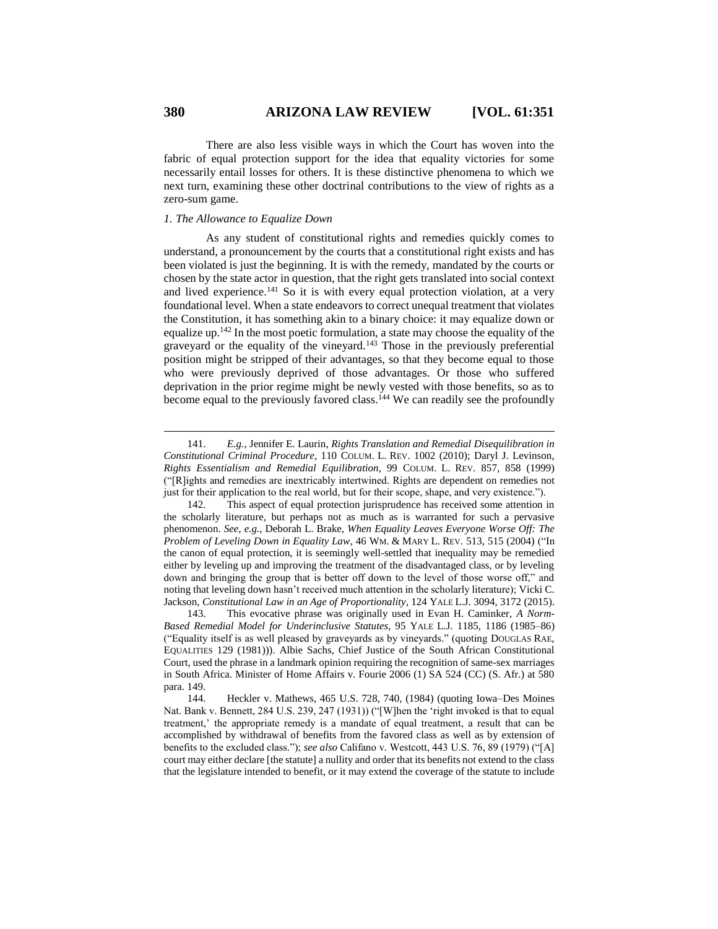There are also less visible ways in which the Court has woven into the fabric of equal protection support for the idea that equality victories for some necessarily entail losses for others. It is these distinctive phenomena to which we next turn, examining these other doctrinal contributions to the view of rights as a zero-sum game.

## *1. The Allowance to Equalize Down*

As any student of constitutional rights and remedies quickly comes to understand, a pronouncement by the courts that a constitutional right exists and has been violated is just the beginning. It is with the remedy, mandated by the courts or chosen by the state actor in question, that the right gets translated into social context and lived experience.<sup>141</sup> So it is with every equal protection violation, at a very foundational level. When a state endeavors to correct unequal treatment that violates the Constitution, it has something akin to a binary choice: it may equalize down or equalize up.<sup>142</sup> In the most poetic formulation, a state may choose the equality of the graveyard or the equality of the vineyard.<sup>143</sup> Those in the previously preferential position might be stripped of their advantages, so that they become equal to those who were previously deprived of those advantages. Or those who suffered deprivation in the prior regime might be newly vested with those benefits, so as to become equal to the previously favored class.<sup>144</sup> We can readily see the profoundly

<sup>141.</sup> *E.g.*, Jennifer E. Laurin, *Rights Translation and Remedial Disequilibration in Constitutional Criminal Procedure*, 110 COLUM. L. REV. 1002 (2010); Daryl J. Levinson, *Rights Essentialism and Remedial Equilibration*, 99 COLUM. L. REV. 857, 858 (1999) ("[R]ights and remedies are inextricably intertwined. Rights are dependent on remedies not just for their application to the real world, but for their scope, shape, and very existence.").

<sup>142.</sup> This aspect of equal protection jurisprudence has received some attention in the scholarly literature, but perhaps not as much as is warranted for such a pervasive phenomenon. *See, e.g.*, Deborah L. Brake, *When Equality Leaves Everyone Worse Off: The Problem of Leveling Down in Equality Law*, 46 WM. & MARY L. REV. 513, 515 (2004) ("In the canon of equal protection, it is seemingly well-settled that inequality may be remedied either by leveling up and improving the treatment of the disadvantaged class, or by leveling down and bringing the group that is better off down to the level of those worse off," and noting that leveling down hasn't received much attention in the scholarly literature); Vicki C. Jackson, *Constitutional Law in an Age of Proportionality*, 124 YALE L.J. 3094, 3172 (2015).

<sup>143.</sup> This evocative phrase was originally used in Evan H. Caminker, *A Norm-Based Remedial Model for Underinclusive Statutes*, 95 YALE L.J. 1185, 1186 (1985–86) ("Equality itself is as well pleased by graveyards as by vineyards." (quoting DOUGLAS RAE, EQUALITIES 129 (1981))). Albie Sachs, Chief Justice of the South African Constitutional Court, used the phrase in a landmark opinion requiring the recognition of same-sex marriages in South Africa. Minister of Home Affairs v. Fourie 2006 (1) SA 524 (CC) (S. Afr.) at 580 para. 149.

<sup>144.</sup> Heckler v. Mathews, 465 U.S. 728, 740, (1984) (quoting Iowa–Des Moines Nat. Bank v. Bennett, 284 U.S. 239, 247 (1931)) ("[W]hen the 'right invoked is that to equal treatment,' the appropriate remedy is a mandate of equal treatment, a result that can be accomplished by withdrawal of benefits from the favored class as well as by extension of benefits to the excluded class."); *see also* Califano v. Westcott, 443 U.S. 76, 89 (1979) ("[A] court may either declare [the statute] a nullity and order that its benefits not extend to the class that the legislature intended to benefit, or it may extend the coverage of the statute to include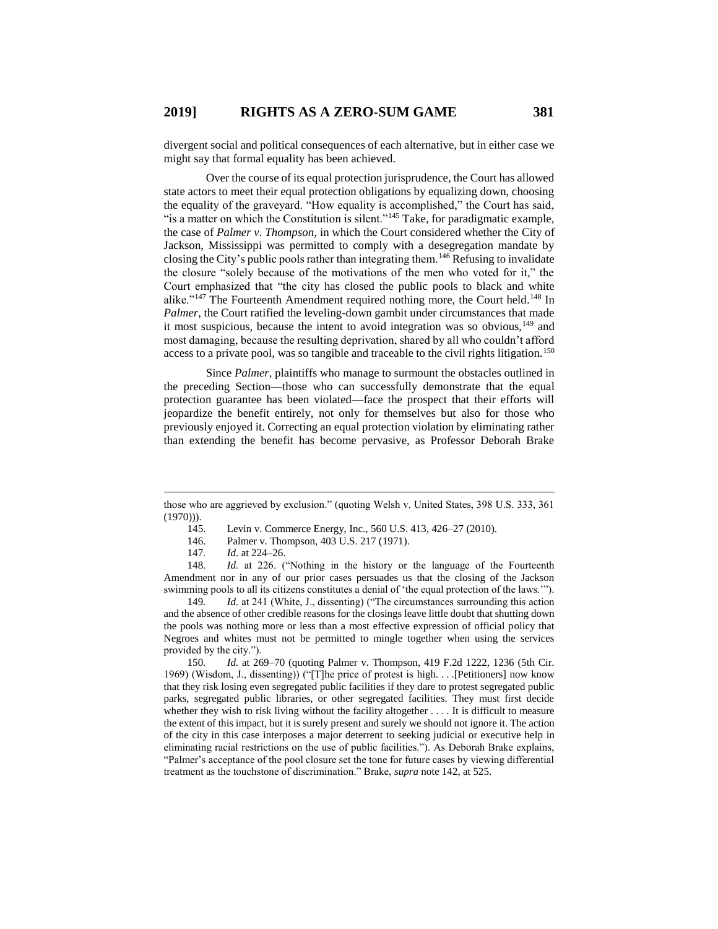divergent social and political consequences of each alternative, but in either case we might say that formal equality has been achieved.

Over the course of its equal protection jurisprudence, the Court has allowed state actors to meet their equal protection obligations by equalizing down, choosing the equality of the graveyard. "How equality is accomplished," the Court has said, "is a matter on which the Constitution is silent."<sup>145</sup> Take, for paradigmatic example, the case of *Palmer v. Thompson*, in which the Court considered whether the City of Jackson, Mississippi was permitted to comply with a desegregation mandate by closing the City's public pools rather than integrating them.<sup>146</sup> Refusing to invalidate the closure "solely because of the motivations of the men who voted for it," the Court emphasized that "the city has closed the public pools to black and white alike."<sup>147</sup> The Fourteenth Amendment required nothing more, the Court held.<sup>148</sup> In *Palmer*, the Court ratified the leveling-down gambit under circumstances that made it most suspicious, because the intent to avoid integration was so obvious, $149$  and most damaging, because the resulting deprivation, shared by all who couldn't afford access to a private pool, was so tangible and traceable to the civil rights litigation.<sup>150</sup>

Since *Palmer*, plaintiffs who manage to surmount the obstacles outlined in the preceding Section—those who can successfully demonstrate that the equal protection guarantee has been violated—face the prospect that their efforts will jeopardize the benefit entirely, not only for themselves but also for those who previously enjoyed it. Correcting an equal protection violation by eliminating rather than extending the benefit has become pervasive, as Professor Deborah Brake

 $\overline{a}$ 

148*. Id.* at 226. ("Nothing in the history or the language of the Fourteenth Amendment nor in any of our prior cases persuades us that the closing of the Jackson swimming pools to all its citizens constitutes a denial of 'the equal protection of the laws.'").

149*. Id.* at 241 (White, J., dissenting) ("The circumstances surrounding this action and the absence of other credible reasons for the closings leave little doubt that shutting down the pools was nothing more or less than a most effective expression of official policy that Negroes and whites must not be permitted to mingle together when using the services provided by the city.").

150*. Id.* at 269–70 (quoting Palmer v. Thompson, 419 F.2d 1222, 1236 (5th Cir. 1969) (Wisdom, J., dissenting)) ("[T]he price of protest is high. . . .[Petitioners] now know that they risk losing even segregated public facilities if they dare to protest segregated public parks, segregated public libraries, or other segregated facilities. They must first decide whether they wish to risk living without the facility altogether . . . . It is difficult to measure the extent of this impact, but it is surely present and surely we should not ignore it. The action of the city in this case interposes a major deterrent to seeking judicial or executive help in eliminating racial restrictions on the use of public facilities."). As Deborah Brake explains, "Palmer's acceptance of the pool closure set the tone for future cases by viewing differential treatment as the touchstone of discrimination." Brake, *supra* note 142, at 525.

those who are aggrieved by exclusion." (quoting Welsh v. United States, 398 U.S. 333, 361 (1970))).

<sup>145.</sup> Levin v. Commerce Energy, Inc., 560 U.S. 413, 426–27 (2010).

<sup>146.</sup> Palmer v. Thompson, 403 U.S. 217 (1971).

<sup>147</sup>*. Id*. at 224–26.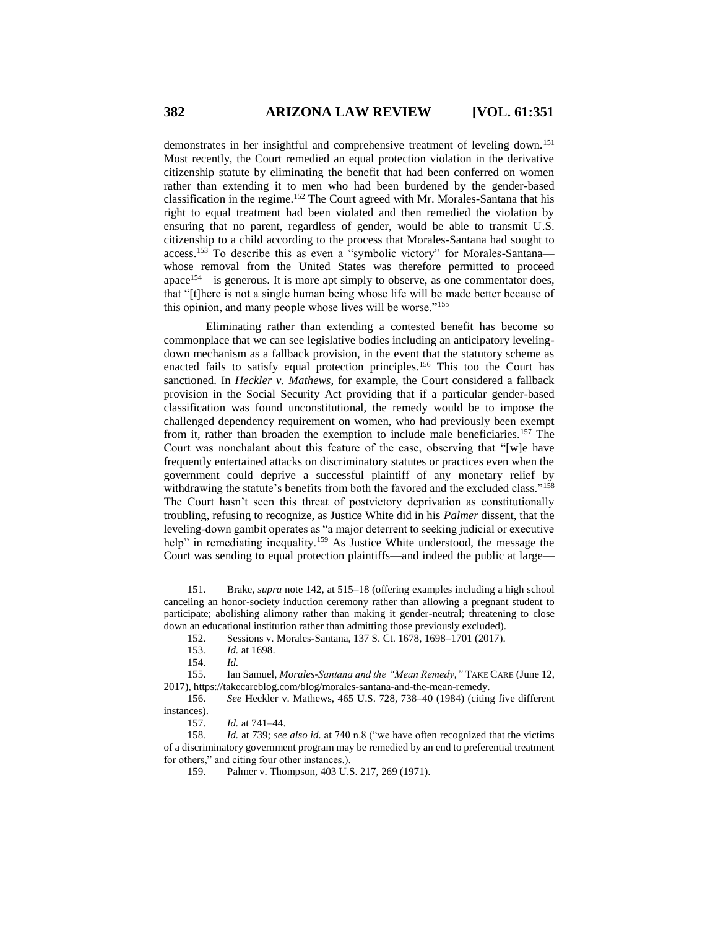demonstrates in her insightful and comprehensive treatment of leveling down.<sup>151</sup> Most recently, the Court remedied an equal protection violation in the derivative citizenship statute by eliminating the benefit that had been conferred on women rather than extending it to men who had been burdened by the gender-based classification in the regime.<sup>152</sup> The Court agreed with Mr. Morales-Santana that his right to equal treatment had been violated and then remedied the violation by ensuring that no parent, regardless of gender, would be able to transmit U.S. citizenship to a child according to the process that Morales-Santana had sought to access.<sup>153</sup> To describe this as even a "symbolic victory" for Morales-Santana whose removal from the United States was therefore permitted to proceed apace<sup>154</sup>—is generous. It is more apt simply to observe, as one commentator does, that "[t]here is not a single human being whose life will be made better because of this opinion, and many people whose lives will be worse."<sup>155</sup>

Eliminating rather than extending a contested benefit has become so commonplace that we can see legislative bodies including an anticipatory levelingdown mechanism as a fallback provision, in the event that the statutory scheme as enacted fails to satisfy equal protection principles.<sup>156</sup> This too the Court has sanctioned. In *Heckler v. Mathews*, for example, the Court considered a fallback provision in the Social Security Act providing that if a particular gender-based classification was found unconstitutional, the remedy would be to impose the challenged dependency requirement on women, who had previously been exempt from it, rather than broaden the exemption to include male beneficiaries.<sup>157</sup> The Court was nonchalant about this feature of the case, observing that "[w]e have frequently entertained attacks on discriminatory statutes or practices even when the government could deprive a successful plaintiff of any monetary relief by withdrawing the statute's benefits from both the favored and the excluded class."<sup>158</sup> The Court hasn't seen this threat of postvictory deprivation as constitutionally troubling, refusing to recognize, as Justice White did in his *Palmer* dissent, that the leveling-down gambit operates as "a major deterrent to seeking judicial or executive help" in remediating inequality.<sup>159</sup> As Justice White understood, the message the Court was sending to equal protection plaintiffs—and indeed the public at large—

<sup>151.</sup> Brake, *supra* note 142, at 515–18 (offering examples including a high school canceling an honor-society induction ceremony rather than allowing a pregnant student to participate; abolishing alimony rather than making it gender-neutral; threatening to close down an educational institution rather than admitting those previously excluded).

<sup>152.</sup> Sessions v. Morales-Santana, 137 S. Ct. 1678, 1698–1701 (2017).

<sup>153</sup>*. Id.* at 1698.

<sup>154.</sup> *Id.*

<sup>155.</sup> Ian Samuel, *Morales-Santana and the "Mean Remedy*,*"* TAKE CARE (June 12, 2017), https://takecareblog.com/blog/morales-santana-and-the-mean-remedy.

<sup>156.</sup> *See* Heckler v. Mathews, 465 U.S. 728, 738–40 (1984) (citing five different instances).

<sup>157.</sup> *Id.* at 741–44.

<sup>158</sup>*. Id.* at 739; *see also id.* at 740 n.8 ("we have often recognized that the victims of a discriminatory government program may be remedied by an end to preferential treatment for others," and citing four other instances.).

<sup>159.</sup> Palmer v. Thompson, 403 U.S. 217, 269 (1971).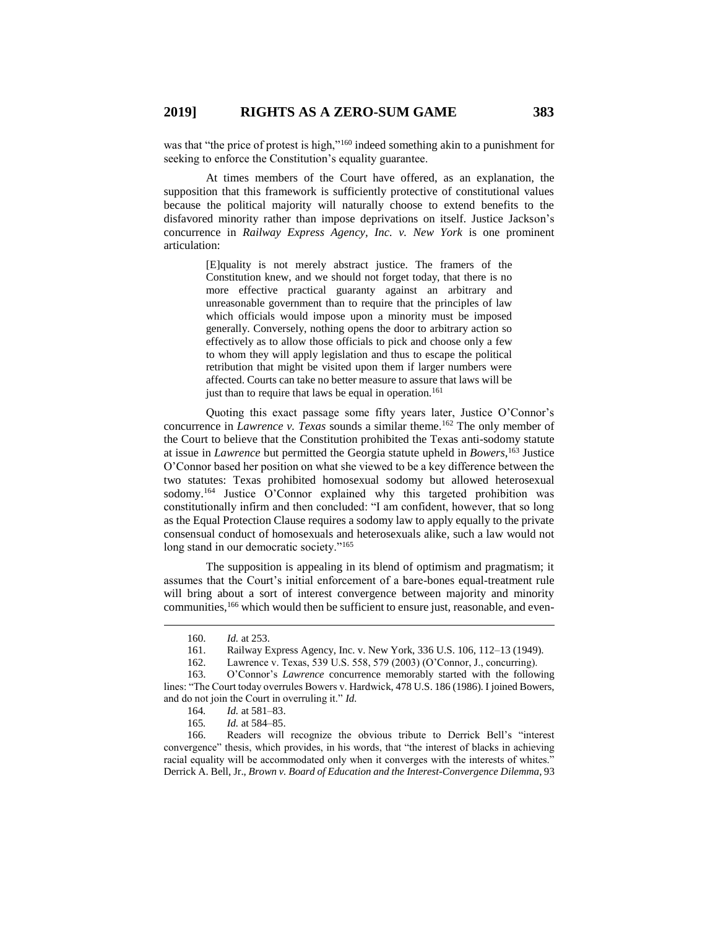was that "the price of protest is high,"<sup>160</sup> indeed something akin to a punishment for seeking to enforce the Constitution's equality guarantee.

At times members of the Court have offered, as an explanation, the supposition that this framework is sufficiently protective of constitutional values because the political majority will naturally choose to extend benefits to the disfavored minority rather than impose deprivations on itself. Justice Jackson's concurrence in *Railway Express Agency, Inc. v. New York* is one prominent articulation:

> [E]quality is not merely abstract justice. The framers of the Constitution knew, and we should not forget today, that there is no more effective practical guaranty against an arbitrary and unreasonable government than to require that the principles of law which officials would impose upon a minority must be imposed generally. Conversely, nothing opens the door to arbitrary action so effectively as to allow those officials to pick and choose only a few to whom they will apply legislation and thus to escape the political retribution that might be visited upon them if larger numbers were affected. Courts can take no better measure to assure that laws will be just than to require that laws be equal in operation.<sup>161</sup>

Quoting this exact passage some fifty years later, Justice O'Connor's concurrence in *Lawrence v. Texas* sounds a similar theme.<sup>162</sup> The only member of the Court to believe that the Constitution prohibited the Texas anti-sodomy statute at issue in *Lawrence* but permitted the Georgia statute upheld in *Bowers*, <sup>163</sup> Justice O'Connor based her position on what she viewed to be a key difference between the two statutes: Texas prohibited homosexual sodomy but allowed heterosexual sodomy.<sup>164</sup> Justice O'Connor explained why this targeted prohibition was constitutionally infirm and then concluded: "I am confident, however, that so long as the Equal Protection Clause requires a sodomy law to apply equally to the private consensual conduct of homosexuals and heterosexuals alike, such a law would not long stand in our democratic society."<sup>165</sup>

The supposition is appealing in its blend of optimism and pragmatism; it assumes that the Court's initial enforcement of a bare-bones equal-treatment rule will bring about a sort of interest convergence between majority and minority communities,<sup>166</sup> which would then be sufficient to ensure just, reasonable, and even-

 $\overline{a}$ 

166. Readers will recognize the obvious tribute to Derrick Bell's "interest convergence" thesis, which provides, in his words, that "the interest of blacks in achieving racial equality will be accommodated only when it converges with the interests of whites." Derrick A. Bell, Jr., *Brown v. Board of Education and the Interest-Convergence Dilemma*, 93

<sup>160.</sup> *Id.* at 253.

<sup>161.</sup> Railway Express Agency, Inc. v. New York, 336 U.S. 106, 112–13 (1949).

<sup>162.</sup> Lawrence v. Texas, 539 U.S. 558, 579 (2003) (O'Connor, J., concurring).

<sup>163.</sup> O'Connor's *Lawrence* concurrence memorably started with the following lines: "The Court today overrules Bowers v. Hardwick, 478 U.S. 186 (1986). I joined Bowers, and do not join the Court in overruling it." *Id.*

<sup>164</sup>*. Id.* at 581–83.

*Id.* at 584–85.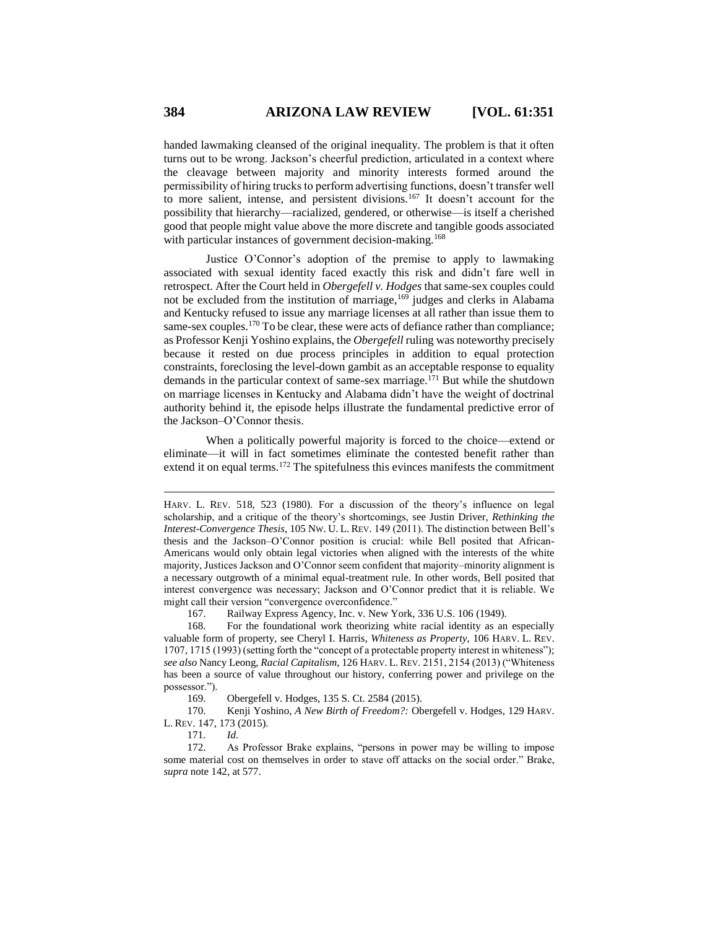handed lawmaking cleansed of the original inequality. The problem is that it often turns out to be wrong. Jackson's cheerful prediction, articulated in a context where the cleavage between majority and minority interests formed around the permissibility of hiring trucks to perform advertising functions, doesn't transfer well to more salient, intense, and persistent divisions.<sup>167</sup> It doesn't account for the possibility that hierarchy—racialized, gendered, or otherwise—is itself a cherished good that people might value above the more discrete and tangible goods associated with particular instances of government decision-making.<sup>168</sup>

Justice O'Connor's adoption of the premise to apply to lawmaking associated with sexual identity faced exactly this risk and didn't fare well in retrospect. After the Court held in *Obergefell v. Hodges* that same-sex couples could not be excluded from the institution of marriage,  $169$  judges and clerks in Alabama and Kentucky refused to issue any marriage licenses at all rather than issue them to same-sex couples.<sup>170</sup> To be clear, these were acts of defiance rather than compliance; as Professor Kenji Yoshino explains, the *Obergefell* ruling was noteworthy precisely because it rested on due process principles in addition to equal protection constraints, foreclosing the level-down gambit as an acceptable response to equality demands in the particular context of same-sex marriage.<sup>171</sup> But while the shutdown on marriage licenses in Kentucky and Alabama didn't have the weight of doctrinal authority behind it, the episode helps illustrate the fundamental predictive error of the Jackson–O'Connor thesis.

When a politically powerful majority is forced to the choice—extend or eliminate—it will in fact sometimes eliminate the contested benefit rather than extend it on equal terms.<sup>172</sup> The spitefulness this evinces manifests the commitment

167. Railway Express Agency, Inc. v. New York, 336 U.S. 106 (1949).

168. For the foundational work theorizing white racial identity as an especially valuable form of property, see Cheryl I. Harris, *Whiteness as Property*, 106 HARV. L. REV. 1707, 1715 (1993) (setting forth the "concept of a protectable property interest in whiteness"); *see also* Nancy Leong, *Racial Capitalism*, 126 HARV. L. REV. 2151, 2154 (2013) ("Whiteness has been a source of value throughout our history, conferring power and privilege on the possessor.").

169. Obergefell v. Hodges, 135 S. Ct. 2584 (2015).

170. Kenji Yoshino, *A New Birth of Freedom?:* Obergefell v. Hodges, 129 HARV. L. REV. 147, 173 (2015).

171*. Id*.

172. As Professor Brake explains, "persons in power may be willing to impose some material cost on themselves in order to stave off attacks on the social order." Brake, *supra* note 142, at 577.

HARV. L. REV. 518, 523 (1980). For a discussion of the theory's influence on legal scholarship, and a critique of the theory's shortcomings, see Justin Driver, *Rethinking the Interest-Convergence Thesis*, 105 NW. U. L. REV. 149 (2011). The distinction between Bell's thesis and the Jackson–O'Connor position is crucial: while Bell posited that African-Americans would only obtain legal victories when aligned with the interests of the white majority, Justices Jackson and O'Connor seem confident that majority–minority alignment is a necessary outgrowth of a minimal equal-treatment rule. In other words, Bell posited that interest convergence was necessary; Jackson and O'Connor predict that it is reliable. We might call their version "convergence overconfidence."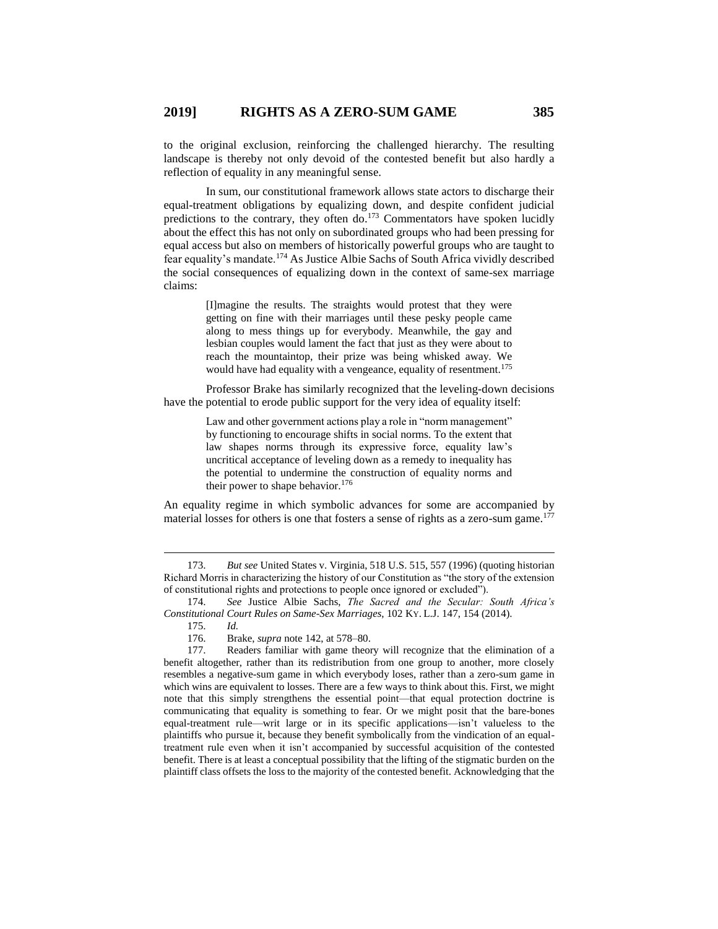to the original exclusion, reinforcing the challenged hierarchy. The resulting landscape is thereby not only devoid of the contested benefit but also hardly a reflection of equality in any meaningful sense.

In sum, our constitutional framework allows state actors to discharge their equal-treatment obligations by equalizing down, and despite confident judicial predictions to the contrary, they often do.<sup>173</sup> Commentators have spoken lucidly about the effect this has not only on subordinated groups who had been pressing for equal access but also on members of historically powerful groups who are taught to fear equality's mandate.<sup>174</sup> As Justice Albie Sachs of South Africa vividly described the social consequences of equalizing down in the context of same-sex marriage claims:

> [I]magine the results. The straights would protest that they were getting on fine with their marriages until these pesky people came along to mess things up for everybody. Meanwhile, the gay and lesbian couples would lament the fact that just as they were about to reach the mountaintop, their prize was being whisked away. We would have had equality with a vengeance, equality of resentment.<sup>175</sup>

Professor Brake has similarly recognized that the leveling-down decisions have the potential to erode public support for the very idea of equality itself:

> Law and other government actions play a role in "norm management" by functioning to encourage shifts in social norms. To the extent that law shapes norms through its expressive force, equality law's uncritical acceptance of leveling down as a remedy to inequality has the potential to undermine the construction of equality norms and their power to shape behavior.<sup>176</sup>

An equality regime in which symbolic advances for some are accompanied by material losses for others is one that fosters a sense of rights as a zero-sum game.<sup>177</sup>

<sup>173.</sup> *But see* United States v. Virginia, 518 U.S. 515, 557 (1996) (quoting historian Richard Morris in characterizing the history of our Constitution as "the story of the extension of constitutional rights and protections to people once ignored or excluded").

<sup>174.</sup> *See* Justice Albie Sachs, *The Sacred and the Secular: South Africa's Constitutional Court Rules on Same-Sex Marriages*, 102 KY. L.J. 147, 154 (2014).

<sup>175.</sup> *Id.*

<sup>176.</sup> Brake, *supra* note 142, at 578–80.

<sup>177.</sup> Readers familiar with game theory will recognize that the elimination of a benefit altogether, rather than its redistribution from one group to another, more closely resembles a negative-sum game in which everybody loses, rather than a zero-sum game in which wins are equivalent to losses. There are a few ways to think about this. First, we might note that this simply strengthens the essential point—that equal protection doctrine is communicating that equality is something to fear. Or we might posit that the bare-bones equal-treatment rule—writ large or in its specific applications—isn't valueless to the plaintiffs who pursue it, because they benefit symbolically from the vindication of an equaltreatment rule even when it isn't accompanied by successful acquisition of the contested benefit. There is at least a conceptual possibility that the lifting of the stigmatic burden on the plaintiff class offsets the loss to the majority of the contested benefit. Acknowledging that the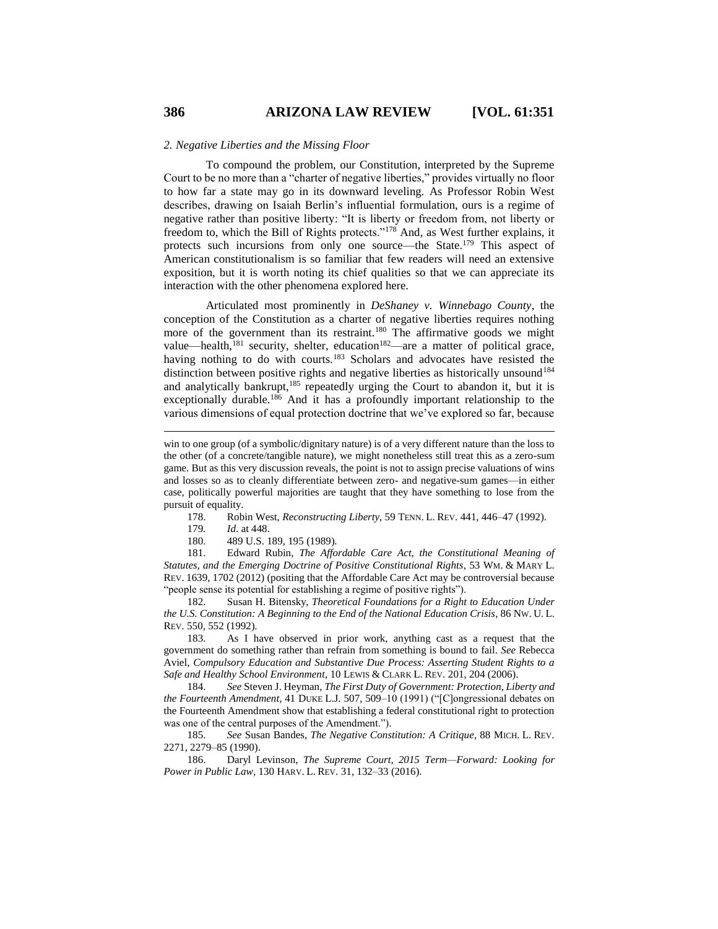To compound the problem, our Constitution, interpreted by the Supreme Court to be no more than a "charter of negative liberties," provides virtually no floor to how far a state may go in its downward leveling. As Professor Robin West describes, drawing on Isaiah Berlin's influential formulation, ours is a regime of negative rather than positive liberty: "It is liberty or freedom from, not liberty or freedom to, which the Bill of Rights protects."<sup>178</sup> And, as West further explains, it protects such incursions from only one source—the State.<sup>179</sup> This aspect of American constitutionalism is so familiar that few readers will need an extensive exposition, but it is worth noting its chief qualities so that we can appreciate its interaction with the other phenomena explored here.

Articulated most prominently in *DeShaney v. Winnebago County*, the conception of the Constitution as a charter of negative liberties requires nothing more of the government than its restraint.<sup>180</sup> The affirmative goods we might value—health,<sup>181</sup> security, shelter, education<sup>182</sup>—are a matter of political grace, having nothing to do with courts.<sup>183</sup> Scholars and advocates have resisted the distinction between positive rights and negative liberties as historically unsound<sup>184</sup> and analytically bankrupt,<sup>185</sup> repeatedly urging the Court to abandon it, but it is exceptionally durable.<sup>186</sup> And it has a profoundly important relationship to the various dimensions of equal protection doctrine that we've explored so far, because

178. Robin West, *Reconstructing Liberty*, 59 TENN. L. REV. 441, 446–47 (1992).

179*. Id*. at 448.

180. 489 U.S. 189, 195 (1989).

181. Edward Rubin, *The Affordable Care Act, the Constitutional Meaning of Statutes, and the Emerging Doctrine of Positive Constitutional Rights*, 53 WM. & MARY L. REV. 1639, 1702 (2012) (positing that the Affordable Care Act may be controversial because "people sense its potential for establishing a regime of positive rights").

182. Susan H. Bitensky, *Theoretical Foundations for a Right to Education Under the U.S. Constitution: A Beginning to the End of the National Education Crisis*, 86 NW. U. L. REV. 550, 552 (1992).

183. As I have observed in prior work, anything cast as a request that the government do something rather than refrain from something is bound to fail. *See* Rebecca Aviel, *Compulsory Education and Substantive Due Process: Asserting Student Rights to a Safe and Healthy School Environment*, 10 LEWIS & CLARK L. REV. 201, 204 (2006).

184. *See* Steven J. Heyman, *The First Duty of Government: Protection, Liberty and the Fourteenth Amendment*, 41 DUKE L.J. 507, 509–10 (1991) ("[C]ongressional debates on the Fourteenth Amendment show that establishing a federal constitutional right to protection was one of the central purposes of the Amendment.").

185. *See* Susan Bandes, *The Negative Constitution: A Critique*, 88 MICH. L. REV. 2271, 2279–85 (1990).

186. Daryl Levinson, *The Supreme Court, 2015 Term—Forward: Looking for Power in Public Law*, 130 HARV. L. REV. 31, 132–33 (2016).

win to one group (of a symbolic/dignitary nature) is of a very different nature than the loss to the other (of a concrete/tangible nature), we might nonetheless still treat this as a zero-sum game. But as this very discussion reveals, the point is not to assign precise valuations of wins and losses so as to cleanly differentiate between zero- and negative-sum games—in either case, politically powerful majorities are taught that they have something to lose from the pursuit of equality.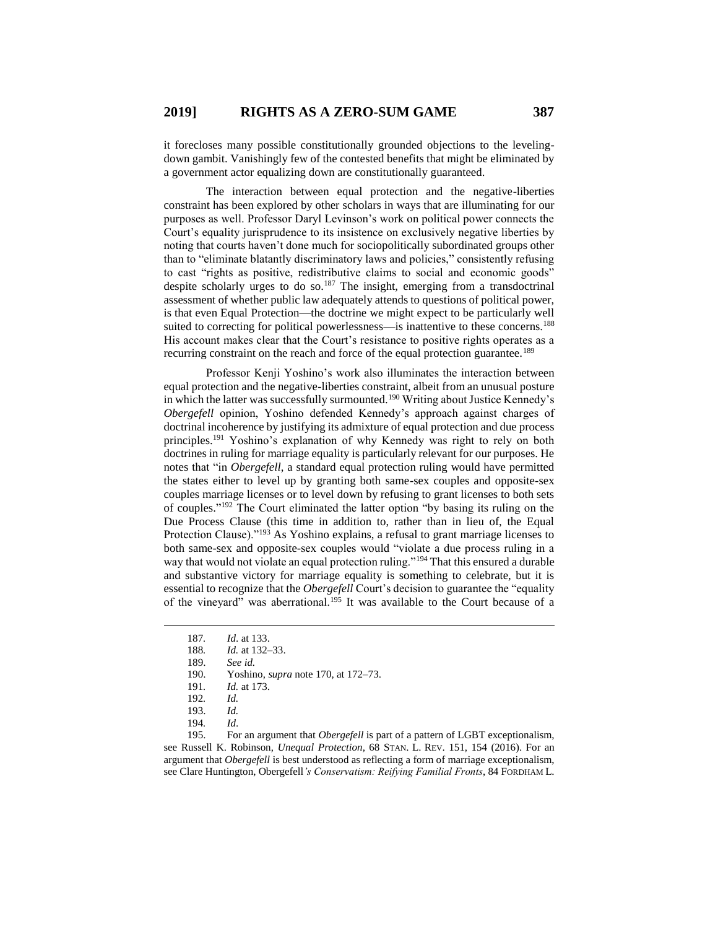it forecloses many possible constitutionally grounded objections to the levelingdown gambit. Vanishingly few of the contested benefits that might be eliminated by a government actor equalizing down are constitutionally guaranteed.

The interaction between equal protection and the negative-liberties constraint has been explored by other scholars in ways that are illuminating for our purposes as well. Professor Daryl Levinson's work on political power connects the Court's equality jurisprudence to its insistence on exclusively negative liberties by noting that courts haven't done much for sociopolitically subordinated groups other than to "eliminate blatantly discriminatory laws and policies," consistently refusing to cast "rights as positive, redistributive claims to social and economic goods" despite scholarly urges to do so.<sup>187</sup> The insight, emerging from a transdoctrinal assessment of whether public law adequately attends to questions of political power, is that even Equal Protection—the doctrine we might expect to be particularly well suited to correcting for political powerlessness—is inattentive to these concerns.<sup>188</sup> His account makes clear that the Court's resistance to positive rights operates as a recurring constraint on the reach and force of the equal protection guarantee.<sup>189</sup>

Professor Kenji Yoshino's work also illuminates the interaction between equal protection and the negative-liberties constraint, albeit from an unusual posture in which the latter was successfully surmounted.<sup>190</sup> Writing about Justice Kennedy's *Obergefell* opinion, Yoshino defended Kennedy's approach against charges of doctrinal incoherence by justifying its admixture of equal protection and due process principles.<sup>191</sup> Yoshino's explanation of why Kennedy was right to rely on both doctrines in ruling for marriage equality is particularly relevant for our purposes. He notes that "in *Obergefell*, a standard equal protection ruling would have permitted the states either to level up by granting both same-sex couples and opposite-sex couples marriage licenses or to level down by refusing to grant licenses to both sets of couples." <sup>192</sup> The Court eliminated the latter option "by basing its ruling on the Due Process Clause (this time in addition to, rather than in lieu of, the Equal Protection Clause)."<sup>193</sup> As Yoshino explains, a refusal to grant marriage licenses to both same-sex and opposite-sex couples would "violate a due process ruling in a way that would not violate an equal protection ruling."<sup>194</sup> That this ensured a durable and substantive victory for marriage equality is something to celebrate, but it is essential to recognize that the *Obergefell* Court's decision to guarantee the "equality of the vineyard" was aberrational.<sup>195</sup> It was available to the Court because of a

 $\overline{a}$ 

195. For an argument that *Obergefell* is part of a pattern of LGBT exceptionalism, see Russell K. Robinson, *Unequal Protection*, 68 STAN. L. REV. 151, 154 (2016). For an argument that *Obergefell* is best understood as reflecting a form of marriage exceptionalism, see Clare Huntington, Obergefell*'s Conservatism: Reifying Familial Fronts*, 84 FORDHAM L.

<sup>187</sup>*. Id*. at 133.

<sup>188</sup>*. Id.* at 132–33.

<sup>189.</sup> *See id.*

<sup>190.</sup> Yoshino, *supra* note 170, at 172–73.

<sup>191</sup>*. Id.* at 173.

<sup>192</sup>*. Id.*

<sup>193.</sup> *Id.*

<sup>194</sup>*. Id*.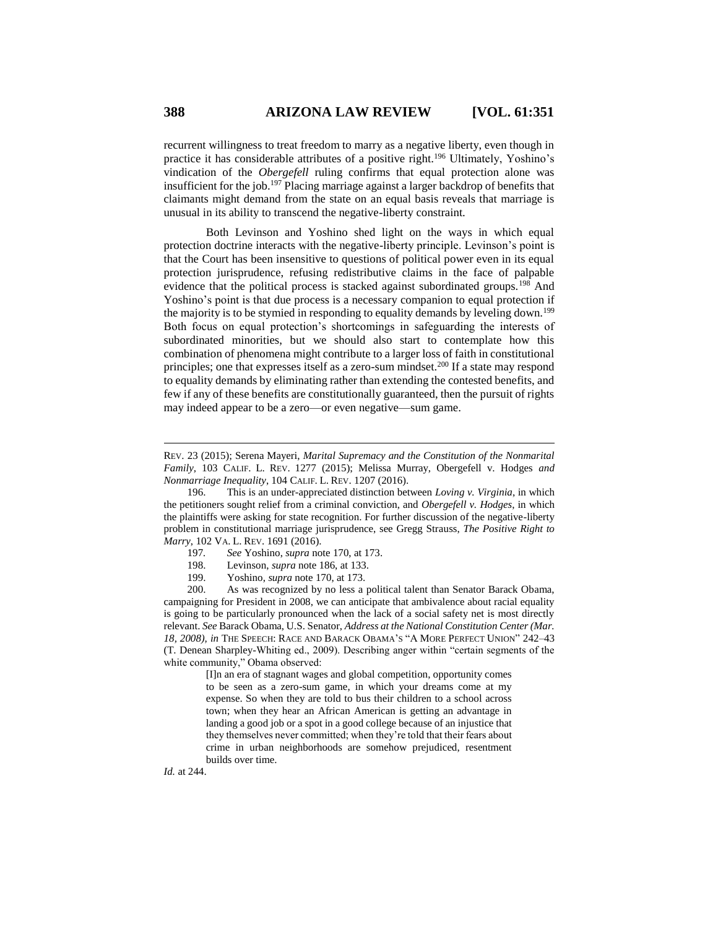recurrent willingness to treat freedom to marry as a negative liberty, even though in practice it has considerable attributes of a positive right.<sup>196</sup> Ultimately, Yoshino's vindication of the *Obergefell* ruling confirms that equal protection alone was insufficient for the job.<sup>197</sup> Placing marriage against a larger backdrop of benefits that claimants might demand from the state on an equal basis reveals that marriage is unusual in its ability to transcend the negative-liberty constraint.

Both Levinson and Yoshino shed light on the ways in which equal protection doctrine interacts with the negative-liberty principle. Levinson's point is that the Court has been insensitive to questions of political power even in its equal protection jurisprudence, refusing redistributive claims in the face of palpable evidence that the political process is stacked against subordinated groups.<sup>198</sup> And Yoshino's point is that due process is a necessary companion to equal protection if the majority is to be stymied in responding to equality demands by leveling down.<sup>199</sup> Both focus on equal protection's shortcomings in safeguarding the interests of subordinated minorities, but we should also start to contemplate how this combination of phenomena might contribute to a larger loss of faith in constitutional principles; one that expresses itself as a zero-sum mindset.<sup>200</sup> If a state may respond to equality demands by eliminating rather than extending the contested benefits, and few if any of these benefits are constitutionally guaranteed, then the pursuit of rights may indeed appear to be a zero—or even negative—sum game.

- 198. Levinson, *supra* note 186, at 133.
- 199. Yoshino, *supra* note 170, at 173.

200. As was recognized by no less a political talent than Senator Barack Obama, campaigning for President in 2008, we can anticipate that ambivalence about racial equality is going to be particularly pronounced when the lack of a social safety net is most directly relevant. *See* Barack Obama, U.S. Senator, *Address at the National Constitution Center (Mar. 18, 2008), in* THE SPEECH: RACE AND BARACK OBAMA'S "A MORE PERFECT UNION" 242–43 (T. Denean Sharpley-Whiting ed., 2009). Describing anger within "certain segments of the white community," Obama observed:

> [I]n an era of stagnant wages and global competition, opportunity comes to be seen as a zero-sum game, in which your dreams come at my expense. So when they are told to bus their children to a school across town; when they hear an African American is getting an advantage in landing a good job or a spot in a good college because of an injustice that they themselves never committed; when they're told that their fears about crime in urban neighborhoods are somehow prejudiced, resentment builds over time.

*Id.* at 244.

REV. 23 (2015); Serena Mayeri, *Marital Supremacy and the Constitution of the Nonmarital Family*, 103 CALIF. L. REV. 1277 (2015); Melissa Murray, Obergefell v. Hodges *and Nonmarriage Inequality*, 104 CALIF. L. REV. 1207 (2016).

<sup>196.</sup> This is an under-appreciated distinction between *Loving v. Virginia*, in which the petitioners sought relief from a criminal conviction, and *Obergefell v. Hodges*, in which the plaintiffs were asking for state recognition. For further discussion of the negative-liberty problem in constitutional marriage jurisprudence, see Gregg Strauss, *The Positive Right to Marry*, 102 VA. L. REV. 1691 (2016).

<sup>197</sup>*. See* Yoshino, *supra* note 170, at 173.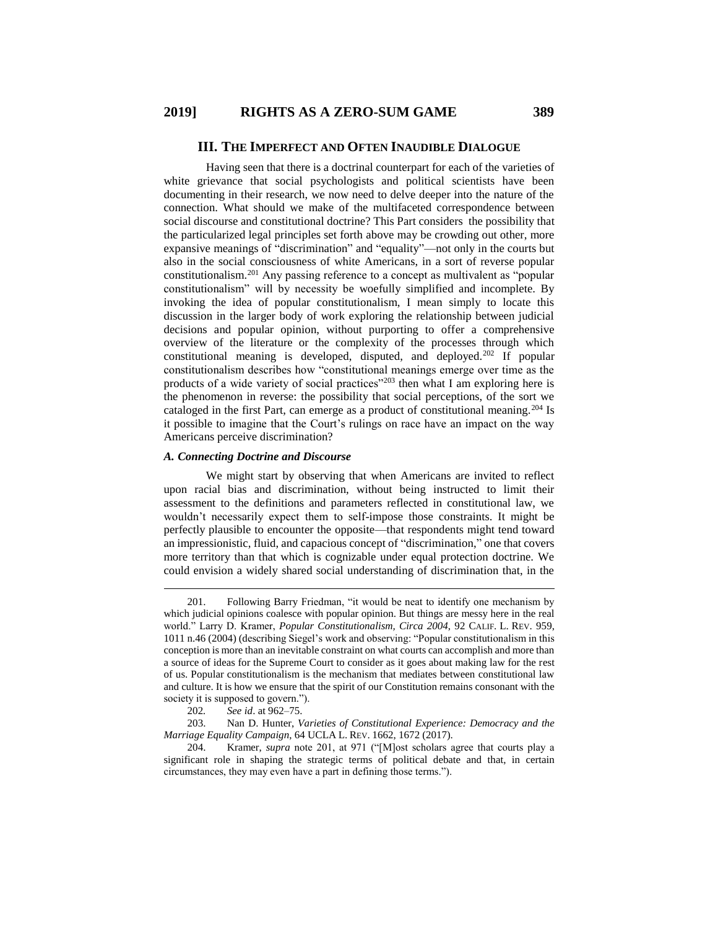#### **III. THE IMPERFECT AND OFTEN INAUDIBLE DIALOGUE**

Having seen that there is a doctrinal counterpart for each of the varieties of white grievance that social psychologists and political scientists have been documenting in their research, we now need to delve deeper into the nature of the connection. What should we make of the multifaceted correspondence between social discourse and constitutional doctrine? This Part considers the possibility that the particularized legal principles set forth above may be crowding out other, more expansive meanings of "discrimination" and "equality"—not only in the courts but also in the social consciousness of white Americans, in a sort of reverse popular constitutionalism.<sup>201</sup> Any passing reference to a concept as multivalent as "popular constitutionalism" will by necessity be woefully simplified and incomplete. By invoking the idea of popular constitutionalism, I mean simply to locate this discussion in the larger body of work exploring the relationship between judicial decisions and popular opinion, without purporting to offer a comprehensive overview of the literature or the complexity of the processes through which constitutional meaning is developed, disputed, and deployed.<sup>202</sup> If popular constitutionalism describes how "constitutional meanings emerge over time as the products of a wide variety of social practices"<sup>203</sup> then what I am exploring here is the phenomenon in reverse: the possibility that social perceptions, of the sort we cataloged in the first Part, can emerge as a product of constitutional meaning.<sup>204</sup> Is it possible to imagine that the Court's rulings on race have an impact on the way Americans perceive discrimination?

## *A. Connecting Doctrine and Discourse*

We might start by observing that when Americans are invited to reflect upon racial bias and discrimination, without being instructed to limit their assessment to the definitions and parameters reflected in constitutional law, we wouldn't necessarily expect them to self-impose those constraints. It might be perfectly plausible to encounter the opposite—that respondents might tend toward an impressionistic, fluid, and capacious concept of "discrimination," one that covers more territory than that which is cognizable under equal protection doctrine. We could envision a widely shared social understanding of discrimination that, in the

 $\overline{a}$ 

203. Nan D. Hunter, *Varieties of Constitutional Experience: Democracy and the Marriage Equality Campaign*, 64 UCLA L. REV. 1662, 1672 (2017).

204. Kramer, *supra* note 201, at 971 ("[M]ost scholars agree that courts play a significant role in shaping the strategic terms of political debate and that, in certain circumstances, they may even have a part in defining those terms.").

<sup>201.</sup> Following Barry Friedman, "it would be neat to identify one mechanism by which judicial opinions coalesce with popular opinion. But things are messy here in the real world." Larry D. Kramer, *Popular Constitutionalism, Circa 2004*, 92 CALIF. L. REV. 959, 1011 n.46 (2004) (describing Siegel's work and observing: "Popular constitutionalism in this conception is more than an inevitable constraint on what courts can accomplish and more than a source of ideas for the Supreme Court to consider as it goes about making law for the rest of us. Popular constitutionalism is the mechanism that mediates between constitutional law and culture. It is how we ensure that the spirit of our Constitution remains consonant with the society it is supposed to govern.").

<sup>202</sup>*. See id*. at 962–75.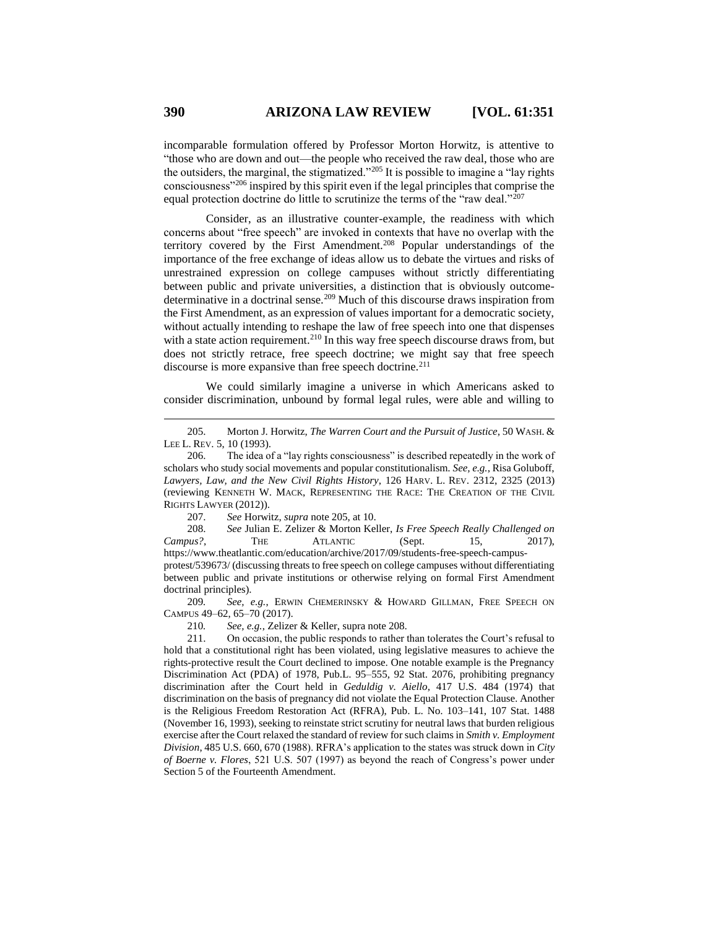incomparable formulation offered by Professor Morton Horwitz, is attentive to "those who are down and out—the people who received the raw deal, those who are the outsiders, the marginal, the stigmatized."<sup>205</sup> It is possible to imagine a "lay rights consciousness"<sup>206</sup> inspired by this spirit even if the legal principles that comprise the equal protection doctrine do little to scrutinize the terms of the "raw deal."<sup>207</sup>

Consider, as an illustrative counter-example, the readiness with which concerns about "free speech" are invoked in contexts that have no overlap with the territory covered by the First Amendment.<sup>208</sup> Popular understandings of the importance of the free exchange of ideas allow us to debate the virtues and risks of unrestrained expression on college campuses without strictly differentiating between public and private universities, a distinction that is obviously outcomedeterminative in a doctrinal sense.<sup>209</sup> Much of this discourse draws inspiration from the First Amendment, as an expression of values important for a democratic society, without actually intending to reshape the law of free speech into one that dispenses with a state action requirement.<sup>210</sup> In this way free speech discourse draws from, but does not strictly retrace, free speech doctrine; we might say that free speech discourse is more expansive than free speech doctrine.<sup>211</sup>

We could similarly imagine a universe in which Americans asked to consider discrimination, unbound by formal legal rules, were able and willing to

207. *See* Horwitz, *supra* note 205, at 10.

208. *See* Julian E. Zelizer & Morton Keller, *Is Free Speech Really Challenged on Campus?*, THE ATLANTIC (Sept. 15, 2017), https://www.theatlantic.com/education/archive/2017/09/students-free-speech-campusprotest/539673/ (discussing threats to free speech on college campuses without differentiating between public and private institutions or otherwise relying on formal First Amendment doctrinal principles).

209*. See, e.g.*, ERWIN CHEMERINSKY & HOWARD GILLMAN, FREE SPEECH ON CAMPUS 49–62, 65–70 (2017).

210*. See, e.g.*, Zelizer & Keller, supra note 208.

211. On occasion, the public responds to rather than tolerates the Court's refusal to hold that a constitutional right has been violated, using legislative measures to achieve the rights-protective result the Court declined to impose. One notable example is the Pregnancy Discrimination Act (PDA) of 1978, Pub.L. 95–555, 92 Stat. 2076, prohibiting pregnancy discrimination after the Court held in *Geduldig v. Aiello*, 417 U.S. 484 (1974) that discrimination on the basis of pregnancy did not violate the Equal Protection Clause. Another is the Religious Freedom Restoration Act (RFRA), Pub. L. No. 103–141, 107 Stat. 1488 (November 16, 1993), seeking to reinstate strict scrutiny for neutral laws that burden religious exercise after the Court relaxed the standard of review for such claims in *Smith v. Employment Division*, 485 U.S. 660, 670 (1988). RFRA's application to the states was struck down in *City of Boerne v. Flores*, 521 U.S. 507 (1997) as beyond the reach of Congress's power under Section 5 of the Fourteenth Amendment.

<sup>205.</sup> Morton J. Horwitz, *The Warren Court and the Pursuit of Justice*, 50 WASH. & LEE L. REV. 5, 10 (1993).

<sup>206.</sup> The idea of a "lay rights consciousness" is described repeatedly in the work of scholars who study social movements and popular constitutionalism. *See, e.g.*, Risa Goluboff, *Lawyers, Law, and the New Civil Rights History*, 126 HARV. L. REV. 2312, 2325 (2013) (reviewing KENNETH W. MACK, REPRESENTING THE RACE: THE CREATION OF THE CIVIL RIGHTS LAWYER (2012)).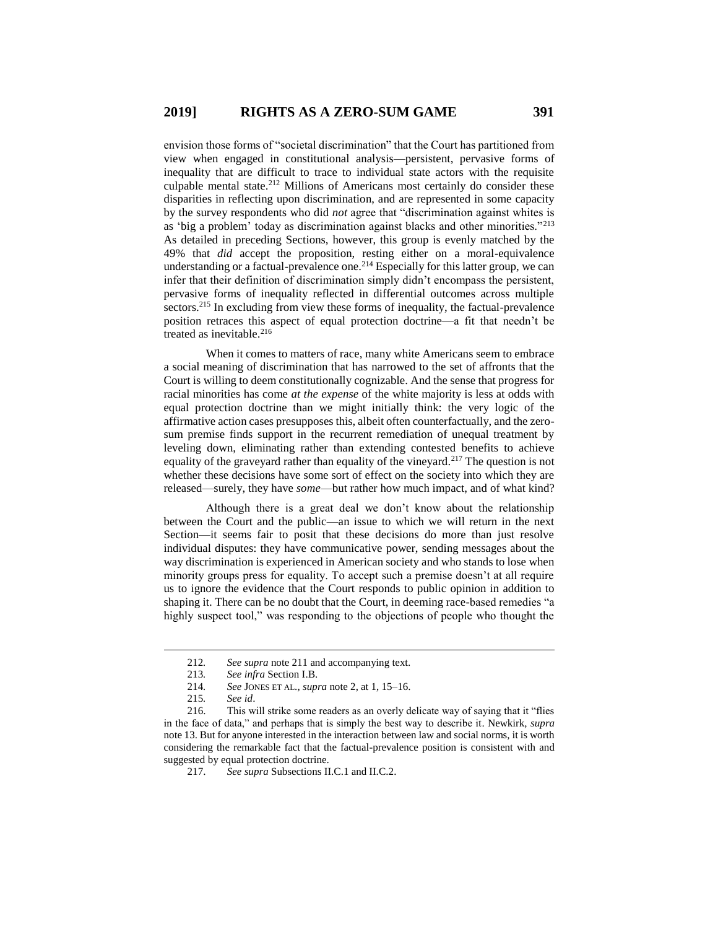envision those forms of "societal discrimination" that the Court has partitioned from view when engaged in constitutional analysis—persistent, pervasive forms of inequality that are difficult to trace to individual state actors with the requisite culpable mental state.<sup>212</sup> Millions of Americans most certainly do consider these disparities in reflecting upon discrimination, and are represented in some capacity by the survey respondents who did *not* agree that "discrimination against whites is as 'big a problem' today as discrimination against blacks and other minorities."<sup>213</sup> As detailed in preceding Sections, however, this group is evenly matched by the 49% that *did* accept the proposition, resting either on a moral-equivalence understanding or a factual-prevalence one.<sup>214</sup> Especially for this latter group, we can infer that their definition of discrimination simply didn't encompass the persistent, pervasive forms of inequality reflected in differential outcomes across multiple sectors.<sup>215</sup> In excluding from view these forms of inequality, the factual-prevalence position retraces this aspect of equal protection doctrine—a fit that needn't be treated as inevitable.<sup>216</sup>

When it comes to matters of race, many white Americans seem to embrace a social meaning of discrimination that has narrowed to the set of affronts that the Court is willing to deem constitutionally cognizable. And the sense that progress for racial minorities has come *at the expense* of the white majority is less at odds with equal protection doctrine than we might initially think: the very logic of the affirmative action cases presupposes this, albeit often counterfactually, and the zerosum premise finds support in the recurrent remediation of unequal treatment by leveling down, eliminating rather than extending contested benefits to achieve equality of the graveyard rather than equality of the vineyard.<sup>217</sup> The question is not whether these decisions have some sort of effect on the society into which they are released—surely, they have *some*—but rather how much impact, and of what kind?

Although there is a great deal we don't know about the relationship between the Court and the public—an issue to which we will return in the next Section—it seems fair to posit that these decisions do more than just resolve individual disputes: they have communicative power, sending messages about the way discrimination is experienced in American society and who stands to lose when minority groups press for equality. To accept such a premise doesn't at all require us to ignore the evidence that the Court responds to public opinion in addition to shaping it. There can be no doubt that the Court, in deeming race-based remedies "a highly suspect tool," was responding to the objections of people who thought the

<sup>212</sup>*. See supra* note 211 and accompanying text.

<sup>213</sup>*. See infra* Section I.B.

<sup>214</sup>*. See* JONES ET AL., *supra* note 2, at 1, 15–16.

<sup>215</sup>*. See id*.

<sup>216.</sup> This will strike some readers as an overly delicate way of saying that it "flies in the face of data," and perhaps that is simply the best way to describe it. Newkirk, *supra* note 13. But for anyone interested in the interaction between law and social norms, it is worth considering the remarkable fact that the factual-prevalence position is consistent with and suggested by equal protection doctrine.

<sup>217.</sup> *See supra* Subsections II.C.1 and II.C.2.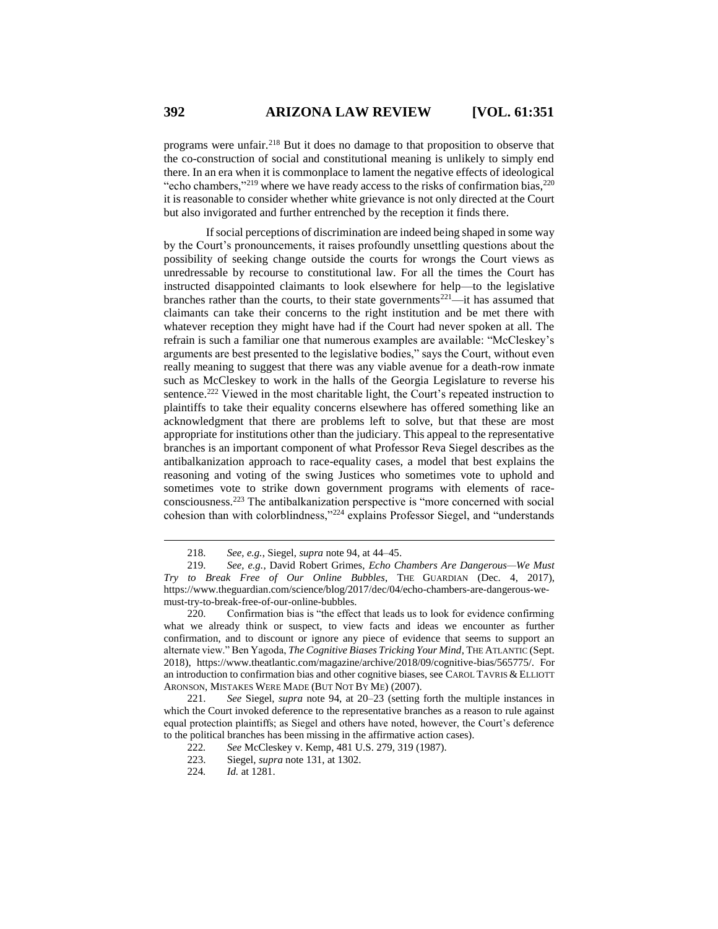programs were unfair.<sup>218</sup> But it does no damage to that proposition to observe that the co-construction of social and constitutional meaning is unlikely to simply end there. In an era when it is commonplace to lament the negative effects of ideological "echo chambers,"<sup>219</sup> where we have ready access to the risks of confirmation bias, $2^{20}$ it is reasonable to consider whether white grievance is not only directed at the Court but also invigorated and further entrenched by the reception it finds there.

If social perceptions of discrimination are indeed being shaped in some way by the Court's pronouncements, it raises profoundly unsettling questions about the possibility of seeking change outside the courts for wrongs the Court views as unredressable by recourse to constitutional law. For all the times the Court has instructed disappointed claimants to look elsewhere for help—to the legislative branches rather than the courts, to their state governments<sup>221</sup>—it has assumed that claimants can take their concerns to the right institution and be met there with whatever reception they might have had if the Court had never spoken at all. The refrain is such a familiar one that numerous examples are available: "McCleskey's arguments are best presented to the legislative bodies," says the Court, without even really meaning to suggest that there was any viable avenue for a death-row inmate such as McCleskey to work in the halls of the Georgia Legislature to reverse his sentence.<sup>222</sup> Viewed in the most charitable light, the Court's repeated instruction to plaintiffs to take their equality concerns elsewhere has offered something like an acknowledgment that there are problems left to solve, but that these are most appropriate for institutions other than the judiciary. This appeal to the representative branches is an important component of what Professor Reva Siegel describes as the antibalkanization approach to race-equality cases, a model that best explains the reasoning and voting of the swing Justices who sometimes vote to uphold and sometimes vote to strike down government programs with elements of raceconsciousness.<sup>223</sup> The antibalkanization perspective is "more concerned with social cohesion than with colorblindness,"<sup>224</sup> explains Professor Siegel, and "understands

<sup>218.</sup> *See, e.g.*, Siegel, *supra* note 94, at 44–45.

<sup>219.</sup> *See, e.g.*, David Robert Grimes, *Echo Chambers Are Dangerous—We Must Try to Break Free of Our Online Bubbles*, THE GUARDIAN (Dec. 4, 2017), https://www.theguardian.com/science/blog/2017/dec/04/echo-chambers-are-dangerous-wemust-try-to-break-free-of-our-online-bubbles.

<sup>220.</sup> Confirmation bias is "the effect that leads us to look for evidence confirming what we already think or suspect, to view facts and ideas we encounter as further confirmation, and to discount or ignore any piece of evidence that seems to support an alternate view." Ben Yagoda, *The Cognitive Biases Tricking Your Mind*, THE ATLANTIC (Sept. 2018), https://www.theatlantic.com/magazine/archive/2018/09/cognitive-bias/565775/. For an introduction to confirmation bias and other cognitive biases, see CAROL TAVRIS & ELLIOTT ARONSON, MISTAKES WERE MADE (BUT NOT BY ME) (2007).

<sup>221.</sup> *See* Siegel, *supra* note 94, at 20–23 (setting forth the multiple instances in which the Court invoked deference to the representative branches as a reason to rule against equal protection plaintiffs; as Siegel and others have noted, however, the Court's deference to the political branches has been missing in the affirmative action cases).<br>222. See McCleskey v. Kemp. 481 U.S. 279. 319 (1987).

<sup>222</sup>*. See* McCleskey v. Kemp, 481 U.S. 279, 319 (1987).

<sup>223.</sup> Siegel, *supra* note 131, at 1302.

<sup>224</sup>*. Id.* at 1281.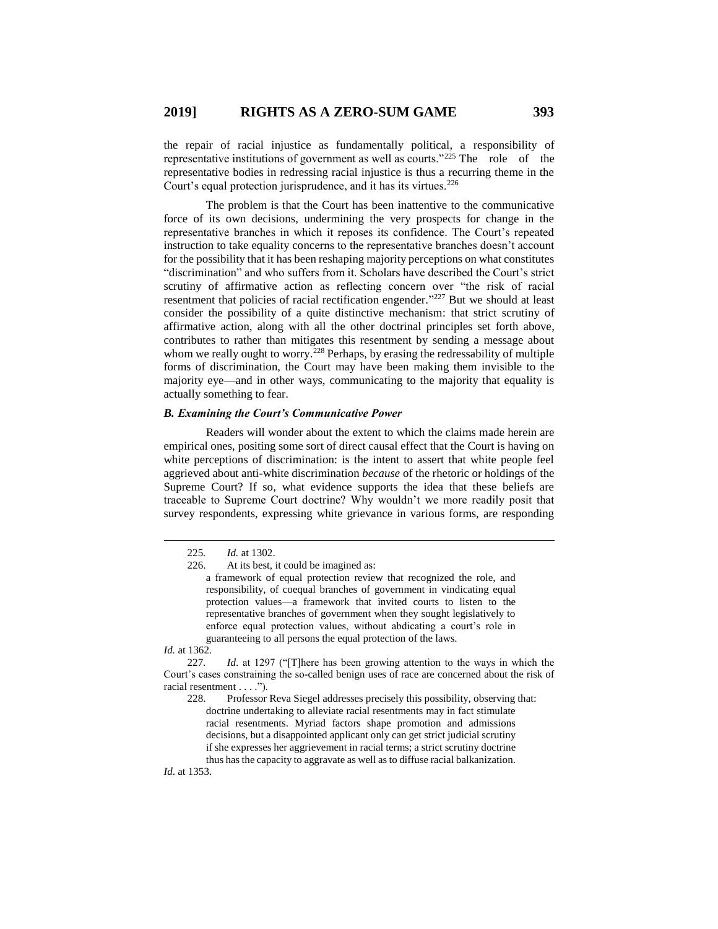the repair of racial injustice as fundamentally political, a responsibility of representative institutions of government as well as courts."<sup>225</sup> The role of the representative bodies in redressing racial injustice is thus a recurring theme in the Court's equal protection jurisprudence, and it has its virtues.<sup>226</sup>

The problem is that the Court has been inattentive to the communicative force of its own decisions, undermining the very prospects for change in the representative branches in which it reposes its confidence. The Court's repeated instruction to take equality concerns to the representative branches doesn't account for the possibility that it has been reshaping majority perceptions on what constitutes "discrimination" and who suffers from it. Scholars have described the Court's strict scrutiny of affirmative action as reflecting concern over "the risk of racial resentment that policies of racial rectification engender."<sup>227</sup> But we should at least consider the possibility of a quite distinctive mechanism: that strict scrutiny of affirmative action, along with all the other doctrinal principles set forth above, contributes to rather than mitigates this resentment by sending a message about whom we really ought to worry.<sup>228</sup> Perhaps, by erasing the redressability of multiple forms of discrimination, the Court may have been making them invisible to the majority eye—and in other ways, communicating to the majority that equality is actually something to fear.

## *B. Examining the Court's Communicative Power*

Readers will wonder about the extent to which the claims made herein are empirical ones, positing some sort of direct causal effect that the Court is having on white perceptions of discrimination: is the intent to assert that white people feel aggrieved about anti-white discrimination *because* of the rhetoric or holdings of the Supreme Court? If so, what evidence supports the idea that these beliefs are traceable to Supreme Court doctrine? Why wouldn't we more readily posit that survey respondents, expressing white grievance in various forms, are responding

*Id.* at 1362.

 $\overline{a}$ 

*Id*. at 1353.

<sup>225</sup>*. Id.* at 1302.

<sup>226.</sup> At its best, it could be imagined as:

a framework of equal protection review that recognized the role, and responsibility, of coequal branches of government in vindicating equal protection values—a framework that invited courts to listen to the representative branches of government when they sought legislatively to enforce equal protection values, without abdicating a court's role in guaranteeing to all persons the equal protection of the laws.

<sup>227</sup>*. Id*. at 1297 ("[T]here has been growing attention to the ways in which the Court's cases constraining the so-called benign uses of race are concerned about the risk of racial resentment . . . .").

<sup>228.</sup> Professor Reva Siegel addresses precisely this possibility, observing that: doctrine undertaking to alleviate racial resentments may in fact stimulate racial resentments. Myriad factors shape promotion and admissions decisions, but a disappointed applicant only can get strict judicial scrutiny if she expresses her aggrievement in racial terms; a strict scrutiny doctrine thus has the capacity to aggravate as well as to diffuse racial balkanization.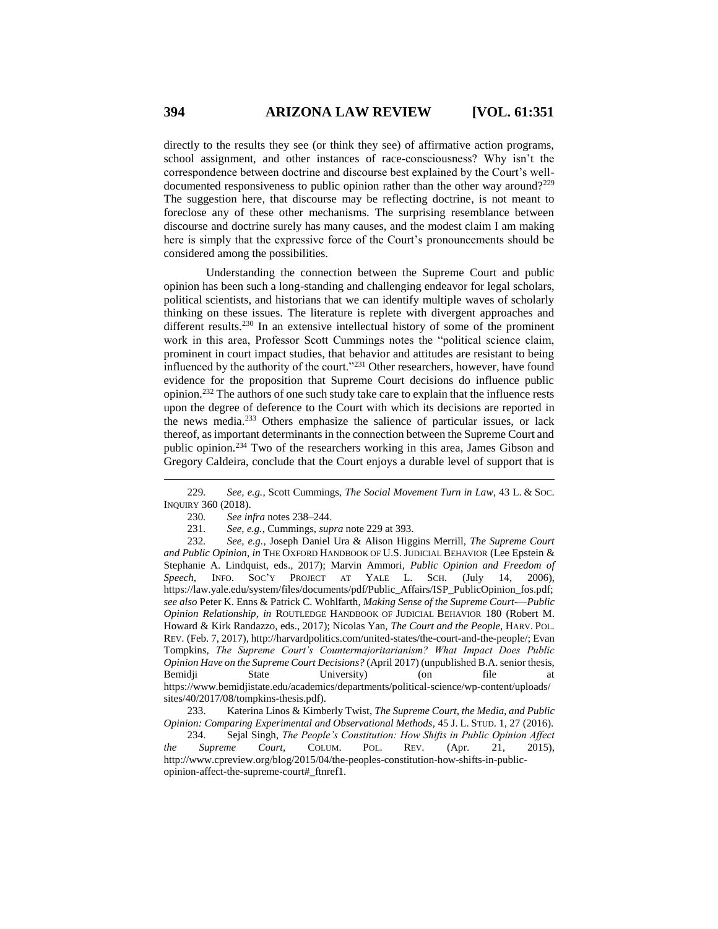directly to the results they see (or think they see) of affirmative action programs, school assignment, and other instances of race-consciousness? Why isn't the correspondence between doctrine and discourse best explained by the Court's welldocumented responsiveness to public opinion rather than the other way around?<sup>229</sup> The suggestion here, that discourse may be reflecting doctrine, is not meant to foreclose any of these other mechanisms. The surprising resemblance between discourse and doctrine surely has many causes, and the modest claim I am making here is simply that the expressive force of the Court's pronouncements should be considered among the possibilities.

Understanding the connection between the Supreme Court and public opinion has been such a long-standing and challenging endeavor for legal scholars, political scientists, and historians that we can identify multiple waves of scholarly thinking on these issues. The literature is replete with divergent approaches and different results.<sup>230</sup> In an extensive intellectual history of some of the prominent work in this area, Professor Scott Cummings notes the "political science claim, prominent in court impact studies, that behavior and attitudes are resistant to being influenced by the authority of the court."<sup>231</sup> Other researchers, however, have found evidence for the proposition that Supreme Court decisions do influence public opinion.<sup>232</sup> The authors of one such study take care to explain that the influence rests upon the degree of deference to the Court with which its decisions are reported in the news media.<sup>233</sup> Others emphasize the salience of particular issues, or lack thereof, as important determinants in the connection between the Supreme Court and public opinion.<sup>234</sup> Two of the researchers working in this area, James Gibson and Gregory Caldeira, conclude that the Court enjoys a durable level of support that is

<sup>229</sup>*. See, e.g.*, Scott Cummings, *The Social Movement Turn in Law*, 43 L. & SOC. INQUIRY 360 (2018).

<sup>230</sup>*. See infra* notes 238–244.

<sup>231</sup>*. See, e.g.*, Cummings, *supra* note 229 at 393.

<sup>232</sup>*. See, e.g.*, Joseph Daniel Ura & Alison Higgins Merrill, *The Supreme Court and Public Opinion*, *in* THE OXFORD HANDBOOK OF U.S. JUDICIAL BEHAVIOR (Lee Epstein & Stephanie A. Lindquist, eds., 2017); Marvin Ammori, *Public Opinion and Freedom of Speech*, INFO. SOC'Y PROJECT AT YALE L. SCH. (July 14, 2006), https://law.yale.edu/system/files/documents/pdf/Public\_Affairs/ISP\_PublicOpinion\_fos.pdf; *see also* Peter K. Enns & Patrick C. Wohlfarth, *Making Sense of the Supreme Court-—Public Opinion Relationship*, *in* ROUTLEDGE HANDBOOK OF JUDICIAL BEHAVIOR 180 (Robert M. Howard & Kirk Randazzo, eds., 2017); Nicolas Yan, *The Court and the People*, HARV. POL. REV. (Feb. 7, 2017), http://harvardpolitics.com/united-states/the-court-and-the-people/; Evan Tompkins, *The Supreme Court's Countermajoritarianism? What Impact Does Public Opinion Have on the Supreme Court Decisions?* (April 2017) (unpublished B.A. senior thesis, Bemidji State University) (on file at https://www.bemidjistate.edu/academics/departments/political-science/wp-content/uploads/ sites/40/2017/08/tompkins-thesis.pdf).

<sup>233.</sup> Katerina Linos & Kimberly Twist, *The Supreme Court, the Media, and Public Opinion: Comparing Experimental and Observational Methods*, 45 J. L. STUD. 1, 27 (2016).

<sup>234.</sup> Sejal Singh, *The People's Constitution: How Shifts in Public Opinion Affect the Supreme Court*, COLUM. POL. REV. (Apr. 21, 2015), http://www.cpreview.org/blog/2015/04/the-peoples-constitution-how-shifts-in-publicopinion-affect-the-supreme-court#\_ftnref1.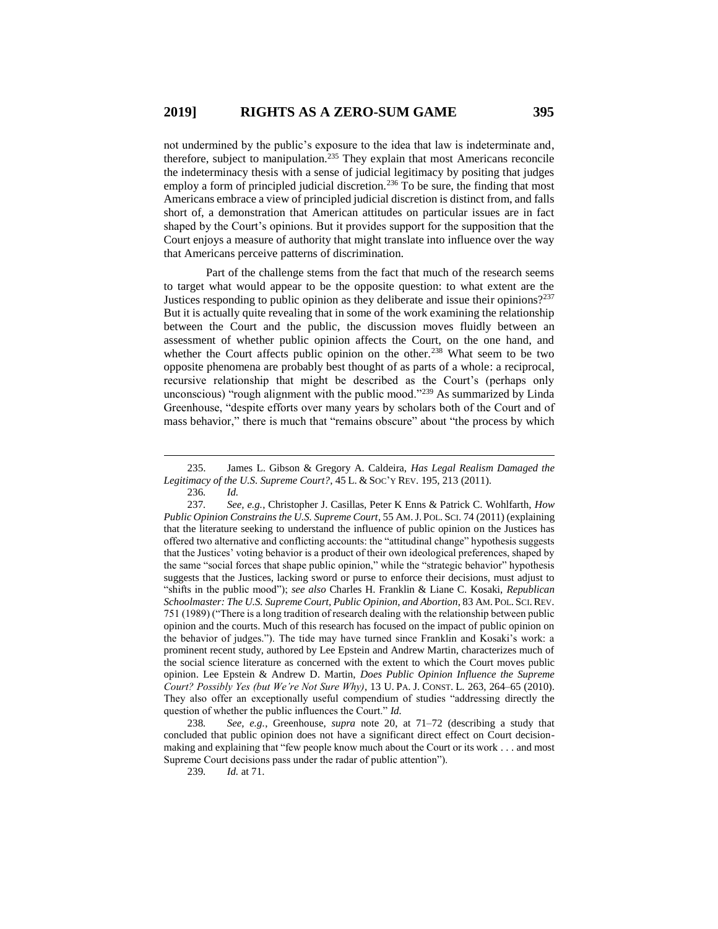not undermined by the public's exposure to the idea that law is indeterminate and, therefore, subject to manipulation.<sup>235</sup> They explain that most Americans reconcile the indeterminacy thesis with a sense of judicial legitimacy by positing that judges employ a form of principled judicial discretion.<sup>236</sup> To be sure, the finding that most Americans embrace a view of principled judicial discretion is distinct from, and falls short of, a demonstration that American attitudes on particular issues are in fact shaped by the Court's opinions. But it provides support for the supposition that the Court enjoys a measure of authority that might translate into influence over the way that Americans perceive patterns of discrimination.

Part of the challenge stems from the fact that much of the research seems to target what would appear to be the opposite question: to what extent are the Justices responding to public opinion as they deliberate and issue their opinions?<sup>237</sup> But it is actually quite revealing that in some of the work examining the relationship between the Court and the public, the discussion moves fluidly between an assessment of whether public opinion affects the Court, on the one hand, and whether the Court affects public opinion on the other.<sup>238</sup> What seem to be two opposite phenomena are probably best thought of as parts of a whole: a reciprocal, recursive relationship that might be described as the Court's (perhaps only unconscious) "rough alignment with the public mood."<sup>239</sup> As summarized by Linda Greenhouse, "despite efforts over many years by scholars both of the Court and of mass behavior," there is much that "remains obscure" about "the process by which

239*. Id.* at 71.

<sup>235.</sup> James L. Gibson & Gregory A. Caldeira, *Has Legal Realism Damaged the Legitimacy of the U.S. Supreme Court?*, 45 L. & SOC'Y REV. 195, 213 (2011). 236*. Id.*

<sup>237</sup>*. See, e.g.*, Christopher J. Casillas, Peter K Enns & Patrick C. Wohlfarth, *How Public Opinion Constrains the U.S. Supreme Court*, 55 AM.J. POL. SCI. 74 (2011) (explaining that the literature seeking to understand the influence of public opinion on the Justices has offered two alternative and conflicting accounts: the "attitudinal change" hypothesis suggests that the Justices' voting behavior is a product of their own ideological preferences, shaped by the same "social forces that shape public opinion," while the "strategic behavior" hypothesis suggests that the Justices, lacking sword or purse to enforce their decisions, must adjust to "shifts in the public mood"); *see also* Charles H. Franklin & Liane C. Kosaki, *Republican Schoolmaster: The U.S. Supreme Court, Public Opinion, and Abortion*, 83 AM. POL. SCI.REV. 751 (1989) ("There is a long tradition of research dealing with the relationship between public opinion and the courts. Much of this research has focused on the impact of public opinion on the behavior of judges."). The tide may have turned since Franklin and Kosaki's work: a prominent recent study, authored by Lee Epstein and Andrew Martin, characterizes much of the social science literature as concerned with the extent to which the Court moves public opinion. Lee Epstein & Andrew D. Martin, *Does Public Opinion Influence the Supreme Court? Possibly Yes (but We're Not Sure Why)*, 13 U. PA. J. CONST. L. 263, 264–65 (2010). They also offer an exceptionally useful compendium of studies "addressing directly the question of whether the public influences the Court." *Id.*

<sup>238</sup>*. See, e.g.*, Greenhouse, *supra* note 20, at 71–72 (describing a study that concluded that public opinion does not have a significant direct effect on Court decisionmaking and explaining that "few people know much about the Court or its work . . . and most Supreme Court decisions pass under the radar of public attention").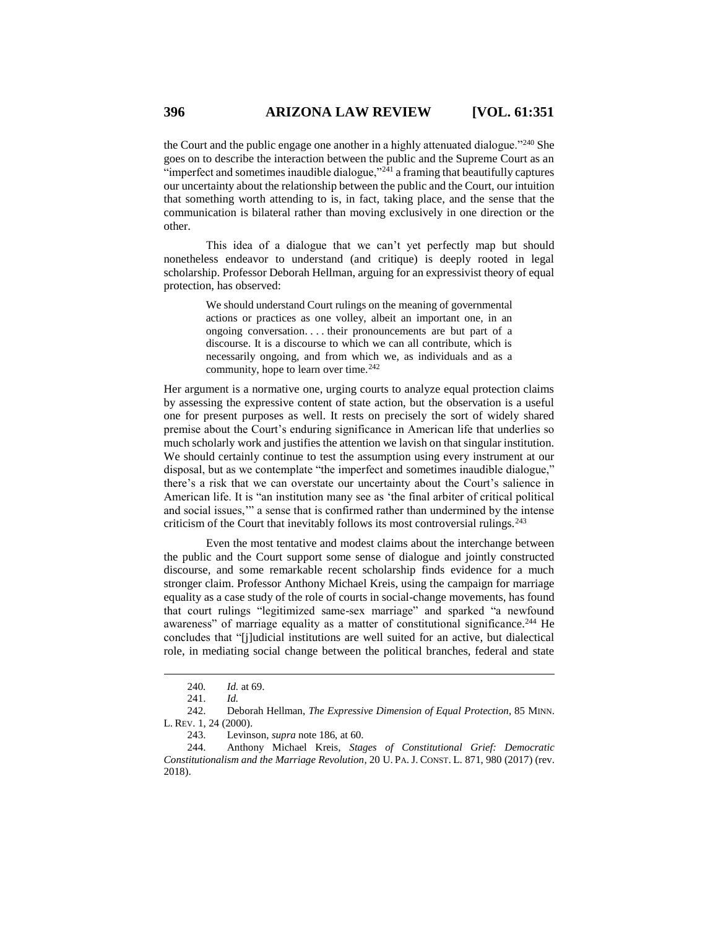the Court and the public engage one another in a highly attenuated dialogue."<sup>240</sup> She goes on to describe the interaction between the public and the Supreme Court as an "imperfect and sometimes inaudible dialogue," $2^{24}$  a framing that beautifully captures our uncertainty about the relationship between the public and the Court, our intuition that something worth attending to is, in fact, taking place, and the sense that the communication is bilateral rather than moving exclusively in one direction or the other.

This idea of a dialogue that we can't yet perfectly map but should nonetheless endeavor to understand (and critique) is deeply rooted in legal scholarship. Professor Deborah Hellman, arguing for an expressivist theory of equal protection, has observed:

> We should understand Court rulings on the meaning of governmental actions or practices as one volley, albeit an important one, in an ongoing conversation. . . . their pronouncements are but part of a discourse. It is a discourse to which we can all contribute, which is necessarily ongoing, and from which we, as individuals and as a community, hope to learn over time. $242$

Her argument is a normative one, urging courts to analyze equal protection claims by assessing the expressive content of state action, but the observation is a useful one for present purposes as well. It rests on precisely the sort of widely shared premise about the Court's enduring significance in American life that underlies so much scholarly work and justifies the attention we lavish on that singular institution. We should certainly continue to test the assumption using every instrument at our disposal, but as we contemplate "the imperfect and sometimes inaudible dialogue," there's a risk that we can overstate our uncertainty about the Court's salience in American life. It is "an institution many see as 'the final arbiter of critical political and social issues,'" a sense that is confirmed rather than undermined by the intense criticism of the Court that inevitably follows its most controversial rulings. $243$ 

Even the most tentative and modest claims about the interchange between the public and the Court support some sense of dialogue and jointly constructed discourse, and some remarkable recent scholarship finds evidence for a much stronger claim. Professor Anthony Michael Kreis, using the campaign for marriage equality as a case study of the role of courts in social-change movements, has found that court rulings "legitimized same-sex marriage" and sparked "a newfound awareness" of marriage equality as a matter of constitutional significance.<sup>244</sup> He concludes that "[j]udicial institutions are well suited for an active, but dialectical role, in mediating social change between the political branches, federal and state

<sup>240</sup>*. Id.* at 69.

<sup>241.</sup> *Id.*

<sup>242.</sup> Deborah Hellman, *The Expressive Dimension of Equal Protection*, 85 MINN. L. REV. 1, 24 (2000).

<sup>243.</sup> Levinson, *supra* note 186, at 60.

<sup>244.</sup> Anthony Michael Kreis, *Stages of Constitutional Grief: Democratic Constitutionalism and the Marriage Revolution*, 20 U. PA. J. CONST. L. 871, 980 (2017) (rev. 2018).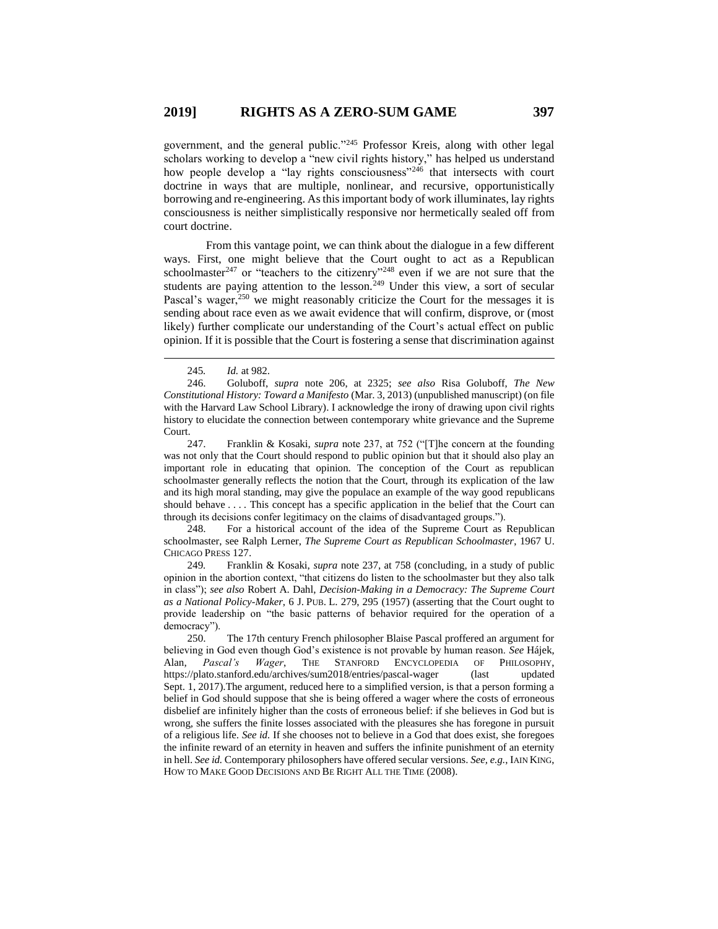government, and the general public."<sup>245</sup> Professor Kreis, along with other legal scholars working to develop a "new civil rights history," has helped us understand how people develop a "lay rights consciousness"<sup>246</sup> that intersects with court doctrine in ways that are multiple, nonlinear, and recursive, opportunistically borrowing and re-engineering. As this important body of work illuminates, lay rights consciousness is neither simplistically responsive nor hermetically sealed off from court doctrine.

From this vantage point, we can think about the dialogue in a few different ways. First, one might believe that the Court ought to act as a Republican schoolmaster<sup>247</sup> or "teachers to the citizenry"<sup>248</sup> even if we are not sure that the students are paying attention to the lesson.<sup>249</sup> Under this view, a sort of secular Pascal's wager, $250$  we might reasonably criticize the Court for the messages it is sending about race even as we await evidence that will confirm, disprove, or (most likely) further complicate our understanding of the Court's actual effect on public opinion. If it is possible that the Court is fostering a sense that discrimination against

 $\overline{a}$ 

247. Franklin & Kosaki, *supra* note 237, at 752 ("[T]he concern at the founding was not only that the Court should respond to public opinion but that it should also play an important role in educating that opinion. The conception of the Court as republican schoolmaster generally reflects the notion that the Court, through its explication of the law and its high moral standing, may give the populace an example of the way good republicans should behave . . . . This concept has a specific application in the belief that the Court can through its decisions confer legitimacy on the claims of disadvantaged groups.").

248. For a historical account of the idea of the Supreme Court as Republican schoolmaster, see Ralph Lerner, *The Supreme Court as Republican Schoolmaster*, 1967 U. CHICAGO PRESS 127.

249*.* Franklin & Kosaki, *supra* note 237, at 758 (concluding, in a study of public opinion in the abortion context, "that citizens do listen to the schoolmaster but they also talk in class"); *see also* Robert A. Dahl, *Decision-Making in a Democracy: The Supreme Court as a National Policy-Maker*, 6 J. PUB. L. 279, 295 (1957) (asserting that the Court ought to provide leadership on "the basic patterns of behavior required for the operation of a democracy").

<sup>245</sup>*. Id.* at 982.

<sup>246.</sup> Goluboff, *supra* note 206, at 2325; *see also* Risa Goluboff, *The New Constitutional History: Toward a Manifesto* (Mar. 3, 2013) (unpublished manuscript) (on file with the Harvard Law School Library). I acknowledge the irony of drawing upon civil rights history to elucidate the connection between contemporary white grievance and the Supreme Court.

<sup>250.</sup> The 17th century French philosopher Blaise Pascal proffered an argument for believing in God even though God's existence is not provable by human reason. *See* Hájek, Alan, *Pascal's Wager*, THE STANFORD ENCYCLOPEDIA OF PHILOSOPHY, https://plato.stanford.edu/archives/sum2018/entries/pascal-wager (last updated Sept. 1, 2017).The argument, reduced here to a simplified version, is that a person forming a belief in God should suppose that she is being offered a wager where the costs of erroneous disbelief are infinitely higher than the costs of erroneous belief: if she believes in God but is wrong, she suffers the finite losses associated with the pleasures she has foregone in pursuit of a religious life. *See id.* If she chooses not to believe in a God that does exist, she foregoes the infinite reward of an eternity in heaven and suffers the infinite punishment of an eternity in hell. *See id.* Contemporary philosophers have offered secular versions. *See, e.g.*, IAIN KING, HOW TO MAKE GOOD DECISIONS AND BE RIGHT ALL THE TIME (2008).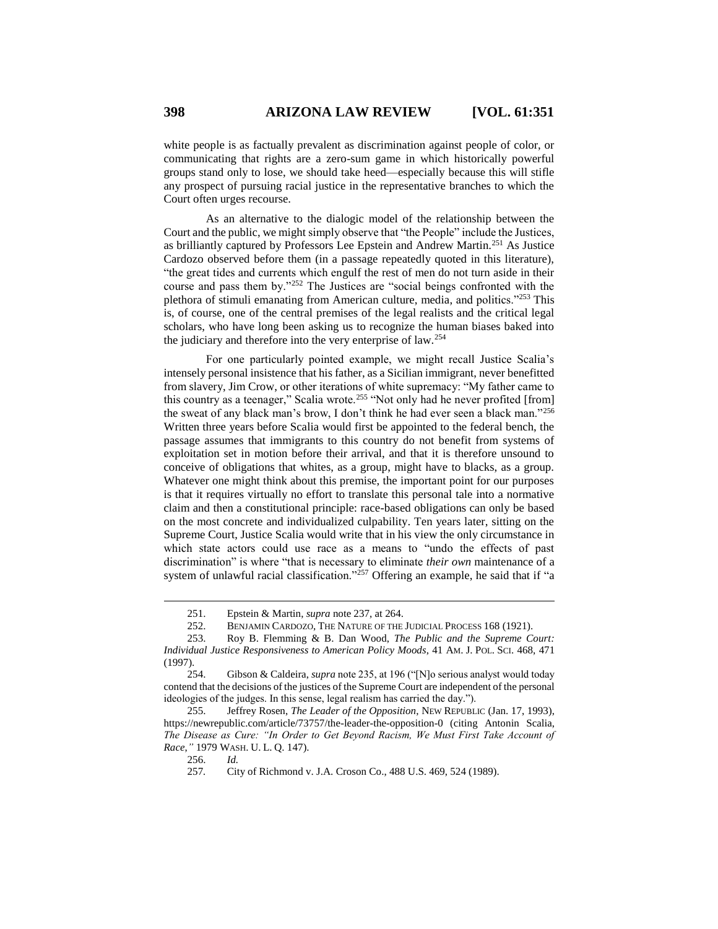white people is as factually prevalent as discrimination against people of color, or communicating that rights are a zero-sum game in which historically powerful groups stand only to lose, we should take heed—especially because this will stifle any prospect of pursuing racial justice in the representative branches to which the Court often urges recourse.

As an alternative to the dialogic model of the relationship between the Court and the public, we might simply observe that "the People" include the Justices, as brilliantly captured by Professors Lee Epstein and Andrew Martin.<sup>251</sup> As Justice Cardozo observed before them (in a passage repeatedly quoted in this literature), "the great tides and currents which engulf the rest of men do not turn aside in their course and pass them by."<sup>252</sup> The Justices are "social beings confronted with the plethora of stimuli emanating from American culture, media, and politics."<sup>253</sup> This is, of course, one of the central premises of the legal realists and the critical legal scholars, who have long been asking us to recognize the human biases baked into the judiciary and therefore into the very enterprise of law.<sup>254</sup>

For one particularly pointed example, we might recall Justice Scalia's intensely personal insistence that his father, as a Sicilian immigrant, never benefitted from slavery, Jim Crow, or other iterations of white supremacy: "My father came to this country as a teenager," Scalia wrote.<sup>255</sup> "Not only had he never profited [from] the sweat of any black man's brow, I don't think he had ever seen a black man."<sup>256</sup> Written three years before Scalia would first be appointed to the federal bench, the passage assumes that immigrants to this country do not benefit from systems of exploitation set in motion before their arrival, and that it is therefore unsound to conceive of obligations that whites, as a group, might have to blacks, as a group. Whatever one might think about this premise, the important point for our purposes is that it requires virtually no effort to translate this personal tale into a normative claim and then a constitutional principle: race-based obligations can only be based on the most concrete and individualized culpability. Ten years later, sitting on the Supreme Court, Justice Scalia would write that in his view the only circumstance in which state actors could use race as a means to "undo the effects of past discrimination" is where "that is necessary to eliminate *their own* maintenance of a system of unlawful racial classification."<sup>257</sup> Offering an example, he said that if "a

256. *Id.*

<sup>251.</sup> Epstein & Martin, *supra* note 237, at 264.

<sup>252.</sup> BENJAMIN CARDOZO, THE NATURE OF THE JUDICIAL PROCESS 168 (1921).

<sup>253.</sup> Roy B. Flemming & B. Dan Wood, *The Public and the Supreme Court: Individual Justice Responsiveness to American Policy Moods*, 41 AM. J. POL. SCI. 468, 471 (1997).

<sup>254.</sup> Gibson & Caldeira, *supra* note 235, at 196 ("[N]o serious analyst would today contend that the decisions of the justices of the Supreme Court are independent of the personal ideologies of the judges. In this sense, legal realism has carried the day.").

<sup>255.</sup> Jeffrey Rosen, *The Leader of the Opposition*, NEW REPUBLIC (Jan. 17, 1993), https://newrepublic.com/article/73757/the-leader-the-opposition-0 (citing Antonin Scalia, *The Disease as Cure: "In Order to Get Beyond Racism, We Must First Take Account of Race*,*"* 1979 WASH. U. L. Q. 147).

<sup>257</sup>*.* City of Richmond v. J.A. Croson Co., 488 U.S. 469, 524 (1989).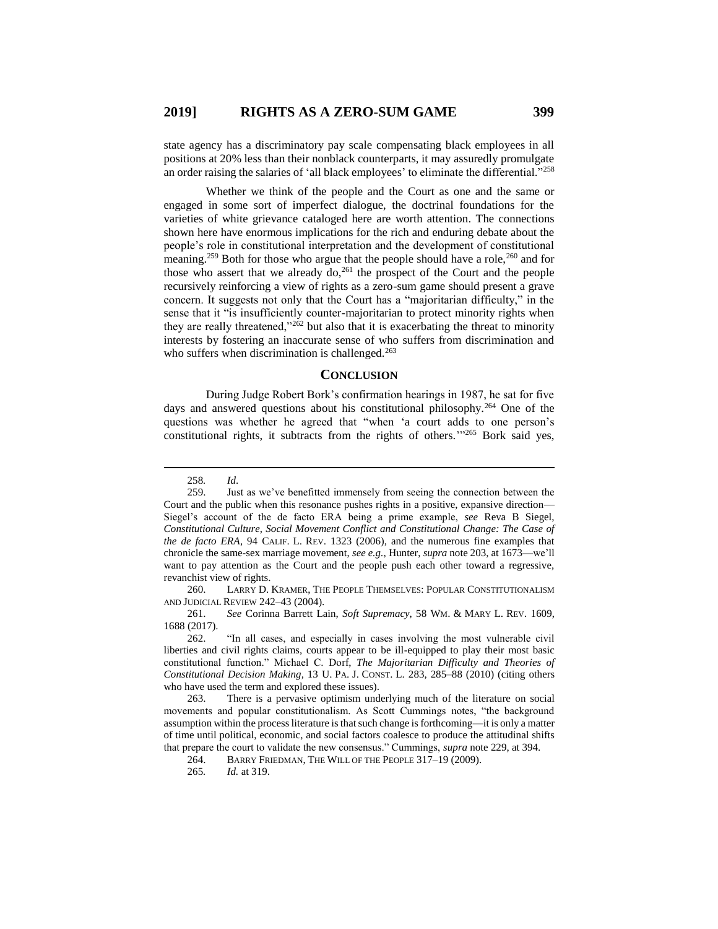state agency has a discriminatory pay scale compensating black employees in all positions at 20% less than their nonblack counterparts, it may assuredly promulgate an order raising the salaries of 'all black employees' to eliminate the differential."<sup>258</sup>

Whether we think of the people and the Court as one and the same or engaged in some sort of imperfect dialogue, the doctrinal foundations for the varieties of white grievance cataloged here are worth attention. The connections shown here have enormous implications for the rich and enduring debate about the people's role in constitutional interpretation and the development of constitutional meaning.<sup>259</sup> Both for those who argue that the people should have a role,<sup>260</sup> and for those who assert that we already  $\frac{d}{dt}$  the prospect of the Court and the people recursively reinforcing a view of rights as a zero-sum game should present a grave concern. It suggests not only that the Court has a "majoritarian difficulty," in the sense that it "is insufficiently counter-majoritarian to protect minority rights when they are really threatened," $^{262}$  but also that it is exacerbating the threat to minority interests by fostering an inaccurate sense of who suffers from discrimination and who suffers when discrimination is challenged. $263$ 

## **CONCLUSION**

During Judge Robert Bork's confirmation hearings in 1987, he sat for five days and answered questions about his constitutional philosophy.<sup>264</sup> One of the questions was whether he agreed that "when 'a court adds to one person's constitutional rights, it subtracts from the rights of others.'" <sup>265</sup> Bork said yes,

<sup>258</sup>*. Id*.

<sup>259.</sup> Just as we've benefitted immensely from seeing the connection between the Court and the public when this resonance pushes rights in a positive, expansive direction— Siegel's account of the de facto ERA being a prime example, *see* Reva B Siegel, *Constitutional Culture, Social Movement Conflict and Constitutional Change: The Case of the de facto ERA*, 94 CALIF. L. REV. 1323 (2006), and the numerous fine examples that chronicle the same-sex marriage movement, *see e.g.*, Hunter, *supra* note 203, at 1673—we'll want to pay attention as the Court and the people push each other toward a regressive, revanchist view of rights.

<sup>260.</sup> LARRY D. KRAMER, THE PEOPLE THEMSELVES: POPULAR CONSTITUTIONALISM AND JUDICIAL REVIEW 242–43 (2004).

<sup>261.</sup> *See* Corinna Barrett Lain, *Soft Supremacy*, 58 WM. & MARY L. REV. 1609, 1688 (2017).

<sup>262.</sup> "In all cases, and especially in cases involving the most vulnerable civil liberties and civil rights claims, courts appear to be ill-equipped to play their most basic constitutional function." Michael C. Dorf, *The Majoritarian Difficulty and Theories of Constitutional Decision Making*, 13 U. PA. J. CONST. L. 283, 285–88 (2010) (citing others who have used the term and explored these issues).

<sup>263.</sup> There is a pervasive optimism underlying much of the literature on social movements and popular constitutionalism. As Scott Cummings notes, "the background assumption within the process literature is that such change is forthcoming—it is only a matter of time until political, economic, and social factors coalesce to produce the attitudinal shifts that prepare the court to validate the new consensus." Cummings, *supra* note 229, at 394.

<sup>264.</sup> BARRY FRIEDMAN, THE WILL OF THE PEOPLE 317–19 (2009).

<sup>265</sup>*. Id.* at 319.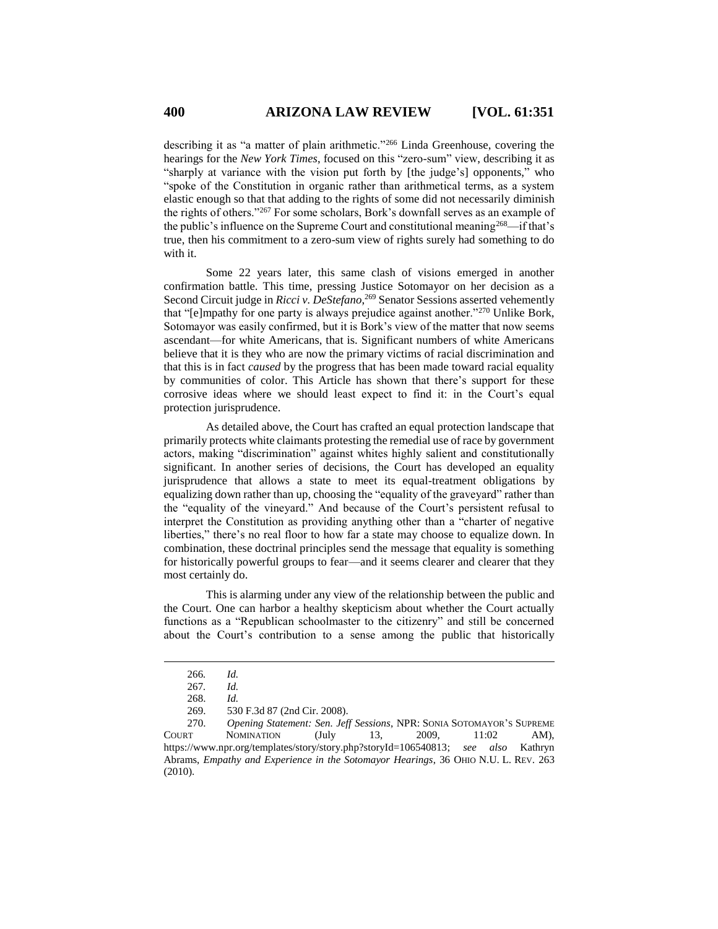describing it as "a matter of plain arithmetic."<sup>266</sup> Linda Greenhouse, covering the hearings for the *New York Times*, focused on this "zero-sum" view, describing it as "sharply at variance with the vision put forth by [the judge's] opponents," who "spoke of the Constitution in organic rather than arithmetical terms, as a system elastic enough so that that adding to the rights of some did not necessarily diminish the rights of others."<sup>267</sup> For some scholars, Bork's downfall serves as an example of the public's influence on the Supreme Court and constitutional meaning<sup>268</sup>—if that's true, then his commitment to a zero-sum view of rights surely had something to do with it.

Some 22 years later, this same clash of visions emerged in another confirmation battle. This time, pressing Justice Sotomayor on her decision as a Second Circuit judge in *Ricci v. DeStefano*,<sup>269</sup> Senator Sessions asserted vehemently that "[e]mpathy for one party is always prejudice against another."<sup>270</sup> Unlike Bork, Sotomayor was easily confirmed, but it is Bork's view of the matter that now seems ascendant—for white Americans, that is. Significant numbers of white Americans believe that it is they who are now the primary victims of racial discrimination and that this is in fact *caused* by the progress that has been made toward racial equality by communities of color. This Article has shown that there's support for these corrosive ideas where we should least expect to find it: in the Court's equal protection jurisprudence.

As detailed above, the Court has crafted an equal protection landscape that primarily protects white claimants protesting the remedial use of race by government actors, making "discrimination" against whites highly salient and constitutionally significant. In another series of decisions, the Court has developed an equality jurisprudence that allows a state to meet its equal-treatment obligations by equalizing down rather than up, choosing the "equality of the graveyard" rather than the "equality of the vineyard." And because of the Court's persistent refusal to interpret the Constitution as providing anything other than a "charter of negative liberties," there's no real floor to how far a state may choose to equalize down. In combination, these doctrinal principles send the message that equality is something for historically powerful groups to fear—and it seems clearer and clearer that they most certainly do.

This is alarming under any view of the relationship between the public and the Court. One can harbor a healthy skepticism about whether the Court actually functions as a "Republican schoolmaster to the citizenry" and still be concerned about the Court's contribution to a sense among the public that historically

<sup>266</sup>*. Id.*

<sup>267</sup>*. Id.*

<sup>268.</sup> *Id.*

<sup>269.</sup> 530 F.3d 87 (2nd Cir. 2008).

<sup>270.</sup> *Opening Statement: Sen. Jeff Sessions*, NPR: SONIA SOTOMAYOR'S SUPREME COURT NOMINATION (July 13, 2009, 11:02 AM), https://www.npr.org/templates/story/story.php?storyId=106540813; *see also* Kathryn Abrams, *Empathy and Experience in the Sotomayor Hearings*, 36 OHIO N.U. L. REV. 263 (2010).